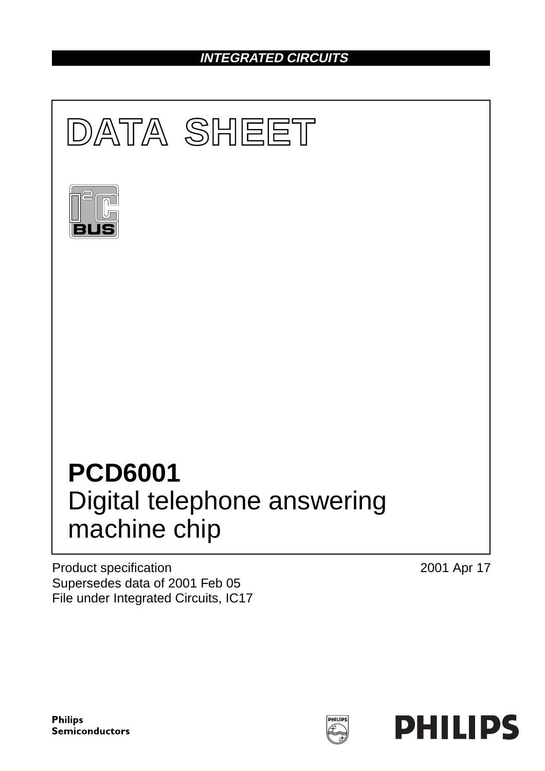# **INTEGRATED CIRCUITS**



Product specification Supersedes data of 2001 Feb 05 File under Integrated Circuits, IC17 2001 Apr 17

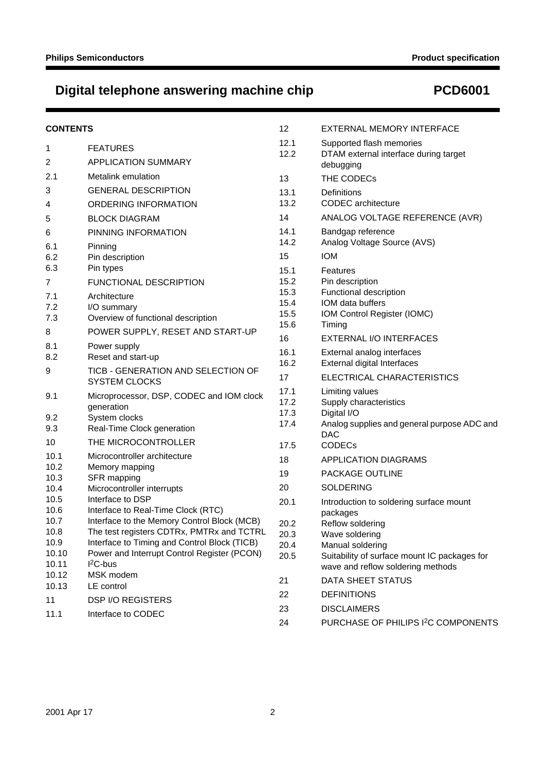# **Digital telephone answering machine chip PCD6001**

| 12.1<br>Supported flash memories<br><b>FEATURES</b><br>1<br>12.2<br>DTAM external interface during target<br>2<br>APPLICATION SUMMARY<br>debugging<br>2.1<br>Metalink emulation<br>13<br>THE CODECs<br>3<br><b>GENERAL DESCRIPTION</b><br>13.1<br>Definitions<br>13.2<br><b>CODEC</b> architecture<br>ORDERING INFORMATION<br>4<br>14<br>ANALOG VOLTAGE REFERENCE (AVR)<br><b>BLOCK DIAGRAM</b><br>5<br>14.1<br>Bandgap reference<br>PINNING INFORMATION<br>6<br>14.2<br>Analog Voltage Source (AVS)<br>6.1<br>Pinning<br>15<br><b>IOM</b><br>6.2<br>Pin description<br>6.3<br>Pin types<br>15.1<br>Features<br>15.2<br>Pin description<br>FUNCTIONAL DESCRIPTION<br>7<br>15.3<br>Functional description<br>7.1<br>Architecture<br>IOM data buffers<br>15.4<br>7.2<br>I/O summary<br>15.5<br>IOM Control Register (IOMC)<br>7.3<br>Overview of functional description<br>15.6<br>Timing<br>POWER SUPPLY, RESET AND START-UP<br>8<br>16<br>EXTERNAL I/O INTERFACES<br>8.1<br>Power supply<br>16.1<br>External analog interfaces<br>8.2<br>Reset and start-up<br>16.2<br>External digital Interfaces<br>TICB - GENERATION AND SELECTION OF<br>9<br>17<br>ELECTRICAL CHARACTERISTICS<br><b>SYSTEM CLOCKS</b><br>17.1<br>Limiting values<br>9.1<br>Microprocessor, DSP, CODEC and IOM clock<br>17.2<br>Supply characteristics<br>generation<br>17.3<br>Digital I/O<br>System clocks<br>9.2<br>17.4<br>Analog supplies and general purpose ADC and<br>Real-Time Clock generation<br>9.3<br><b>DAC</b><br>THE MICROCONTROLLER<br>10<br><b>CODECs</b><br>17.5<br>10.1<br>Microcontroller architecture<br>18<br><b>APPLICATION DIAGRAMS</b><br>10.2<br>Memory mapping<br>PACKAGE OUTLINE<br>19<br>10.3<br>SFR mapping<br>20<br><b>SOLDERING</b><br>Microcontroller interrupts<br>10.4<br>Interface to DSP<br>10.5<br>20.1<br>Introduction to soldering surface mount<br>10.6<br>Interface to Real-Time Clock (RTC)<br>packages<br>10.7<br>Interface to the Memory Control Block (MCB)<br>20.2<br>Reflow soldering<br>The test registers CDTRx, PMTRx and TCTRL<br>10.8<br>20.3<br>Wave soldering<br>10.9<br>Interface to Timing and Control Block (TICB)<br>20.4<br>Manual soldering<br>10.10<br>Power and Interrupt Control Register (PCON)<br>20.5<br>Suitability of surface mount IC packages for<br>$I2C-bus$<br>10.11<br>wave and reflow soldering methods<br>MSK modem<br>10.12<br>DATA SHEET STATUS<br>21<br>10.13<br>LE control<br>22<br><b>DEFINITIONS</b><br><b>DSP I/O REGISTERS</b><br>11<br>23<br><b>DISCLAIMERS</b><br>11.1<br>Interface to CODEC | <b>CONTENTS</b> | 12 | EXTERNAL MEMORY INTERFACE                       |
|---------------------------------------------------------------------------------------------------------------------------------------------------------------------------------------------------------------------------------------------------------------------------------------------------------------------------------------------------------------------------------------------------------------------------------------------------------------------------------------------------------------------------------------------------------------------------------------------------------------------------------------------------------------------------------------------------------------------------------------------------------------------------------------------------------------------------------------------------------------------------------------------------------------------------------------------------------------------------------------------------------------------------------------------------------------------------------------------------------------------------------------------------------------------------------------------------------------------------------------------------------------------------------------------------------------------------------------------------------------------------------------------------------------------------------------------------------------------------------------------------------------------------------------------------------------------------------------------------------------------------------------------------------------------------------------------------------------------------------------------------------------------------------------------------------------------------------------------------------------------------------------------------------------------------------------------------------------------------------------------------------------------------------------------------------------------------------------------------------------------------------------------------------------------------------------------------------------------------------------------------------------------------------------------------------------------------------------------------------------------------------------------------------------------------------------------------------------------------------------------------------------------------------------------------------|-----------------|----|-------------------------------------------------|
|                                                                                                                                                                                                                                                                                                                                                                                                                                                                                                                                                                                                                                                                                                                                                                                                                                                                                                                                                                                                                                                                                                                                                                                                                                                                                                                                                                                                                                                                                                                                                                                                                                                                                                                                                                                                                                                                                                                                                                                                                                                                                                                                                                                                                                                                                                                                                                                                                                                                                                                                                         |                 |    |                                                 |
|                                                                                                                                                                                                                                                                                                                                                                                                                                                                                                                                                                                                                                                                                                                                                                                                                                                                                                                                                                                                                                                                                                                                                                                                                                                                                                                                                                                                                                                                                                                                                                                                                                                                                                                                                                                                                                                                                                                                                                                                                                                                                                                                                                                                                                                                                                                                                                                                                                                                                                                                                         |                 |    |                                                 |
|                                                                                                                                                                                                                                                                                                                                                                                                                                                                                                                                                                                                                                                                                                                                                                                                                                                                                                                                                                                                                                                                                                                                                                                                                                                                                                                                                                                                                                                                                                                                                                                                                                                                                                                                                                                                                                                                                                                                                                                                                                                                                                                                                                                                                                                                                                                                                                                                                                                                                                                                                         |                 |    |                                                 |
|                                                                                                                                                                                                                                                                                                                                                                                                                                                                                                                                                                                                                                                                                                                                                                                                                                                                                                                                                                                                                                                                                                                                                                                                                                                                                                                                                                                                                                                                                                                                                                                                                                                                                                                                                                                                                                                                                                                                                                                                                                                                                                                                                                                                                                                                                                                                                                                                                                                                                                                                                         |                 |    |                                                 |
|                                                                                                                                                                                                                                                                                                                                                                                                                                                                                                                                                                                                                                                                                                                                                                                                                                                                                                                                                                                                                                                                                                                                                                                                                                                                                                                                                                                                                                                                                                                                                                                                                                                                                                                                                                                                                                                                                                                                                                                                                                                                                                                                                                                                                                                                                                                                                                                                                                                                                                                                                         |                 |    |                                                 |
|                                                                                                                                                                                                                                                                                                                                                                                                                                                                                                                                                                                                                                                                                                                                                                                                                                                                                                                                                                                                                                                                                                                                                                                                                                                                                                                                                                                                                                                                                                                                                                                                                                                                                                                                                                                                                                                                                                                                                                                                                                                                                                                                                                                                                                                                                                                                                                                                                                                                                                                                                         |                 |    |                                                 |
|                                                                                                                                                                                                                                                                                                                                                                                                                                                                                                                                                                                                                                                                                                                                                                                                                                                                                                                                                                                                                                                                                                                                                                                                                                                                                                                                                                                                                                                                                                                                                                                                                                                                                                                                                                                                                                                                                                                                                                                                                                                                                                                                                                                                                                                                                                                                                                                                                                                                                                                                                         |                 |    |                                                 |
|                                                                                                                                                                                                                                                                                                                                                                                                                                                                                                                                                                                                                                                                                                                                                                                                                                                                                                                                                                                                                                                                                                                                                                                                                                                                                                                                                                                                                                                                                                                                                                                                                                                                                                                                                                                                                                                                                                                                                                                                                                                                                                                                                                                                                                                                                                                                                                                                                                                                                                                                                         |                 |    |                                                 |
|                                                                                                                                                                                                                                                                                                                                                                                                                                                                                                                                                                                                                                                                                                                                                                                                                                                                                                                                                                                                                                                                                                                                                                                                                                                                                                                                                                                                                                                                                                                                                                                                                                                                                                                                                                                                                                                                                                                                                                                                                                                                                                                                                                                                                                                                                                                                                                                                                                                                                                                                                         |                 |    |                                                 |
|                                                                                                                                                                                                                                                                                                                                                                                                                                                                                                                                                                                                                                                                                                                                                                                                                                                                                                                                                                                                                                                                                                                                                                                                                                                                                                                                                                                                                                                                                                                                                                                                                                                                                                                                                                                                                                                                                                                                                                                                                                                                                                                                                                                                                                                                                                                                                                                                                                                                                                                                                         |                 |    |                                                 |
|                                                                                                                                                                                                                                                                                                                                                                                                                                                                                                                                                                                                                                                                                                                                                                                                                                                                                                                                                                                                                                                                                                                                                                                                                                                                                                                                                                                                                                                                                                                                                                                                                                                                                                                                                                                                                                                                                                                                                                                                                                                                                                                                                                                                                                                                                                                                                                                                                                                                                                                                                         |                 |    |                                                 |
|                                                                                                                                                                                                                                                                                                                                                                                                                                                                                                                                                                                                                                                                                                                                                                                                                                                                                                                                                                                                                                                                                                                                                                                                                                                                                                                                                                                                                                                                                                                                                                                                                                                                                                                                                                                                                                                                                                                                                                                                                                                                                                                                                                                                                                                                                                                                                                                                                                                                                                                                                         |                 |    |                                                 |
|                                                                                                                                                                                                                                                                                                                                                                                                                                                                                                                                                                                                                                                                                                                                                                                                                                                                                                                                                                                                                                                                                                                                                                                                                                                                                                                                                                                                                                                                                                                                                                                                                                                                                                                                                                                                                                                                                                                                                                                                                                                                                                                                                                                                                                                                                                                                                                                                                                                                                                                                                         |                 |    |                                                 |
|                                                                                                                                                                                                                                                                                                                                                                                                                                                                                                                                                                                                                                                                                                                                                                                                                                                                                                                                                                                                                                                                                                                                                                                                                                                                                                                                                                                                                                                                                                                                                                                                                                                                                                                                                                                                                                                                                                                                                                                                                                                                                                                                                                                                                                                                                                                                                                                                                                                                                                                                                         |                 |    |                                                 |
|                                                                                                                                                                                                                                                                                                                                                                                                                                                                                                                                                                                                                                                                                                                                                                                                                                                                                                                                                                                                                                                                                                                                                                                                                                                                                                                                                                                                                                                                                                                                                                                                                                                                                                                                                                                                                                                                                                                                                                                                                                                                                                                                                                                                                                                                                                                                                                                                                                                                                                                                                         |                 |    |                                                 |
|                                                                                                                                                                                                                                                                                                                                                                                                                                                                                                                                                                                                                                                                                                                                                                                                                                                                                                                                                                                                                                                                                                                                                                                                                                                                                                                                                                                                                                                                                                                                                                                                                                                                                                                                                                                                                                                                                                                                                                                                                                                                                                                                                                                                                                                                                                                                                                                                                                                                                                                                                         |                 |    |                                                 |
|                                                                                                                                                                                                                                                                                                                                                                                                                                                                                                                                                                                                                                                                                                                                                                                                                                                                                                                                                                                                                                                                                                                                                                                                                                                                                                                                                                                                                                                                                                                                                                                                                                                                                                                                                                                                                                                                                                                                                                                                                                                                                                                                                                                                                                                                                                                                                                                                                                                                                                                                                         |                 |    |                                                 |
|                                                                                                                                                                                                                                                                                                                                                                                                                                                                                                                                                                                                                                                                                                                                                                                                                                                                                                                                                                                                                                                                                                                                                                                                                                                                                                                                                                                                                                                                                                                                                                                                                                                                                                                                                                                                                                                                                                                                                                                                                                                                                                                                                                                                                                                                                                                                                                                                                                                                                                                                                         |                 |    |                                                 |
|                                                                                                                                                                                                                                                                                                                                                                                                                                                                                                                                                                                                                                                                                                                                                                                                                                                                                                                                                                                                                                                                                                                                                                                                                                                                                                                                                                                                                                                                                                                                                                                                                                                                                                                                                                                                                                                                                                                                                                                                                                                                                                                                                                                                                                                                                                                                                                                                                                                                                                                                                         |                 |    |                                                 |
|                                                                                                                                                                                                                                                                                                                                                                                                                                                                                                                                                                                                                                                                                                                                                                                                                                                                                                                                                                                                                                                                                                                                                                                                                                                                                                                                                                                                                                                                                                                                                                                                                                                                                                                                                                                                                                                                                                                                                                                                                                                                                                                                                                                                                                                                                                                                                                                                                                                                                                                                                         |                 |    |                                                 |
|                                                                                                                                                                                                                                                                                                                                                                                                                                                                                                                                                                                                                                                                                                                                                                                                                                                                                                                                                                                                                                                                                                                                                                                                                                                                                                                                                                                                                                                                                                                                                                                                                                                                                                                                                                                                                                                                                                                                                                                                                                                                                                                                                                                                                                                                                                                                                                                                                                                                                                                                                         |                 |    |                                                 |
|                                                                                                                                                                                                                                                                                                                                                                                                                                                                                                                                                                                                                                                                                                                                                                                                                                                                                                                                                                                                                                                                                                                                                                                                                                                                                                                                                                                                                                                                                                                                                                                                                                                                                                                                                                                                                                                                                                                                                                                                                                                                                                                                                                                                                                                                                                                                                                                                                                                                                                                                                         |                 |    |                                                 |
|                                                                                                                                                                                                                                                                                                                                                                                                                                                                                                                                                                                                                                                                                                                                                                                                                                                                                                                                                                                                                                                                                                                                                                                                                                                                                                                                                                                                                                                                                                                                                                                                                                                                                                                                                                                                                                                                                                                                                                                                                                                                                                                                                                                                                                                                                                                                                                                                                                                                                                                                                         |                 |    |                                                 |
|                                                                                                                                                                                                                                                                                                                                                                                                                                                                                                                                                                                                                                                                                                                                                                                                                                                                                                                                                                                                                                                                                                                                                                                                                                                                                                                                                                                                                                                                                                                                                                                                                                                                                                                                                                                                                                                                                                                                                                                                                                                                                                                                                                                                                                                                                                                                                                                                                                                                                                                                                         |                 |    |                                                 |
|                                                                                                                                                                                                                                                                                                                                                                                                                                                                                                                                                                                                                                                                                                                                                                                                                                                                                                                                                                                                                                                                                                                                                                                                                                                                                                                                                                                                                                                                                                                                                                                                                                                                                                                                                                                                                                                                                                                                                                                                                                                                                                                                                                                                                                                                                                                                                                                                                                                                                                                                                         |                 |    |                                                 |
|                                                                                                                                                                                                                                                                                                                                                                                                                                                                                                                                                                                                                                                                                                                                                                                                                                                                                                                                                                                                                                                                                                                                                                                                                                                                                                                                                                                                                                                                                                                                                                                                                                                                                                                                                                                                                                                                                                                                                                                                                                                                                                                                                                                                                                                                                                                                                                                                                                                                                                                                                         |                 |    |                                                 |
|                                                                                                                                                                                                                                                                                                                                                                                                                                                                                                                                                                                                                                                                                                                                                                                                                                                                                                                                                                                                                                                                                                                                                                                                                                                                                                                                                                                                                                                                                                                                                                                                                                                                                                                                                                                                                                                                                                                                                                                                                                                                                                                                                                                                                                                                                                                                                                                                                                                                                                                                                         |                 |    |                                                 |
|                                                                                                                                                                                                                                                                                                                                                                                                                                                                                                                                                                                                                                                                                                                                                                                                                                                                                                                                                                                                                                                                                                                                                                                                                                                                                                                                                                                                                                                                                                                                                                                                                                                                                                                                                                                                                                                                                                                                                                                                                                                                                                                                                                                                                                                                                                                                                                                                                                                                                                                                                         |                 |    |                                                 |
|                                                                                                                                                                                                                                                                                                                                                                                                                                                                                                                                                                                                                                                                                                                                                                                                                                                                                                                                                                                                                                                                                                                                                                                                                                                                                                                                                                                                                                                                                                                                                                                                                                                                                                                                                                                                                                                                                                                                                                                                                                                                                                                                                                                                                                                                                                                                                                                                                                                                                                                                                         |                 |    |                                                 |
|                                                                                                                                                                                                                                                                                                                                                                                                                                                                                                                                                                                                                                                                                                                                                                                                                                                                                                                                                                                                                                                                                                                                                                                                                                                                                                                                                                                                                                                                                                                                                                                                                                                                                                                                                                                                                                                                                                                                                                                                                                                                                                                                                                                                                                                                                                                                                                                                                                                                                                                                                         |                 |    |                                                 |
|                                                                                                                                                                                                                                                                                                                                                                                                                                                                                                                                                                                                                                                                                                                                                                                                                                                                                                                                                                                                                                                                                                                                                                                                                                                                                                                                                                                                                                                                                                                                                                                                                                                                                                                                                                                                                                                                                                                                                                                                                                                                                                                                                                                                                                                                                                                                                                                                                                                                                                                                                         |                 |    |                                                 |
|                                                                                                                                                                                                                                                                                                                                                                                                                                                                                                                                                                                                                                                                                                                                                                                                                                                                                                                                                                                                                                                                                                                                                                                                                                                                                                                                                                                                                                                                                                                                                                                                                                                                                                                                                                                                                                                                                                                                                                                                                                                                                                                                                                                                                                                                                                                                                                                                                                                                                                                                                         |                 |    |                                                 |
|                                                                                                                                                                                                                                                                                                                                                                                                                                                                                                                                                                                                                                                                                                                                                                                                                                                                                                                                                                                                                                                                                                                                                                                                                                                                                                                                                                                                                                                                                                                                                                                                                                                                                                                                                                                                                                                                                                                                                                                                                                                                                                                                                                                                                                                                                                                                                                                                                                                                                                                                                         |                 |    |                                                 |
|                                                                                                                                                                                                                                                                                                                                                                                                                                                                                                                                                                                                                                                                                                                                                                                                                                                                                                                                                                                                                                                                                                                                                                                                                                                                                                                                                                                                                                                                                                                                                                                                                                                                                                                                                                                                                                                                                                                                                                                                                                                                                                                                                                                                                                                                                                                                                                                                                                                                                                                                                         |                 |    |                                                 |
|                                                                                                                                                                                                                                                                                                                                                                                                                                                                                                                                                                                                                                                                                                                                                                                                                                                                                                                                                                                                                                                                                                                                                                                                                                                                                                                                                                                                                                                                                                                                                                                                                                                                                                                                                                                                                                                                                                                                                                                                                                                                                                                                                                                                                                                                                                                                                                                                                                                                                                                                                         |                 |    |                                                 |
|                                                                                                                                                                                                                                                                                                                                                                                                                                                                                                                                                                                                                                                                                                                                                                                                                                                                                                                                                                                                                                                                                                                                                                                                                                                                                                                                                                                                                                                                                                                                                                                                                                                                                                                                                                                                                                                                                                                                                                                                                                                                                                                                                                                                                                                                                                                                                                                                                                                                                                                                                         |                 | 24 | PURCHASE OF PHILIPS I <sup>2</sup> C COMPONENTS |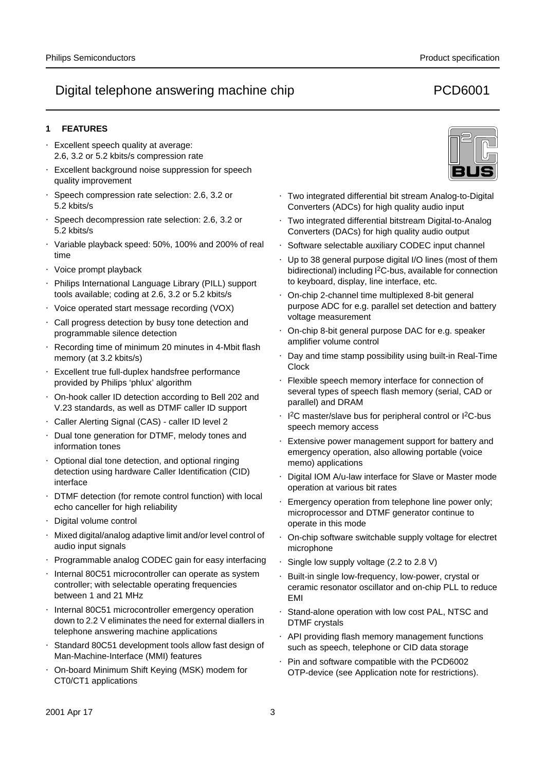## **1 FEATURES**

- Excellent speech quality at average: 2.6, 3.2 or 5.2 kbits/s compression rate
- Excellent background noise suppression for speech quality improvement
- Speech compression rate selection: 2.6, 3.2 or 5.2 kbits/s
- Speech decompression rate selection: 2.6, 3.2 or 5.2 kbits/s
- Variable playback speed: 50%, 100% and 200% of real time
- Voice prompt playback
- Philips International Language Library (PILL) support tools available; coding at 2.6, 3.2 or 5.2 kbits/s
- Voice operated start message recording (VOX)
- Call progress detection by busy tone detection and programmable silence detection
- Recording time of minimum 20 minutes in 4-Mbit flash memory (at 3.2 kbits/s)
- Excellent true full-duplex handsfree performance provided by Philips 'phlux' algorithm
- On-hook caller ID detection according to Bell 202 and V.23 standards, as well as DTMF caller ID support
- Caller Alerting Signal (CAS) caller ID level 2
- Dual tone generation for DTMF, melody tones and information tones
- Optional dial tone detection, and optional ringing detection using hardware Caller Identification (CID) interface
- DTMF detection (for remote control function) with local echo canceller for high reliability
- Digital volume control
- Mixed digital/analog adaptive limit and/or level control of audio input signals
- Programmable analog CODEC gain for easy interfacing
- Internal 80C51 microcontroller can operate as system controller; with selectable operating frequencies between 1 and 21 MHz
- Internal 80C51 microcontroller emergency operation down to 2.2 V eliminates the need for external diallers in telephone answering machine applications
- Standard 80C51 development tools allow fast design of Man-Machine-Interface (MMI) features
- On-board Minimum Shift Keying (MSK) modem for CT0/CT1 applications



- Two integrated differential bit stream Analog-to-Digital Converters (ADCs) for high quality audio input
- Two integrated differential bitstream Digital-to-Analog Converters (DACs) for high quality audio output
- Software selectable auxiliary CODEC input channel
- Up to 38 general purpose digital I/O lines (most of them bidirectional) including I<sup>2</sup>C-bus, available for connection to keyboard, display, line interface, etc.
- On-chip 2-channel time multiplexed 8-bit general purpose ADC for e.g. parallel set detection and battery voltage measurement
- On-chip 8-bit general purpose DAC for e.g. speaker amplifier volume control
- Day and time stamp possibility using built-in Real-Time Clock
- Flexible speech memory interface for connection of several types of speech flash memory (serial, CAD or parallel) and DRAM
- I<sup>2</sup>C master/slave bus for peripheral control or I<sup>2</sup>C-bus speech memory access
- Extensive power management support for battery and emergency operation, also allowing portable (voice memo) applications
- Digital IOM A/u-law interface for Slave or Master mode operation at various bit rates
- Emergency operation from telephone line power only; microprocessor and DTMF generator continue to operate in this mode
- On-chip software switchable supply voltage for electret microphone
- Single low supply voltage (2.2 to 2.8 V)
- Built-in single low-frequency, low-power, crystal or ceramic resonator oscillator and on-chip PLL to reduce EMI
- Stand-alone operation with low cost PAL, NTSC and DTMF crystals
- API providing flash memory management functions such as speech, telephone or CID data storage
- Pin and software compatible with the PCD6002 OTP-device (see Application note for restrictions).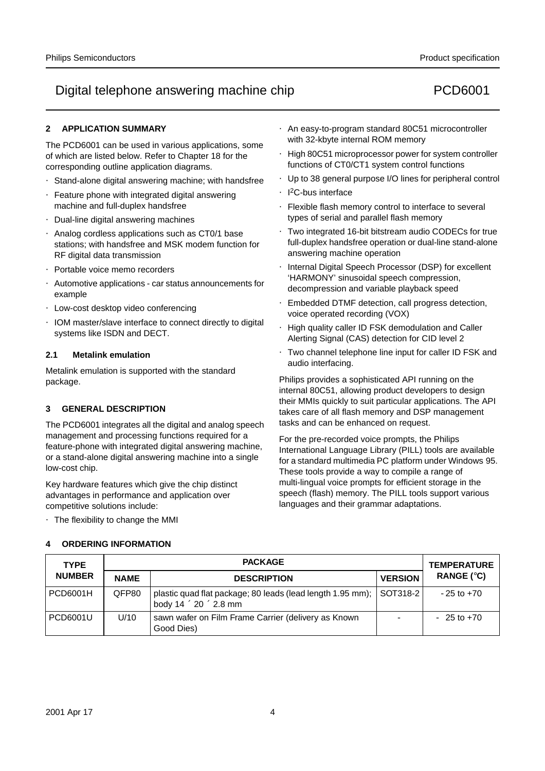## **2 APPLICATION SUMMARY**

The PCD6001 can be used in various applications, some of which are listed below. Refer to Chapter 18 for the corresponding outline application diagrams.

- Stand-alone digital answering machine; with handsfree
- Feature phone with integrated digital answering machine and full-duplex handsfree
- Dual-line digital answering machines
- Analog cordless applications such as CT0/1 base stations; with handsfree and MSK modem function for RF digital data transmission
- Portable voice memo recorders
- Automotive applications car status announcements for example
- Low-cost desktop video conferencing
- IOM master/slave interface to connect directly to digital systems like ISDN and DECT.

### **2.1 Metalink emulation**

Metalink emulation is supported with the standard package.

## **3 GENERAL DESCRIPTION**

The PCD6001 integrates all the digital and analog speech management and processing functions required for a feature-phone with integrated digital answering machine, or a stand-alone digital answering machine into a single low-cost chip.

Key hardware features which give the chip distinct advantages in performance and application over competitive solutions include:

• The flexibility to change the MMI

### **4 ORDERING INFORMATION**

- An easy-to-program standard 80C51 microcontroller with 32-kbyte internal ROM memory
- High 80C51 microprocessor power for system controller functions of CT0/CT1 system control functions
- Up to 38 general purpose I/O lines for peripheral control
- I 2C-bus interface
- Flexible flash memory control to interface to several types of serial and parallel flash memory
- Two integrated 16-bit bitstream audio CODECs for true full-duplex handsfree operation or dual-line stand-alone answering machine operation
- Internal Digital Speech Processor (DSP) for excellent 'HARMONY' sinusoidal speech compression, decompression and variable playback speed
- Embedded DTMF detection, call progress detection, voice operated recording (VOX)
- High quality caller ID FSK demodulation and Caller Alerting Signal (CAS) detection for CID level 2
- Two channel telephone line input for caller ID FSK and audio interfacing.

Philips provides a sophisticated API running on the internal 80C51, allowing product developers to design their MMIs quickly to suit particular applications. The API takes care of all flash memory and DSP management tasks and can be enhanced on request.

For the pre-recorded voice prompts, the Philips International Language Library (PILL) tools are available for a standard multimedia PC platform under Windows 95. These tools provide a way to compile a range of multi-lingual voice prompts for efficient storage in the speech (flash) memory. The PILL tools support various languages and their grammar adaptations.

| <b>TYPE</b>     |             | <b>TEMPERATURE</b>                                                                                       |                |                |
|-----------------|-------------|----------------------------------------------------------------------------------------------------------|----------------|----------------|
| <b>NUMBER</b>   | <b>NAME</b> | <b>DESCRIPTION</b>                                                                                       | <b>VERSION</b> | RANGE $(°C)$   |
| <b>PCD6001H</b> | QFP80       | plastic quad flat package; 80 leads (lead length 1.95 mm); SOT318-2<br>body $14 \times 20 \times 2.8$ mm |                | $-25$ to $+70$ |
| PCD6001U        | U/10        | sawn wafer on Film Frame Carrier (delivery as Known<br>Good Dies)                                        |                | $-25$ to $+70$ |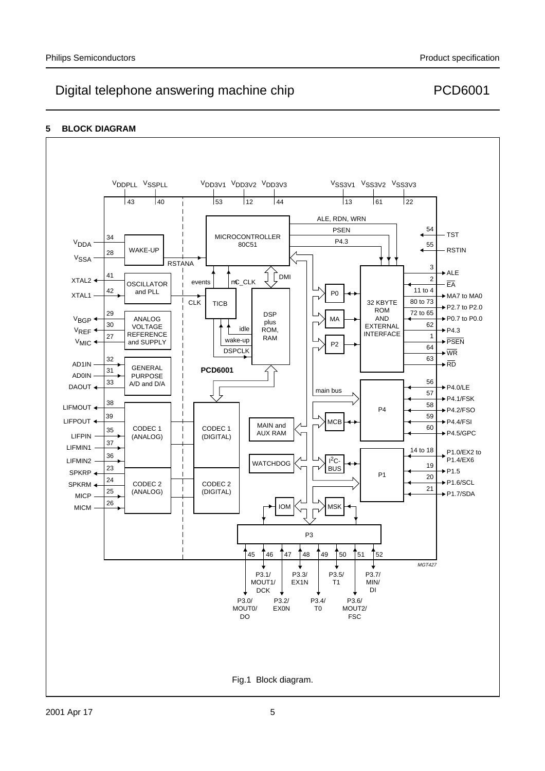## **5 BLOCK DIAGRAM**

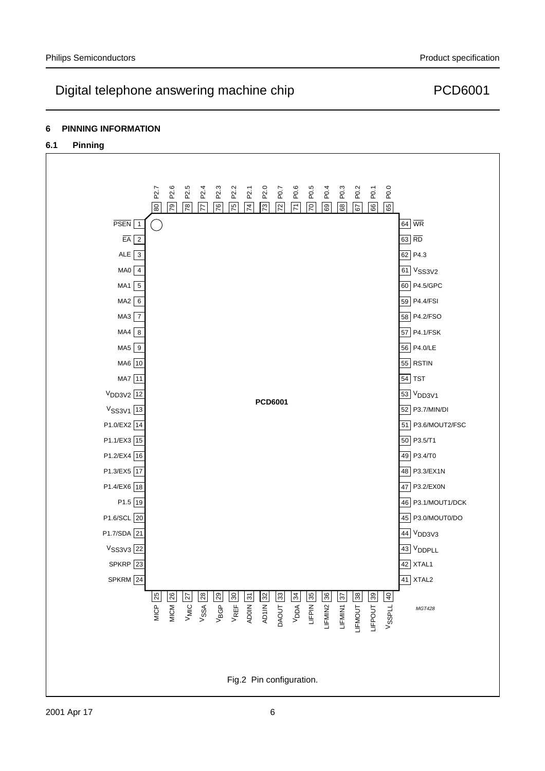## **6 PINNING INFORMATION**

## **6.1 Pinning**

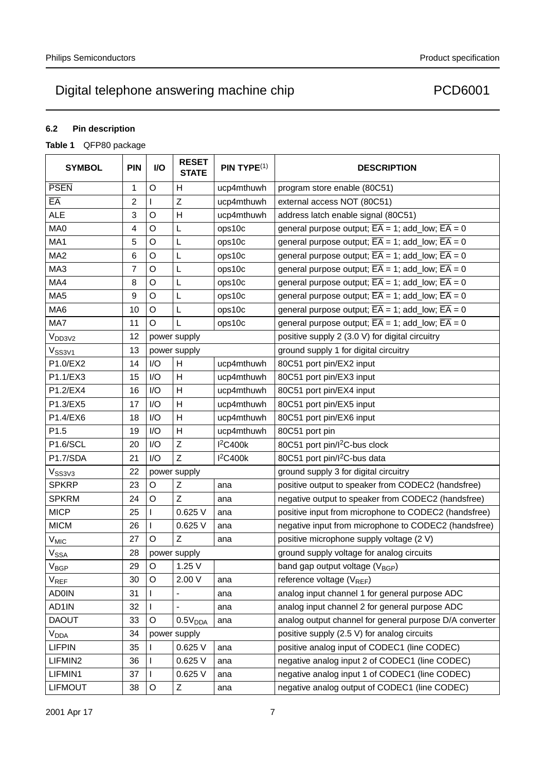## **6.2 Pin description**

## **Table 1** QFP80 package

| <b>SYMBOL</b>                | <b>PIN</b> | I/O         | <b>RESET</b><br><b>STATE</b> | PIN TYPE <sup>(1)</sup> | <b>DESCRIPTION</b>                                                         |
|------------------------------|------------|-------------|------------------------------|-------------------------|----------------------------------------------------------------------------|
| <b>PSEN</b>                  | 1          | $\circ$     | H                            | ucp4mthuwh              | program store enable (80C51)                                               |
| EÄ                           | 2          |             | Z                            | ucp4mthuwh              | external access NOT (80C51)                                                |
| <b>ALE</b>                   | 3          | $\circ$     | H                            | ucp4mthuwh              | address latch enable signal (80C51)                                        |
| MA0                          | 4          | O           | L                            | ops10c                  | general purpose output; $\overline{EA} = 1$ ; add_low; $\overline{EA} = 0$ |
| MA1                          | 5          | $\circ$     | L                            | ops10c                  | general purpose output; $\overline{EA} = 1$ ; add_low; $\overline{EA} = 0$ |
| MA <sub>2</sub>              | 6          | O           | L                            | ops10c                  | general purpose output; $\overline{EA} = 1$ ; add_low; $\overline{EA} = 0$ |
| MA3                          | 7          | $\circ$     | L                            | ops10c                  | general purpose output; $\overline{EA} = 1$ ; add_low; $\overline{EA} = 0$ |
| MA4                          | 8          | $\circ$     | L                            | ops10c                  | general purpose output; $\overline{EA} = 1$ ; add_low; $\overline{EA} = 0$ |
| MA5                          | 9          | O           | L                            | ops10c                  | general purpose output; $\overline{EA} = 1$ ; add_low; $\overline{EA} = 0$ |
| MA6                          | 10         | O           | L                            | ops10c                  | general purpose output; $\overline{EA} = 1$ ; add_low; $\overline{EA} = 0$ |
| MA7                          | 11         | $\circ$     | L                            | ops10c                  | general purpose output; $\overline{EA} = 1$ ; add_low; $\overline{EA} = 0$ |
| V <sub>DD3V2</sub>           | 12         |             | power supply                 |                         | positive supply 2 (3.0 V) for digital circuitry                            |
| V <sub>SS3V1</sub>           | 13         |             | power supply                 |                         | ground supply 1 for digital circuitry                                      |
| P1.0/EX2                     | 14         | I/O         | H                            | ucp4mthuwh              | 80C51 port pin/EX2 input                                                   |
| P1.1/EX3                     | 15         | I/O         | H                            | ucp4mthuwh              | 80C51 port pin/EX3 input                                                   |
| P1.2/EX4                     | 16         | I/O         | H                            | ucp4mthuwh              | 80C51 port pin/EX4 input                                                   |
| P1.3/EX5                     | 17         | I/O         | H                            | ucp4mthuwh              | 80C51 port pin/EX5 input                                                   |
| P1.4/EX6                     | 18         | I/O         | H                            | ucp4mthuwh              | 80C51 port pin/EX6 input                                                   |
| P1.5                         | 19         | I/O         | H                            | ucp4mthuwh              | 80C51 port pin                                                             |
| P1.6/SCL                     | 20         | I/O         | $\mathsf{Z}$                 | <b>I2C400k</b>          | 80C51 port pin/l <sup>2</sup> C-bus clock                                  |
| P1.7/SDA                     | 21         | I/O         | $\mathsf{Z}$                 | $I^2C400k$              | 80C51 port pin/l <sup>2</sup> C-bus data                                   |
| V <sub>SS3V3</sub>           | 22         |             | power supply                 |                         | ground supply 3 for digital circuitry                                      |
| <b>SPKRP</b>                 | 23         | $\mathsf O$ | $\mathsf Z$                  | ana                     | positive output to speaker from CODEC2 (handsfree)                         |
| <b>SPKRM</b>                 | 24         | $\circ$     | Z                            | ana                     | negative output to speaker from CODEC2 (handsfree)                         |
| <b>MICP</b>                  | 25         |             | 0.625 V                      | ana                     | positive input from microphone to CODEC2 (handsfree)                       |
| <b>MICM</b>                  | 26         |             | 0.625 V                      | ana                     | negative input from microphone to CODEC2 (handsfree)                       |
| $V_{MIC}$                    | 27         | $\circ$     | Z                            | ana                     | positive microphone supply voltage (2 V)                                   |
| $V_{SSA}$                    | 28         |             | power supply                 |                         | ground supply voltage for analog circuits                                  |
| $V_{\underline{\text{BGP}}}$ | 29         | $\mathsf O$ | 1.25V                        |                         | band gap output voltage (V <sub>BGP</sub> )                                |
| V <sub>REF</sub>             | 30         | O           | 2.00 V                       | ana                     | reference voltage (V <sub>REF</sub> )                                      |
| <b>AD0IN</b>                 | 31         |             | $\qquad \qquad -$            | ana                     | analog input channel 1 for general purpose ADC                             |
| AD1IN                        | 32         |             |                              | ana                     | analog input channel 2 for general purpose ADC                             |
| <b>DAOUT</b>                 | 33         | O           | 0.5V <sub>DDA</sub>          | ana                     | analog output channel for general purpose D/A converter                    |
| V <sub>DDA</sub>             | 34         |             | power supply                 |                         | positive supply (2.5 V) for analog circuits                                |
| <b>LIFPIN</b>                | 35         |             | 0.625 V                      | ana                     | positive analog input of CODEC1 (line CODEC)                               |
| LIFMIN2                      | 36         |             | 0.625 V                      | ana                     | negative analog input 2 of CODEC1 (line CODEC)                             |
| LIFMIN1                      | 37         |             | 0.625 V                      | ana                     | negative analog input 1 of CODEC1 (line CODEC)                             |
| <b>LIFMOUT</b>               | 38         | $\mathsf O$ | Ζ                            | ana                     | negative analog output of CODEC1 (line CODEC)                              |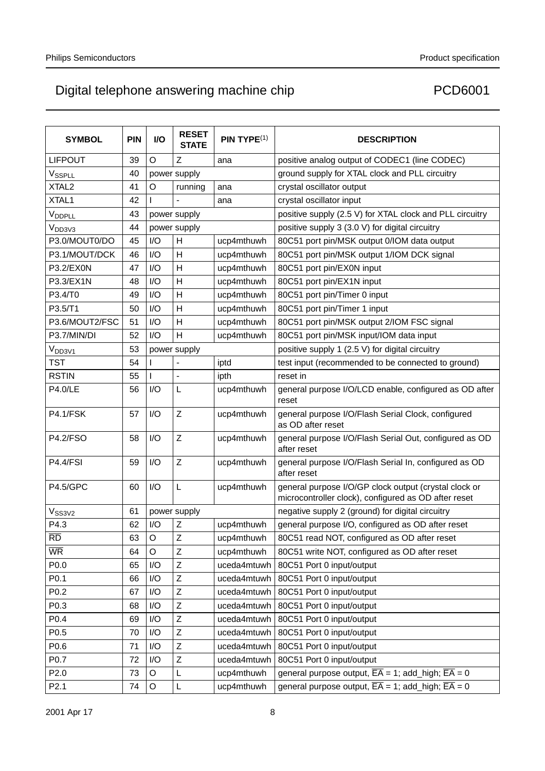| <b>SYMBOL</b>                     | <b>PIN</b> | I/O     | <b>RESET</b><br><b>STATE</b> | PIN TYPE <sup>(1)</sup> | <b>DESCRIPTION</b>                                                                                            |
|-----------------------------------|------------|---------|------------------------------|-------------------------|---------------------------------------------------------------------------------------------------------------|
| <b>LIFPOUT</b>                    | 39         | O       | Ζ                            | ana                     | positive analog output of CODEC1 (line CODEC)                                                                 |
| VSSPLL                            | 40         |         | power supply                 |                         | ground supply for XTAL clock and PLL circuitry                                                                |
| XTAL <sub>2</sub>                 | 41         | O       | running                      | ana                     | crystal oscillator output                                                                                     |
| XTAL1                             | 42         |         |                              | ana                     | crystal oscillator input                                                                                      |
| V <sub>DDPLL</sub>                | 43         |         | power supply                 |                         | positive supply (2.5 V) for XTAL clock and PLL circuitry                                                      |
| V <sub>DD3V3</sub>                | 44         |         | power supply                 |                         | positive supply 3 (3.0 V) for digital circuitry                                                               |
| P3.0/MOUT0/DO                     | 45         | I/O     | H                            | ucp4mthuwh              | 80C51 port pin/MSK output 0/IOM data output                                                                   |
| P3.1/MOUT/DCK                     | 46         | I/O     | H                            | ucp4mthuwh              | 80C51 port pin/MSK output 1/IOM DCK signal                                                                    |
| P3.2/EX0N                         | 47         | I/O     | H                            | ucp4mthuwh              | 80C51 port pin/EX0N input                                                                                     |
| P3.3/EX1N                         | 48         | I/O     | Н                            | ucp4mthuwh              | 80C51 port pin/EX1N input                                                                                     |
| P3.4/T0                           | 49         | I/O     | H                            | ucp4mthuwh              | 80C51 port pin/Timer 0 input                                                                                  |
| P3.5/T1                           | 50         | I/O     | н                            | ucp4mthuwh              | 80C51 port pin/Timer 1 input                                                                                  |
| P3.6/MOUT2/FSC                    | 51         | I/O     | Н                            | ucp4mthuwh              | 80C51 port pin/MSK output 2/IOM FSC signal                                                                    |
| P3.7/MIN/DI                       | 52         | I/O     | H                            | ucp4mthuwh              | 80C51 port pin/MSK input/IOM data input                                                                       |
| V <sub>DD3V1</sub>                | 53         |         | power supply                 |                         | positive supply 1 (2.5 V) for digital circuitry                                                               |
| <b>TST</b>                        | 54         |         |                              | iptd                    | test input (recommended to be connected to ground)                                                            |
| <b>RSTIN</b>                      | 55         | L       | $\equiv$                     | ipth                    | reset in                                                                                                      |
| <b>P4.0/LE</b>                    | 56         | I/O     | L                            | ucp4mthuwh              | general purpose I/O/LCD enable, configured as OD after<br>reset                                               |
| <b>P4.1/FSK</b>                   | 57         | I/O     | Z                            | ucp4mthuwh              | general purpose I/O/Flash Serial Clock, configured<br>as OD after reset                                       |
| <b>P4.2/FSO</b>                   | 58         | I/O     | Z                            | ucp4mthuwh              | general purpose I/O/Flash Serial Out, configured as OD<br>after reset                                         |
| <b>P4.4/FSI</b>                   | 59         | I/O     | Z                            | ucp4mthuwh              | general purpose I/O/Flash Serial In, configured as OD<br>after reset                                          |
| <b>P4.5/GPC</b>                   | 60         | I/O     | L                            | ucp4mthuwh              | general purpose I/O/GP clock output (crystal clock or<br>microcontroller clock), configured as OD after reset |
| $V_{SS3V2}$                       | 61         |         | power supply                 |                         | negative supply 2 (ground) for digital circuitry                                                              |
| P4.3                              | 62         | I/O     | Z                            | ucp4mthuwh              | general purpose I/O, configured as OD after reset                                                             |
| $\overline{\mathsf{R}\mathsf{D}}$ | 63         | Ő       | Z                            | ucp4mthuwh              | 80C51 read NOT, configured as OD after reset                                                                  |
| <b>WR</b>                         | 64         | $\circ$ | Z                            | ucp4mthuwh              | 80C51 write NOT, configured as OD after reset                                                                 |
| P0.0                              | 65         | I/O     | Z                            | uceda4mtuwh             | 80C51 Port 0 input/output                                                                                     |
| P <sub>0.1</sub>                  | 66         | I/O     | Z                            | uceda4mtuwh             | 80C51 Port 0 input/output                                                                                     |
| P0.2                              | 67         | I/O     | Z                            | uceda4mtuwh             | 80C51 Port 0 input/output                                                                                     |
| P0.3                              | 68         | I/O     | Z                            | uceda4mtuwh             | 80C51 Port 0 input/output                                                                                     |
| P0.4                              | 69         | I/O     | Z                            | uceda4mtuwh             | 80C51 Port 0 input/output                                                                                     |
| P <sub>0.5</sub>                  | 70         | I/O     | Ζ                            | uceda4mtuwh             | 80C51 Port 0 input/output                                                                                     |
| P0.6                              | 71         | I/O     | Z                            | uceda4mtuwh             | 80C51 Port 0 input/output                                                                                     |
| P0.7                              | 72         | I/O     | Ζ                            | uceda4mtuwh             | 80C51 Port 0 input/output                                                                                     |
| P <sub>2.0</sub>                  | 73         | $\circ$ | L                            | ucp4mthuwh              | general purpose output, $\overline{EA} = 1$ ; add_high; $\overline{EA} = 0$                                   |
| P <sub>2.1</sub>                  | 74         | $\circ$ | L                            | ucp4mthuwh              | general purpose output, $\overline{EA} = 1$ ; add_high; $\overline{EA} = 0$                                   |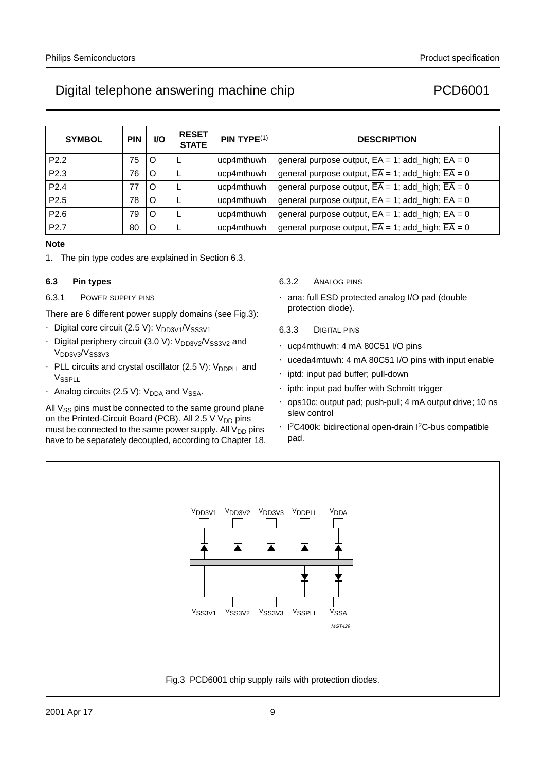# Digital telephone answering machine chip PCD6001

| <b>SYMBOL</b>    | <b>PIN</b> | I/O | <b>RESET</b><br><b>STATE</b> | $PIN$ TYPE $(1)$ | <b>DESCRIPTION</b>                                                          |
|------------------|------------|-----|------------------------------|------------------|-----------------------------------------------------------------------------|
| P <sub>2.2</sub> | 75         | O   |                              | ucp4mthuwh       | general purpose output, $\overline{EA} = 1$ ; add_high; $\overline{EA} = 0$ |
| P2.3             | 76         | O   |                              | ucp4mthuwh       | general purpose output, $\overline{EA} = 1$ ; add_high; $\overline{EA} = 0$ |
| P <sub>2.4</sub> | 77         | O   |                              | ucp4mthuwh       | general purpose output, $\overline{EA} = 1$ ; add_high; $\overline{EA} = 0$ |
| P <sub>2.5</sub> | 78         | O   |                              | ucp4mthuwh       | general purpose output, $\overline{EA} = 1$ ; add_high; $\overline{EA} = 0$ |
| P2.6             | 79         | O   |                              | ucp4mthuwh       | general purpose output, $\overline{EA} = 1$ ; add_high; $\overline{EA} = 0$ |
| P <sub>2.7</sub> | 80         | O   |                              | ucp4mthuwh       | general purpose output, $\overline{EA} = 1$ ; add_high; $\overline{EA} = 0$ |

## **Note**

1. The pin type codes are explained in Section 6.3.

## **6.3 Pin types**

## 6.3.1 POWER SUPPLY PINS

There are 6 different power supply domains (see Fig.3):

- Digital core circuit (2.5 V):  $V_{DD3V1}/V_{SS3V1}$
- Digital periphery circuit  $(3.0 \text{ V})$ :  $\text{V}_{\text{DD3V2}}/\text{V}_{\text{SS3V2}}$  and V<sub>DD3V3</sub>/V<sub>SS3V3</sub>
- PLL circuits and crystal oscillator (2.5 V):  $V_{DDPI}$  and V<sub>SSPLL</sub>
- Analog circuits (2.5 V):  $V_{DDA}$  and  $V_{SSA}$ .

All  $V_{SS}$  pins must be connected to the same ground plane on the Printed-Circuit Board (PCB). All 2.5 V  $V_{DD}$  pins must be connected to the same power supply. All  $V_{DD}$  pins have to be separately decoupled, according to Chapter 18.

### 6.3.2 ANALOG PINS

- ana: full ESD protected analog I/O pad (double protection diode).
- 6.3.3 DIGITAL PINS
- ucp4mthuwh: 4 mA 80C51 I/O pins
- uceda4mtuwh: 4 mA 80C51 I/O pins with input enable
- iptd: input pad buffer; pull-down
- ipth: input pad buffer with Schmitt trigger
- ops10c: output pad; push-pull; 4 mA output drive; 10 ns slew control
- I<sup>2</sup>C400k: bidirectional open-drain I<sup>2</sup>C-bus compatible pad.

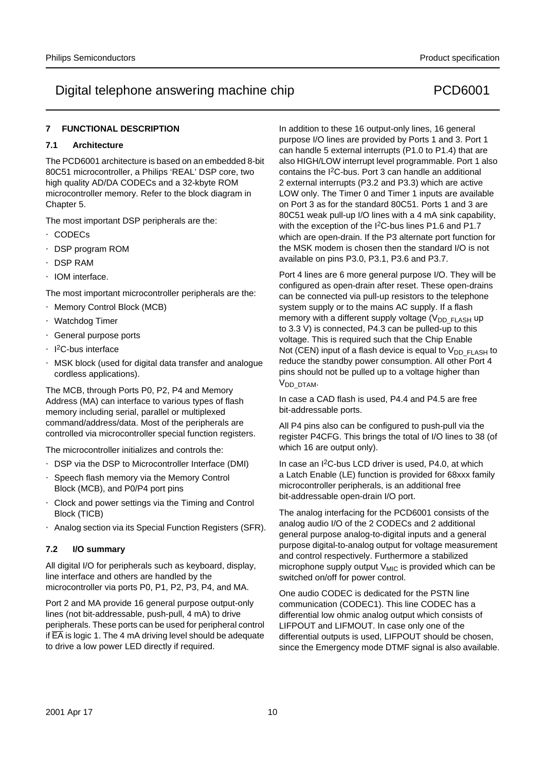## **7 FUNCTIONAL DESCRIPTION**

### **7.1 Architecture**

The PCD6001 architecture is based on an embedded 8-bit 80C51 microcontroller, a Philips 'REAL' DSP core, two high quality AD/DA CODECs and a 32-kbyte ROM microcontroller memory. Refer to the block diagram in Chapter 5.

The most important DSP peripherals are the:

- CODECs
- DSP program ROM
- DSP RAM
- IOM interface.

The most important microcontroller peripherals are the:

- Memory Control Block (MCB)
- Watchdog Timer
- General purpose ports
- I<sup>2</sup>C-bus interface
- MSK block (used for digital data transfer and analogue cordless applications).

The MCB, through Ports P0, P2, P4 and Memory Address (MA) can interface to various types of flash memory including serial, parallel or multiplexed command/address/data. Most of the peripherals are controlled via microcontroller special function registers.

The microcontroller initializes and controls the:

- DSP via the DSP to Microcontroller Interface (DMI)
- Speech flash memory via the Memory Control Block (MCB), and P0/P4 port pins
- Clock and power settings via the Timing and Control Block (TICB)
- Analog section via its Special Function Registers (SFR).

### **7.2 I/O summary**

All digital I/O for peripherals such as keyboard, display, line interface and others are handled by the microcontroller via ports P0, P1, P2, P3, P4, and MA.

Port 2 and MA provide 16 general purpose output-only lines (not bit-addressable, push-pull, 4 mA) to drive peripherals. These ports can be used for peripheral control if  $\overline{EA}$  is logic 1. The 4 mA driving level should be adequate to drive a low power LED directly if required.

In addition to these 16 output-only lines, 16 general purpose I/O lines are provided by Ports 1 and 3. Port 1 can handle 5 external interrupts (P1.0 to P1.4) that are also HIGH/LOW interrupt level programmable. Port 1 also contains the I2C-bus. Port 3 can handle an additional 2 external interrupts (P3.2 and P3.3) which are active LOW only. The Timer 0 and Timer 1 inputs are available on Port 3 as for the standard 80C51. Ports 1 and 3 are 80C51 weak pull-up I/O lines with a 4 mA sink capability, with the exception of the I<sup>2</sup>C-bus lines P1.6 and P1.7 which are open-drain. If the P3 alternate port function for the MSK modem is chosen then the standard I/O is not available on pins P3.0, P3.1, P3.6 and P3.7.

Port 4 lines are 6 more general purpose I/O. They will be configured as open-drain after reset. These open-drains can be connected via pull-up resistors to the telephone system supply or to the mains AC supply. If a flash memory with a different supply voltage  $(V_{DD})_{FLSH}$  up to 3.3 V) is connected, P4.3 can be pulled-up to this voltage. This is required such that the Chip Enable Not (CEN) input of a flash device is equal to  $V_{DD}$   $FLASH$  to reduce the standby power consumption. All other Port 4 pins should not be pulled up to a voltage higher than V<sub>DD</sub> DTAM.

In case a CAD flash is used, P4.4 and P4.5 are free bit-addressable ports.

All P4 pins also can be configured to push-pull via the register P4CFG. This brings the total of I/O lines to 38 (of which 16 are output only).

In case an I<sup>2</sup>C-bus LCD driver is used, P4.0, at which a Latch Enable (LE) function is provided for 68xxx family microcontroller peripherals, is an additional free bit-addressable open-drain I/O port.

The analog interfacing for the PCD6001 consists of the analog audio I/O of the 2 CODECs and 2 additional general purpose analog-to-digital inputs and a general purpose digital-to-analog output for voltage measurement and control respectively. Furthermore a stabilized microphone supply output  $V_{\text{MIC}}$  is provided which can be switched on/off for power control.

One audio CODEC is dedicated for the PSTN line communication (CODEC1). This line CODEC has a differential low ohmic analog output which consists of LIFPOUT and LIFMOUT. In case only one of the differential outputs is used, LIFPOUT should be chosen, since the Emergency mode DTMF signal is also available.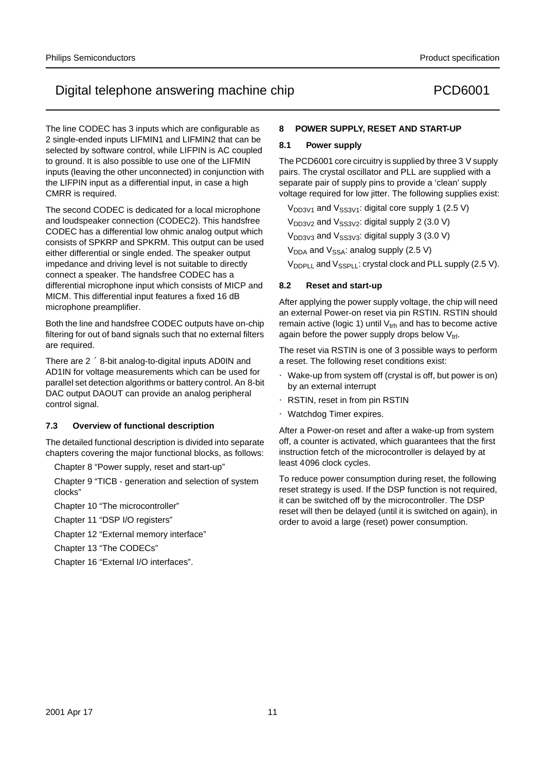The line CODEC has 3 inputs which are configurable as 2 single-ended inputs LIFMIN1 and LIFMIN2 that can be selected by software control, while LIFPIN is AC coupled to ground. It is also possible to use one of the LIFMIN inputs (leaving the other unconnected) in conjunction with the LIFPIN input as a differential input, in case a high CMRR is required.

The second CODEC is dedicated for a local microphone and loudspeaker connection (CODEC2). This handsfree CODEC has a differential low ohmic analog output which consists of SPKRP and SPKRM. This output can be used either differential or single ended. The speaker output impedance and driving level is not suitable to directly connect a speaker. The handsfree CODEC has a differential microphone input which consists of MICP and MICM. This differential input features a fixed 16 dB microphone preamplifier.

Both the line and handsfree CODEC outputs have on-chip filtering for out of band signals such that no external filters are required.

There are  $2 \times 8$ -bit analog-to-digital inputs AD0IN and AD1IN for voltage measurements which can be used for parallel set detection algorithms or battery control. An 8-bit DAC output DAOUT can provide an analog peripheral control signal.

### **7.3 Overview of functional description**

The detailed functional description is divided into separate chapters covering the major functional blocks, as follows:

Chapter 8 "Power supply, reset and start-up"

Chapter 9 "TICB - generation and selection of system clocks"

Chapter 10 "The microcontroller"

Chapter 11 "DSP I/O registers"

Chapter 12 "External memory interface"

Chapter 13 "The CODECs"

Chapter 16 "External I/O interfaces".

## **8 POWER SUPPLY, RESET AND START-UP**

### **8.1 Power supply**

The PCD6001 core circuitry is supplied by three 3 V supply pairs. The crystal oscillator and PLL are supplied with a separate pair of supply pins to provide a 'clean' supply voltage required for low jitter. The following supplies exist:

 $V_{DD3V1}$  and  $V_{SS3V1}$ : digital core supply 1 (2.5 V)

 $V_{DD3V2}$  and  $V_{SS3V2}$ : digital supply 2 (3.0 V)

 $V_{DD3V3}$  and  $V_{SS3V3}$ : digital supply 3 (3.0 V)

 $V_{DDA}$  and  $V_{SSA}$ : analog supply (2.5 V)

V<sub>DDPLL</sub> and V<sub>SSPLL</sub>: crystal clock and PLL supply (2.5 V).

## **8.2 Reset and start-up**

After applying the power supply voltage, the chip will need an external Power-on reset via pin RSTIN. RSTIN should remain active (logic 1) until  $V_{trh}$  and has to become active again before the power supply drops below  $V_{trl}$ .

The reset via RSTIN is one of 3 possible ways to perform a reset. The following reset conditions exist:

- Wake-up from system off (crystal is off, but power is on) by an external interrupt
- RSTIN, reset in from pin RSTIN
- Watchdog Timer expires.

After a Power-on reset and after a wake-up from system off, a counter is activated, which guarantees that the first instruction fetch of the microcontroller is delayed by at least 4096 clock cycles.

To reduce power consumption during reset, the following reset strategy is used. If the DSP function is not required, it can be switched off by the microcontroller. The DSP reset will then be delayed (until it is switched on again), in order to avoid a large (reset) power consumption.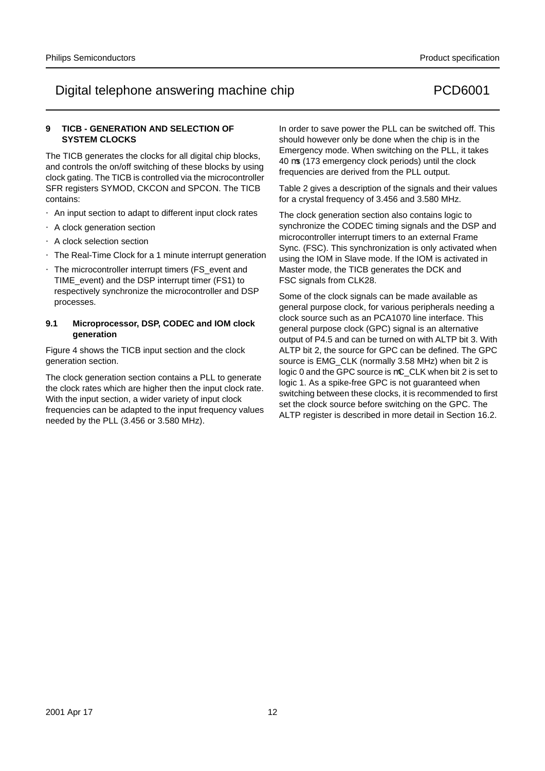### **9 TICB - GENERATION AND SELECTION OF SYSTEM CLOCKS**

The TICB generates the clocks for all digital chip blocks, and controls the on/off switching of these blocks by using clock gating. The TICB is controlled via the microcontroller SFR registers SYMOD, CKCON and SPCON. The TICB contains:

- An input section to adapt to different input clock rates
- A clock generation section
- A clock selection section
- The Real-Time Clock for a 1 minute interrupt generation
- The microcontroller interrupt timers (FS event and TIME\_event) and the DSP interrupt timer (FS1) to respectively synchronize the microcontroller and DSP processes.

### **9.1 Microprocessor, DSP, CODEC and IOM clock generation**

Figure 4 shows the TICB input section and the clock generation section.

The clock generation section contains a PLL to generate the clock rates which are higher then the input clock rate. With the input section, a wider variety of input clock frequencies can be adapted to the input frequency values needed by the PLL (3.456 or 3.580 MHz).

In order to save power the PLL can be switched off. This should however only be done when the chip is in the Emergency mode. When switching on the PLL, it takes 40 µs (173 emergency clock periods) until the clock frequencies are derived from the PLL output.

Table 2 gives a description of the signals and their values for a crystal frequency of 3.456 and 3.580 MHz.

The clock generation section also contains logic to synchronize the CODEC timing signals and the DSP and microcontroller interrupt timers to an external Frame Sync. (FSC). This synchronization is only activated when using the IOM in Slave mode. If the IOM is activated in Master mode, the TICB generates the DCK and FSC signals from CLK28.

Some of the clock signals can be made available as general purpose clock, for various peripherals needing a clock source such as an PCA1070 line interface. This general purpose clock (GPC) signal is an alternative output of P4.5 and can be turned on with ALTP bit 3. With ALTP bit 2, the source for GPC can be defined. The GPC source is EMG\_CLK (normally 3.58 MHz) when bit 2 is logic 0 and the GPC source is  $\mu$ C\_CLK when bit 2 is set to logic 1. As a spike-free GPC is not guaranteed when switching between these clocks, it is recommended to first set the clock source before switching on the GPC. The ALTP register is described in more detail in Section 16.2.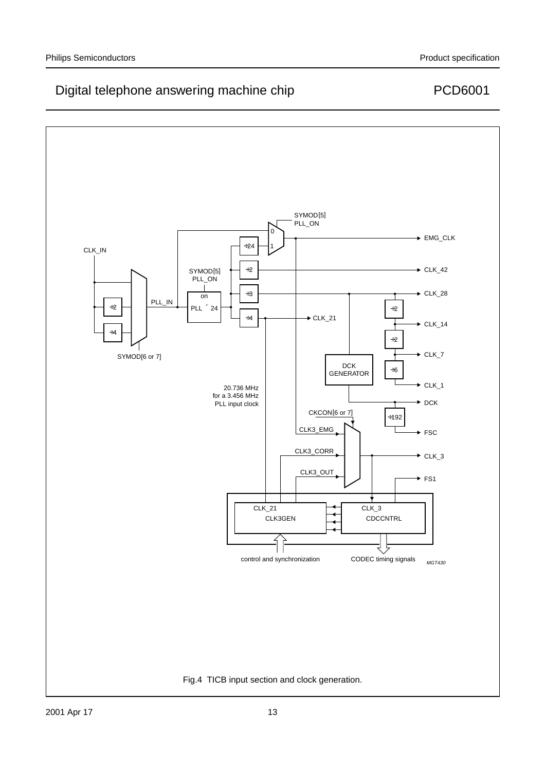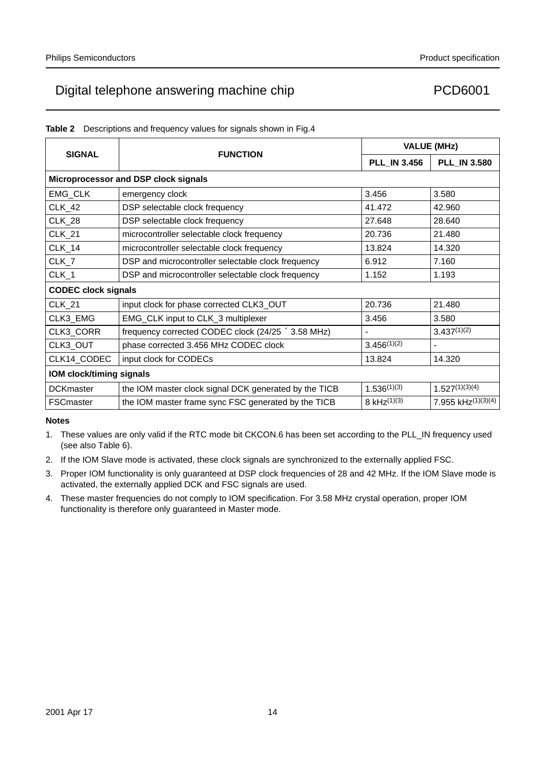| Table 2 Descriptions and frequency values for signals shown in Fig.4 |  |  |
|----------------------------------------------------------------------|--|--|
|                                                                      |  |  |

|                                      |                                                                   |                     | <b>VALUE (MHz)</b>    |  |  |  |  |  |
|--------------------------------------|-------------------------------------------------------------------|---------------------|-----------------------|--|--|--|--|--|
| <b>SIGNAL</b>                        | <b>FUNCTION</b>                                                   | <b>PLL_IN 3.456</b> | <b>PLL_IN 3.580</b>   |  |  |  |  |  |
| Microprocessor and DSP clock signals |                                                                   |                     |                       |  |  |  |  |  |
| EMG_CLK                              | emergency clock                                                   | 3.456               | 3.580                 |  |  |  |  |  |
| <b>CLK 42</b>                        | DSP selectable clock frequency                                    | 41.472              | 42.960                |  |  |  |  |  |
| <b>CLK_28</b>                        | DSP selectable clock frequency                                    | 27.648              | 28.640                |  |  |  |  |  |
| <b>CLK_21</b>                        | microcontroller selectable clock frequency                        | 20.736              | 21.480                |  |  |  |  |  |
| <b>CLK_14</b>                        | microcontroller selectable clock frequency                        | 13.824              | 14.320                |  |  |  |  |  |
| $CLK_7$                              | DSP and microcontroller selectable clock frequency                | 6.912               | 7.160                 |  |  |  |  |  |
| CLK_1                                | DSP and microcontroller selectable clock frequency                | 1.152               | 1.193                 |  |  |  |  |  |
| <b>CODEC clock signals</b>           |                                                                   |                     |                       |  |  |  |  |  |
| <b>CLK_21</b>                        | input clock for phase corrected CLK3_OUT                          | 20.736              | 21.480                |  |  |  |  |  |
| CLK3_EMG                             | EMG_CLK input to CLK_3 multiplexer                                | 3.456               | 3.580                 |  |  |  |  |  |
| CLK3_CORR                            | frequency corrected CODEC clock $(24/25 \times 3.58 \text{ MHz})$ |                     | $3.437^{(1)(2)}$      |  |  |  |  |  |
| CLK3_OUT                             | phase corrected 3.456 MHz CODEC clock                             | $3.456^{(1)(2)}$    | —                     |  |  |  |  |  |
| CLK14_CODEC                          | input clock for CODECs                                            | 13.824              | 14.320                |  |  |  |  |  |
|                                      | <b>IOM clock/timing signals</b>                                   |                     |                       |  |  |  |  |  |
| <b>DCKmaster</b>                     | the IOM master clock signal DCK generated by the TICB             | $1.536^{(1)(3)}$    | $1.527^{(1)(3)(4)}$   |  |  |  |  |  |
| <b>FSCmaster</b>                     | the IOM master frame sync FSC generated by the TICB               | 8 kHz $(1)(3)$      | 7.955 kHz $(1)(3)(4)$ |  |  |  |  |  |

### **Notes**

1. These values are only valid if the RTC mode bit CKCON.6 has been set according to the PLL\_IN frequency used (see also Table 6).

- 2. If the IOM Slave mode is activated, these clock signals are synchronized to the externally applied FSC.
- 3. Proper IOM functionality is only guaranteed at DSP clock frequencies of 28 and 42 MHz. If the IOM Slave mode is activated, the externally applied DCK and FSC signals are used.
- 4. These master frequencies do not comply to IOM specification. For 3.58 MHz crystal operation, proper IOM functionality is therefore only guaranteed in Master mode.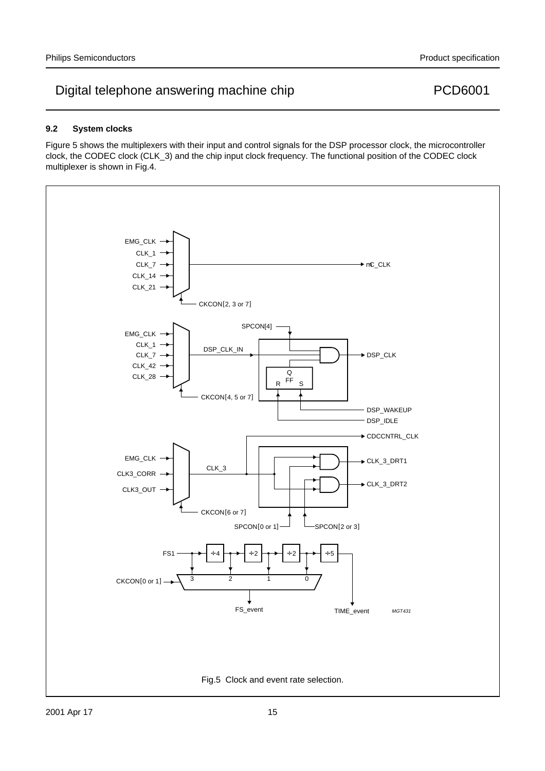### **9.2 System clocks**

Figure 5 shows the multiplexers with their input and control signals for the DSP processor clock, the microcontroller clock, the CODEC clock (CLK\_3) and the chip input clock frequency. The functional position of the CODEC clock multiplexer is shown in Fig.4.

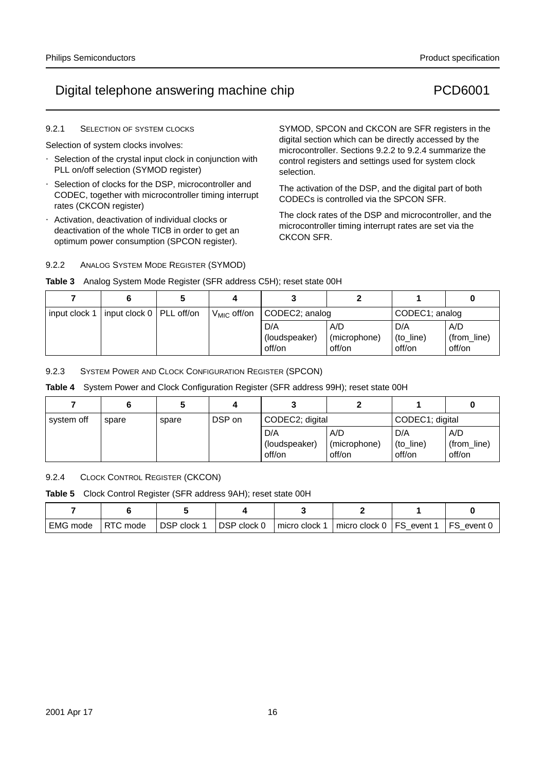# Digital telephone answering machine chip PCD6001

### 9.2.1 SELECTION OF SYSTEM CLOCKS

Selection of system clocks involves:

- Selection of the crystal input clock in conjunction with PLL on/off selection (SYMOD register)
- Selection of clocks for the DSP, microcontroller and CODEC, together with microcontroller timing interrupt rates (CKCON register)
- Activation, deactivation of individual clocks or deactivation of the whole TICB in order to get an optimum power consumption (SPCON register).

SYMOD, SPCON and CKCON are SFR registers in the digital section which can be directly accessed by the microcontroller. Sections 9.2.2 to 9.2.4 summarize the control registers and settings used for system clock selection.

The activation of the DSP, and the digital part of both CODECs is controlled via the SPCON SFR.

The clock rates of the DSP and microcontroller, and the microcontroller timing interrupt rates are set via the CKCON SFR.

## 9.2.2 ANALOG SYSTEM MODE REGISTER (SYMOD) **Table 3** Analog System Mode Register (SFR address C5H); reset state 00H

| input clock 1 | input clock 0   PLL off/on | $V_{MIC}$ off/on | CODEC2; analog       |                     | CODEC1; analog   |                    |
|---------------|----------------------------|------------------|----------------------|---------------------|------------------|--------------------|
|               |                            |                  | D/A<br>(loudspeaker) | A/D<br>(microphone) | D/A<br>(to_line) | A/D<br>(from_line) |
|               |                            |                  | off/on               | off/on              | off/on           | off/on             |

9.2.3 SYSTEM POWER AND CLOCK CONFIGURATION REGISTER (SPCON)

**Table 4** System Power and Clock Configuration Register (SFR address 99H); reset state 00H

| system off | spare | spare | DSP on | CODEC2; digital                |                               | CODEC1; digital            |                              |
|------------|-------|-------|--------|--------------------------------|-------------------------------|----------------------------|------------------------------|
|            |       |       |        | D/A<br>(loudspeaker)<br>off/on | A/D<br>(microphone)<br>off/on | D/A<br>(to_line)<br>off/on | A/D<br>(from_line)<br>off/on |

9.2.4 CLOCK CONTROL REGISTER (CKCON)

**Table 5** Clock Control Register (SFR address 9AH); reset state 00H

| ' EMG mode | RTC<br>mode | DSP clock 1 | DSP clock 0 | micro clock 1 | $\frac{1}{2}$ micro clock 0   FS | event <sup>1</sup> | event / |
|------------|-------------|-------------|-------------|---------------|----------------------------------|--------------------|---------|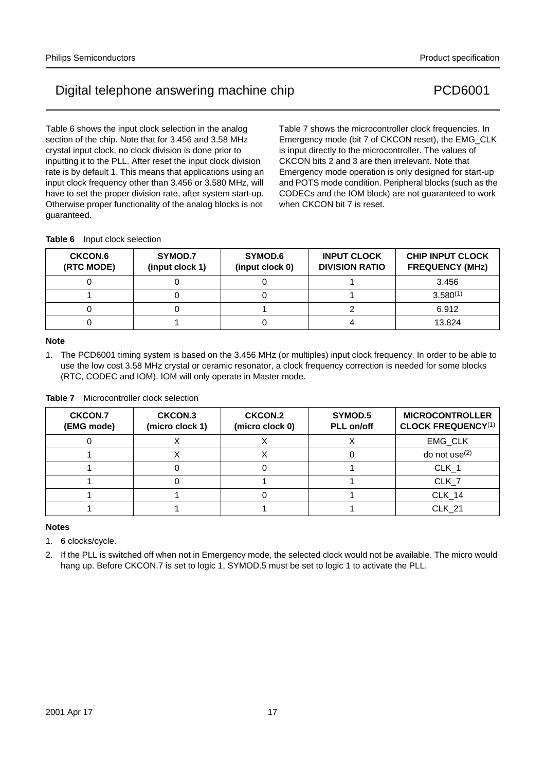Table 6 shows the input clock selection in the analog section of the chip. Note that for 3.456 and 3.58 MHz crystal input clock, no clock division is done prior to inputting it to the PLL. After reset the input clock division rate is by default 1. This means that applications using an input clock frequency other than 3.456 or 3.580 MHz, will have to set the proper division rate, after system start-up. Otherwise proper functionality of the analog blocks is not guaranteed.

Table 7 shows the microcontroller clock frequencies. In Emergency mode (bit 7 of CKCON reset), the EMG\_CLK is input directly to the microcontroller. The values of CKCON bits 2 and 3 are then irrelevant. Note that Emergency mode operation is only designed for start-up and POTS mode condition. Peripheral blocks (such as the CODECs and the IOM block) are not guaranteed to work when CKCON bit 7 is reset.

**Table 6** Input clock selection

| <b>CKCON.6</b><br>(RTC MODE) | SYMOD.7<br>(input clock 1) | SYMOD.6<br>(input clock 0) | <b>INPUT CLOCK</b><br><b>DIVISION RATIO</b> | <b>CHIP INPUT CLOCK</b><br><b>FREQUENCY (MHz)</b> |
|------------------------------|----------------------------|----------------------------|---------------------------------------------|---------------------------------------------------|
|                              |                            |                            |                                             | 3.456                                             |
|                              |                            |                            |                                             | $3.580^{(1)}$                                     |
|                              |                            |                            |                                             | 6.912                                             |
|                              |                            |                            |                                             | 13.824                                            |

### **Note**

1. The PCD6001 timing system is based on the 3.456 MHz (or multiples) input clock frequency. In order to be able to use the low cost 3.58 MHz crystal or ceramic resonator, a clock frequency correction is needed for some blocks (RTC, CODEC and IOM). IOM will only operate in Master mode.

| <b>CKCON.7</b><br>(EMG mode) | CKCON.3<br>(micro clock 1) | CKCON.2<br>(micro clock 0) | SYMOD.5<br>PLL on/off | <b>MICROCONTROLLER</b><br><b>CLOCK FREQUENCY(1)</b> |
|------------------------------|----------------------------|----------------------------|-----------------------|-----------------------------------------------------|
|                              |                            |                            |                       | EMG CLK                                             |
|                              |                            | $\lambda$                  |                       | do not use $(2)$                                    |
|                              |                            |                            |                       | CLK <sub>1</sub>                                    |
|                              |                            |                            |                       | CLK <sub>7</sub>                                    |
|                              |                            |                            |                       | CLK <sub>14</sub>                                   |
|                              |                            |                            |                       | <b>CLK 21</b>                                       |

### **Table 7** Microcontroller clock selection

### **Notes**

1. 6 clocks/cycle.

2. If the PLL is switched off when not in Emergency mode, the selected clock would not be available. The micro would hang up. Before CKCON.7 is set to logic 1, SYMOD.5 must be set to logic 1 to activate the PLL.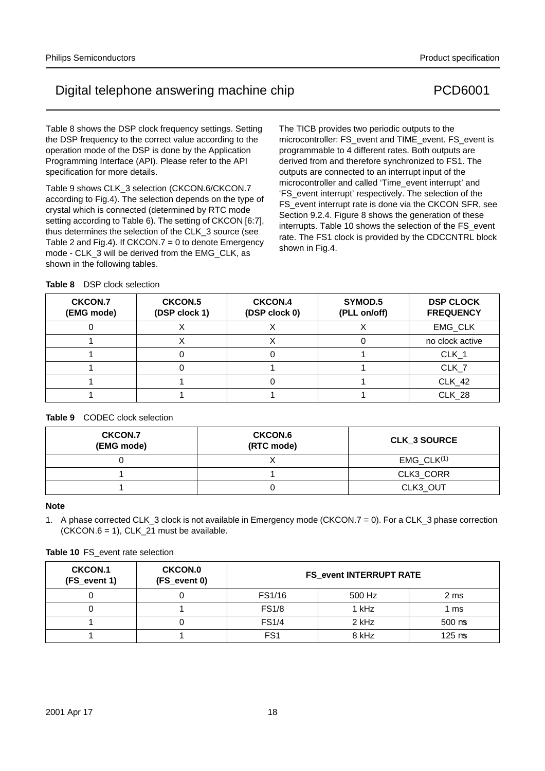Table 8 shows the DSP clock frequency settings. Setting the DSP frequency to the correct value according to the operation mode of the DSP is done by the Application Programming Interface (API). Please refer to the API specification for more details.

Table 9 shows CLK\_3 selection (CKCON.6/CKCON.7 according to Fig.4). The selection depends on the type of crystal which is connected (determined by RTC mode setting according to Table 6). The setting of CKCON [6:7], thus determines the selection of the CLK\_3 source (see Table 2 and Fig.4). If CKCON.7 = 0 to denote Emergency mode - CLK\_3 will be derived from the EMG\_CLK, as shown in the following tables.

The TICB provides two periodic outputs to the microcontroller: FS\_event and TIME\_event. FS\_event is programmable to 4 different rates. Both outputs are derived from and therefore synchronized to FS1. The outputs are connected to an interrupt input of the microcontroller and called 'Time\_event interrupt' and 'FS\_event interrupt' respectively. The selection of the FS\_event interrupt rate is done via the CKCON SFR, see Section 9.2.4. Figure 8 shows the generation of these interrupts. Table 10 shows the selection of the FS\_event rate. The FS1 clock is provided by the CDCCNTRL block shown in Fig.4.

| <b>CKCON.7</b><br>(EMG mode) | CKCON.5<br>(DSP clock 1) | <b>CKCON.4</b><br>(DSP clock 0) | SYMOD.5<br>(PLL on/off) | <b>DSP CLOCK</b><br><b>FREQUENCY</b> |
|------------------------------|--------------------------|---------------------------------|-------------------------|--------------------------------------|
|                              |                          |                                 |                         | EMG CLK                              |
|                              |                          |                                 |                         | no clock active                      |
|                              |                          |                                 |                         | CLK <sub>1</sub>                     |
|                              |                          |                                 |                         | CLK <sub>7</sub>                     |
|                              |                          |                                 |                         | CLK <sub>42</sub>                    |
|                              |                          |                                 |                         | CLK <sub>28</sub>                    |

### **Table 9** CODEC clock selection

| <b>CKCON.7</b><br>(EMG mode) | <b>CKCON.6</b><br>(RTC mode) | <b>CLK 3 SOURCE</b> |
|------------------------------|------------------------------|---------------------|
|                              |                              | $EMG$ $CLK(1)$      |
|                              |                              | CLK3_CORR           |
|                              |                              | CLK3 OUT            |

### **Note**

1. A phase corrected CLK\_3 clock is not available in Emergency mode (CKCON.7 = 0). For a CLK\_3 phase correction  $(CKCON.6 = 1)$ , CLK\_21 must be available.

|  |  |  |  | <b>Table 10 FS</b> event rate selection |
|--|--|--|--|-----------------------------------------|
|--|--|--|--|-----------------------------------------|

| <b>CKCON.1</b><br>(FS_event 1) | <b>CKCON.0</b><br>(FS_event 0) | <b>FS_event INTERRUPT RATE</b> |        |                           |  |  |  |  |
|--------------------------------|--------------------------------|--------------------------------|--------|---------------------------|--|--|--|--|
|                                |                                | FS1/16                         | 500 Hz | 2 ms                      |  |  |  |  |
|                                |                                | <b>FS1/8</b>                   | 1 kHz  | 1 ms                      |  |  |  |  |
|                                |                                | <b>FS1/4</b>                   | 2 kHz  | $500 \mu s$               |  |  |  |  |
|                                |                                | FS <sub>1</sub>                | 8 kHz  | $125 \text{ }\mu\text{s}$ |  |  |  |  |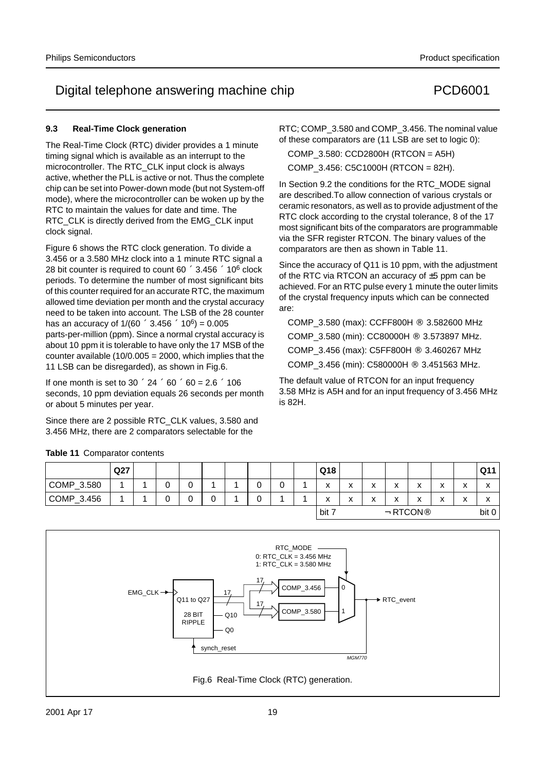### **9.3 Real-Time Clock generation**

The Real-Time Clock (RTC) divider provides a 1 minute timing signal which is available as an interrupt to the microcontroller. The RTC CLK input clock is always active, whether the PLL is active or not. Thus the complete chip can be set into Power-down mode (but not System-off mode), where the microcontroller can be woken up by the RTC to maintain the values for date and time. The RTC CLK is directly derived from the EMG CLK input clock signal.

Figure 6 shows the RTC clock generation. To divide a 3.456 or a 3.580 MHz clock into a 1 minute RTC signal a 28 bit counter is required to count  $60 \times 3.456 \times 10^6$  clock periods. To determine the number of most significant bits of this counter required for an accurate RTC, the maximum allowed time deviation per month and the crystal accuracy need to be taken into account. The LSB of the 28 counter has an accuracy of  $1/(60 \times 3.456 \times 10^6) = 0.005$ parts-per-million (ppm). Since a normal crystal accuracy is about 10 ppm it is tolerable to have only the 17 MSB of the counter available  $(10/0.005 = 2000)$ , which implies that the 11 LSB can be disregarded), as shown in Fig.6.

If one month is set to  $30 \times 24 \times 60 \times 60 = 2.6 \times 106$ seconds, 10 ppm deviation equals 26 seconds per month or about 5 minutes per year.

Since there are 2 possible RTC\_CLK values, 3.580 and 3.456 MHz, there are 2 comparators selectable for the

**Table 11** Comparator contents

RTC; COMP\_3.580 and COMP\_3.456. The nominal value of these comparators are (11 LSB are set to logic 0):

COMP\_3.580: CCD2800H (RTCON = A5H)

COMP\_3.456: C5C1000H (RTCON = 82H).

In Section 9.2 the conditions for the RTC\_MODE signal are described.To allow connection of various crystals or ceramic resonators, as well as to provide adjustment of the RTC clock according to the crystal tolerance, 8 of the 17 most significant bits of the comparators are programmable via the SFR register RTCON. The binary values of the comparators are then as shown in Table 11.

Since the accuracy of Q11 is 10 ppm, with the adjustment of the RTC via RTCON an accuracy of ±5 ppm can be achieved. For an RTC pulse every 1 minute the outer limits of the crystal frequency inputs which can be connected are:

COMP\_3.580 (max): CCFF800H  $\rightarrow$  3.582600 MHz COMP  $3.580$  (min): CC80000H  $\rightarrow$  3.573897 MHz. COMP\_3.456 (max): C5FF800H  $\rightarrow$  3.460267 MHz COMP\_3.456 (min): C580000H  $\rightarrow$  3.451563 MHz.

The default value of RTCON for an input frequency 3.58 MHz is A5H and for an input frequency of 3.456 MHz is 82H.

|                        | Q27 |  |        |   |                  |   |  | Q18                              |                   |                           |                   |           |                               |                               | Q11                           |
|------------------------|-----|--|--------|---|------------------|---|--|----------------------------------|-------------------|---------------------------|-------------------|-----------|-------------------------------|-------------------------------|-------------------------------|
| COMP_3.580             |     |  | ⌒<br>U |   |                  | ັ |  | x                                | $\checkmark$<br>́ | v<br>$\sim$               | v<br>$\mathbf{v}$ | $\lambda$ | $\overline{\phantom{a}}$<br>◠ | $\overline{\phantom{a}}$<br>́ | $\overline{\phantom{a}}$<br>́ |
| $\mathsf{COMP}\_3.456$ |     |  | ⌒<br>U | U | U                | ັ |  | X                                | $\checkmark$<br>́ | $\mathbf{v}$<br>$\lambda$ | v<br>$\mathbf{v}$ | ́         | $\overline{\phantom{a}}$<br>◠ | v<br>́                        | $\overline{\phantom{a}}$<br>́ |
|                        |     |  |        |   | $\sqrt{b}$ bit 7 |   |  | $\leftarrow$ RTCON $\rightarrow$ |                   |                           |                   | bit 0     |                               |                               |                               |

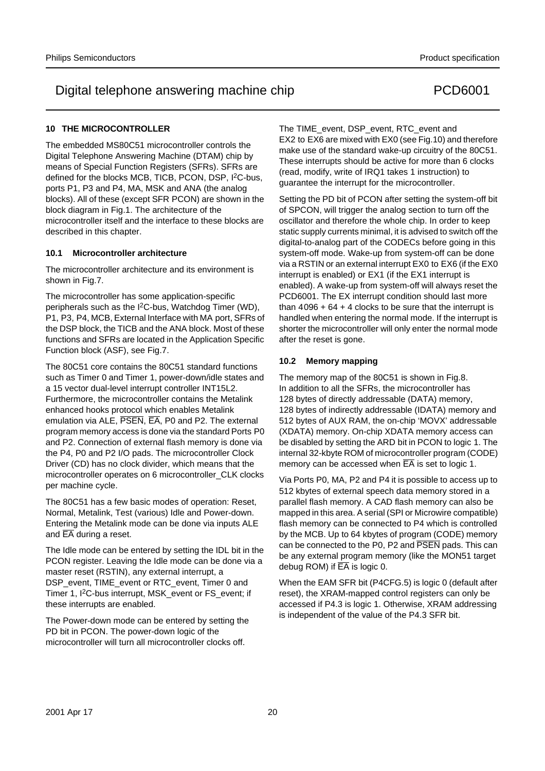## **10 THE MICROCONTROLLER**

The embedded MS80C51 microcontroller controls the Digital Telephone Answering Machine (DTAM) chip by means of Special Function Registers (SFRs). SFRs are defined for the blocks MCB, TICB, PCON, DSP, I<sup>2</sup>C-bus, ports P1, P3 and P4, MA, MSK and ANA (the analog blocks). All of these (except SFR PCON) are shown in the block diagram in Fig.1. The architecture of the microcontroller itself and the interface to these blocks are described in this chapter.

### **10.1 Microcontroller architecture**

The microcontroller architecture and its environment is shown in Fig.7.

The microcontroller has some application-specific peripherals such as the I2C-bus, Watchdog Timer (WD), P1, P3, P4, MCB, External Interface with MA port, SFRs of the DSP block, the TICB and the ANA block. Most of these functions and SFRs are located in the Application Specific Function block (ASF), see Fig.7.

The 80C51 core contains the 80C51 standard functions such as Timer 0 and Timer 1, power-down/idle states and a 15 vector dual-level interrupt controller INT15L2. Furthermore, the microcontroller contains the Metalink enhanced hooks protocol which enables Metalink emulation via ALE, PSEN, EA, P0 and P2. The external program memory access is done via the standard Ports P0 and P2. Connection of external flash memory is done via the P4, P0 and P2 I/O pads. The microcontroller Clock Driver (CD) has no clock divider, which means that the microcontroller operates on 6 microcontroller\_CLK clocks per machine cycle.

The 80C51 has a few basic modes of operation: Reset, Normal, Metalink, Test (various) Idle and Power-down. Entering the Metalink mode can be done via inputs ALE and  $\overline{EA}$  during a reset.

The Idle mode can be entered by setting the IDL bit in the PCON register. Leaving the Idle mode can be done via a master reset (RSTIN), any external interrupt, a DSP\_event, TIME\_event or RTC\_event, Timer 0 and Timer 1, I2C-bus interrupt, MSK\_event or FS\_event; if these interrupts are enabled.

The Power-down mode can be entered by setting the PD bit in PCON. The power-down logic of the microcontroller will turn all microcontroller clocks off.

The TIME\_event, DSP\_event, RTC\_event and EX2 to EX6 are mixed with EX0 (see Fig.10) and therefore make use of the standard wake-up circuitry of the 80C51. These interrupts should be active for more than 6 clocks (read, modify, write of IRQ1 takes 1 instruction) to guarantee the interrupt for the microcontroller.

Setting the PD bit of PCON after setting the system-off bit of SPCON, will trigger the analog section to turn off the oscillator and therefore the whole chip. In order to keep static supply currents minimal, it is advised to switch off the digital-to-analog part of the CODECs before going in this system-off mode. Wake-up from system-off can be done via a RSTIN or an external interrupt EX0 to EX6 (if the EX0 interrupt is enabled) or EX1 (if the EX1 interrupt is enabled). A wake-up from system-off will always reset the PCD6001. The EX interrupt condition should last more than  $4096 + 64 + 4$  clocks to be sure that the interrupt is handled when entering the normal mode. If the interrupt is shorter the microcontroller will only enter the normal mode after the reset is gone.

### **10.2 Memory mapping**

The memory map of the 80C51 is shown in Fig.8. In addition to all the SFRs, the microcontroller has 128 bytes of directly addressable (DATA) memory, 128 bytes of indirectly addressable (IDATA) memory and 512 bytes of AUX RAM, the on-chip 'MOVX' addressable (XDATA) memory. On-chip XDATA memory access can be disabled by setting the ARD bit in PCON to logic 1. The internal 32-kbyte ROM of microcontroller program (CODE) memory can be accessed when  $\overline{EA}$  is set to logic 1.

Via Ports P0, MA, P2 and P4 it is possible to access up to 512 kbytes of external speech data memory stored in a parallel flash memory. A CAD flash memory can also be mapped in this area. A serial (SPI or Microwire compatible) flash memory can be connected to P4 which is controlled by the MCB. Up to 64 kbytes of program (CODE) memory can be connected to the P0, P2 and PSEN pads. This can be any external program memory (like the MON51 target debug ROM) if  $\overline{EA}$  is logic 0.

When the EAM SFR bit (P4CFG.5) is logic 0 (default after reset), the XRAM-mapped control registers can only be accessed if P4.3 is logic 1. Otherwise, XRAM addressing is independent of the value of the P4.3 SFR bit.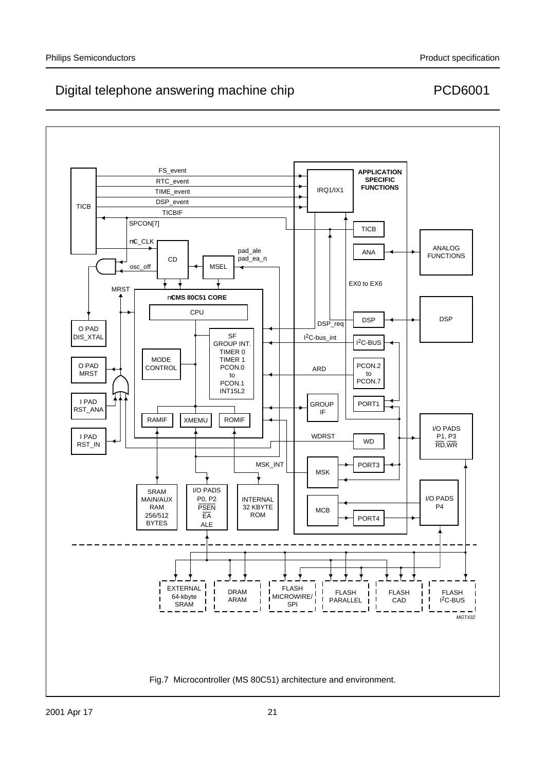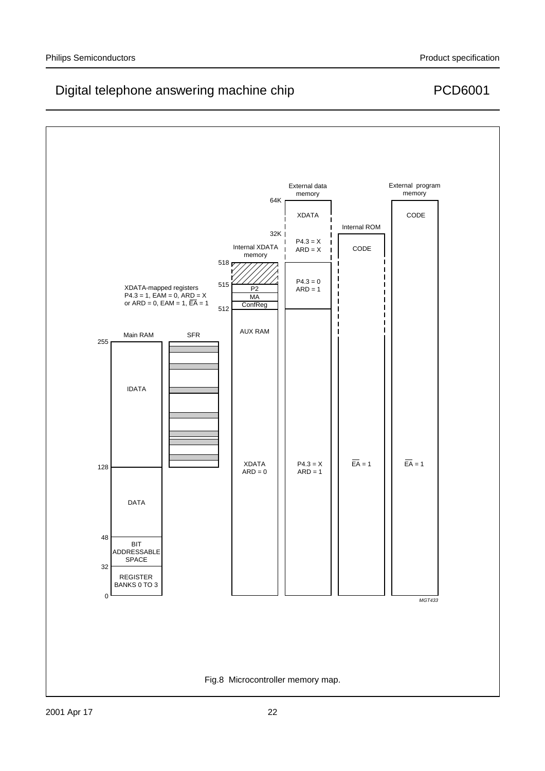

### 2001 Apr 17 22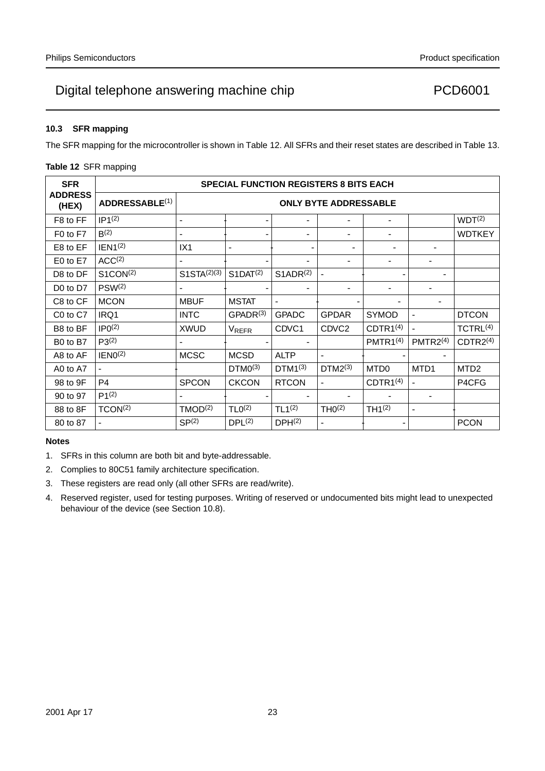# Digital telephone answering machine chip  $PCD6001$

## **10.3 SFR mapping**

The SFR mapping for the microcontroller is shown in Table 12. All SFRs and their reset states are described in Table 13.

| <b>SFR</b>              |                       | <b>SPECIAL FUNCTION REGISTERS 8 BITS EACH</b> |                          |                      |                          |                      |                          |                      |  |  |  |  |
|-------------------------|-----------------------|-----------------------------------------------|--------------------------|----------------------|--------------------------|----------------------|--------------------------|----------------------|--|--|--|--|
| <b>ADDRESS</b><br>(HEX) | <b>ADDRESSABLE(1)</b> | <b>ONLY BYTE ADDRESSABLE</b>                  |                          |                      |                          |                      |                          |                      |  |  |  |  |
| F8 to FF                | IP1 <sup>(2)</sup>    | —                                             | —                        | —                    |                          | —                    |                          | WDT <sup>(2)</sup>   |  |  |  |  |
| F0 to F7                | B(2)                  |                                               | —                        |                      |                          |                      |                          | <b>WDTKEY</b>        |  |  |  |  |
| E8 to EF                | IEN1 <sup>(2)</sup>   | IX1                                           | —                        | —                    | —                        |                      | —                        |                      |  |  |  |  |
| E0 to E7                | ACC <sup>(2)</sup>    |                                               |                          |                      |                          |                      |                          |                      |  |  |  |  |
| D8 to DF                | S1CON <sup>(2)</sup>  | $S1STA^{(2)(3)}$                              | $S1$ DAT <sup>(2)</sup>  | S1ADR <sup>(2)</sup> | $\overline{\phantom{0}}$ | —                    | $\overline{\phantom{0}}$ | —                    |  |  |  |  |
| D0 to D7                | PSW <sup>(2)</sup>    |                                               | $\overline{\phantom{0}}$ |                      | $\overline{\phantom{0}}$ | —                    |                          | —                    |  |  |  |  |
| C8 to CF                | <b>MCON</b>           | <b>MBUF</b>                                   | <b>MSTAT</b>             | —                    |                          |                      | —                        | —                    |  |  |  |  |
| C0 to C7                | IRQ1                  | <b>INTC</b>                                   | GPADR <sup>(3)</sup>     | <b>GPADC</b>         | <b>GPDAR</b>             | <b>SYMOD</b>         | $\overline{\phantom{0}}$ | <b>DTCON</b>         |  |  |  |  |
| B8 to BF                | IPO <sup>(2)</sup>    | <b>XWUD</b>                                   | <b>VREFR</b>             | CDVC <sub>1</sub>    | CDVC <sub>2</sub>        | CDTR1 <sup>(4)</sup> | $\overline{\phantom{0}}$ | TCTRL <sup>(4)</sup> |  |  |  |  |
| B0 to B7                | $P3^{(2)}$            | —                                             | $\qquad \qquad$          | —                    |                          | PMTR1 <sup>(4)</sup> | PMTR2 <sup>(4)</sup>     | CDTR2 <sup>(4)</sup> |  |  |  |  |
| A8 to AF                | IENO <sup>(2)</sup>   | <b>MCSC</b>                                   | <b>MCSD</b>              | <b>ALTP</b>          | $\overline{\phantom{0}}$ | —                    |                          | —                    |  |  |  |  |
| A0 to A7                | $\qquad \qquad -$     |                                               | $DTMO^{(3)}$             | $DTM1^{(3)}$         | $DTM2^{(3)}$             | MTD <sub>0</sub>     | MTD1                     | MTD <sub>2</sub>     |  |  |  |  |
| 98 to 9F                | P4                    | <b>SPCON</b>                                  | <b>CKCON</b>             | <b>RTCON</b>         | $\qquad \qquad$          | CDTR1 <sup>(4)</sup> | $\qquad \qquad -$        | P4CFG                |  |  |  |  |
| 90 to 97                | $P1^{(2)}$            |                                               |                          | —                    | $\overline{\phantom{0}}$ | —                    | $\qquad \qquad -$        | $\qquad \qquad -$    |  |  |  |  |
| 88 to 8F                | TCON <sup>(2)</sup>   | TMOD <sup>(2)</sup>                           | TLO <sup>(2)</sup>       | TL1 <sup>(2)</sup>   | THO <sup>(2)</sup>       | TH1 <sup>(2)</sup>   |                          | —                    |  |  |  |  |
| 80 to 87                |                       | SP(2)                                         | DPL(2)                   | DPH <sup>(2)</sup>   |                          |                      |                          | <b>PCON</b>          |  |  |  |  |

## **Notes**

- 1. SFRs in this column are both bit and byte-addressable.
- 2. Complies to 80C51 family architecture specification.
- 3. These registers are read only (all other SFRs are read/write).
- 4. Reserved register, used for testing purposes. Writing of reserved or undocumented bits might lead to unexpected behaviour of the device (see Section 10.8).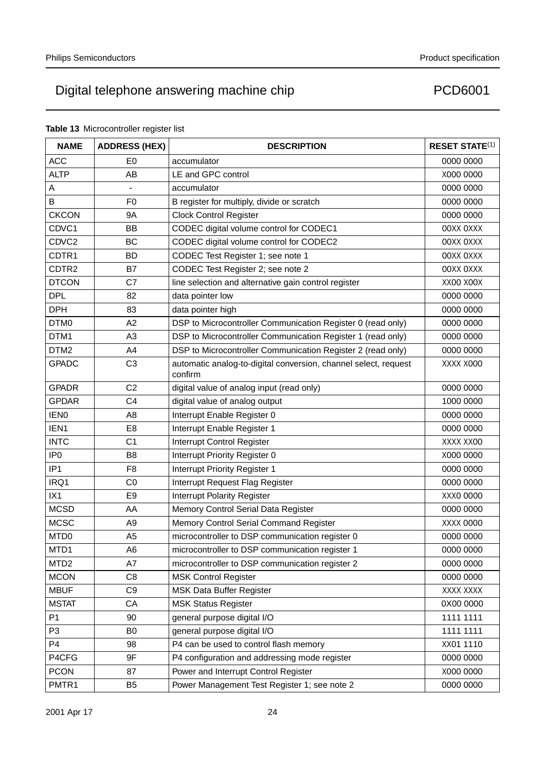## **Table 13** Microcontroller register list

| <b>NAME</b>       | <b>ADDRESS (HEX)</b> | <b>DESCRIPTION</b>                                                         | <b>RESET STATE(1)</b> |
|-------------------|----------------------|----------------------------------------------------------------------------|-----------------------|
| <b>ACC</b>        | E <sub>0</sub>       | accumulator                                                                | 0000 0000             |
| <b>ALTP</b>       | AB                   | LE and GPC control                                                         | X000 0000             |
| А                 |                      | accumulator                                                                | 0000 0000             |
| B                 | F <sub>0</sub>       | B register for multiply, divide or scratch                                 | 0000 0000             |
| <b>CKCON</b>      | <b>9A</b>            | <b>Clock Control Register</b>                                              | 0000 0000             |
| CDVC1             | BB                   | CODEC digital volume control for CODEC1                                    | <b>OOXX OXXX</b>      |
| CDVC2             | <b>BC</b>            | CODEC digital volume control for CODEC2                                    | <b>OOXX OXXX</b>      |
| CDTR1             | <b>BD</b>            | CODEC Test Register 1; see note 1                                          | <b>OOXX OXXX</b>      |
| CDTR <sub>2</sub> | B7                   | CODEC Test Register 2; see note 2                                          | <b>OOXX OXXX</b>      |
| <b>DTCON</b>      | C7                   | line selection and alternative gain control register                       | XX00 X00X             |
| <b>DPL</b>        | 82                   | data pointer low                                                           | 0000 0000             |
| <b>DPH</b>        | 83                   | data pointer high                                                          | 0000 0000             |
| DTM <sub>0</sub>  | A2                   | DSP to Microcontroller Communication Register 0 (read only)                | 0000 0000             |
| DTM1              | A <sub>3</sub>       | DSP to Microcontroller Communication Register 1 (read only)                | 0000 0000             |
| DTM <sub>2</sub>  | A4                   | DSP to Microcontroller Communication Register 2 (read only)                | 0000 0000             |
| <b>GPADC</b>      | C <sub>3</sub>       | automatic analog-to-digital conversion, channel select, request<br>confirm | XXXX X000             |
| <b>GPADR</b>      | C <sub>2</sub>       | digital value of analog input (read only)                                  | 0000 0000             |
| <b>GPDAR</b>      | C4                   | digital value of analog output                                             | 1000 0000             |
| <b>IEN0</b>       | A <sub>8</sub>       | Interrupt Enable Register 0                                                | 0000 0000             |
| IEN1              | E8                   | Interrupt Enable Register 1                                                | 0000 0000             |
| <b>INTC</b>       | C <sub>1</sub>       | Interrupt Control Register                                                 | XXXX XX00             |
| IP <sub>0</sub>   | B <sub>8</sub>       | Interrupt Priority Register 0                                              | X000 0000             |
| IP <sub>1</sub>   | F <sub>8</sub>       | Interrupt Priority Register 1                                              | 0000 0000             |
| IRQ1              | CO                   | Interrupt Request Flag Register                                            | 0000 0000             |
| IX1               | E9                   | <b>Interrupt Polarity Register</b>                                         | XXX0 0000             |
| <b>MCSD</b>       | AA                   | Memory Control Serial Data Register                                        | 0000 0000             |
| <b>MCSC</b>       | A <sub>9</sub>       | Memory Control Serial Command Register                                     | XXXX 0000             |
| MTD <sub>0</sub>  | A <sub>5</sub>       | microcontroller to DSP communication register 0                            | 0000 0000             |
| MTD1              | A6                   | microcontroller to DSP communication register 1                            | 0000 0000             |
| MTD <sub>2</sub>  | A7                   | microcontroller to DSP communication register 2                            | 0000 0000             |
| <b>MCON</b>       | C8                   | <b>MSK Control Register</b>                                                | 0000 0000             |
| <b>MBUF</b>       | C <sub>9</sub>       | MSK Data Buffer Register                                                   | XXXX XXXX             |
| <b>MSTAT</b>      | CA                   | <b>MSK Status Register</b>                                                 | 0X00 0000             |
| P <sub>1</sub>    | 90                   | general purpose digital I/O                                                | 1111 1111             |
| P <sub>3</sub>    | B <sub>0</sub>       | general purpose digital I/O                                                | 1111 1111             |
| P <sub>4</sub>    | 98                   | P4 can be used to control flash memory                                     | XX01 1110             |
| P4CFG             | 9F                   | P4 configuration and addressing mode register                              | 0000 0000             |
| <b>PCON</b>       | 87                   | Power and Interrupt Control Register                                       | X000 0000             |
| PMTR1             | B <sub>5</sub>       | Power Management Test Register 1; see note 2                               | 0000 0000             |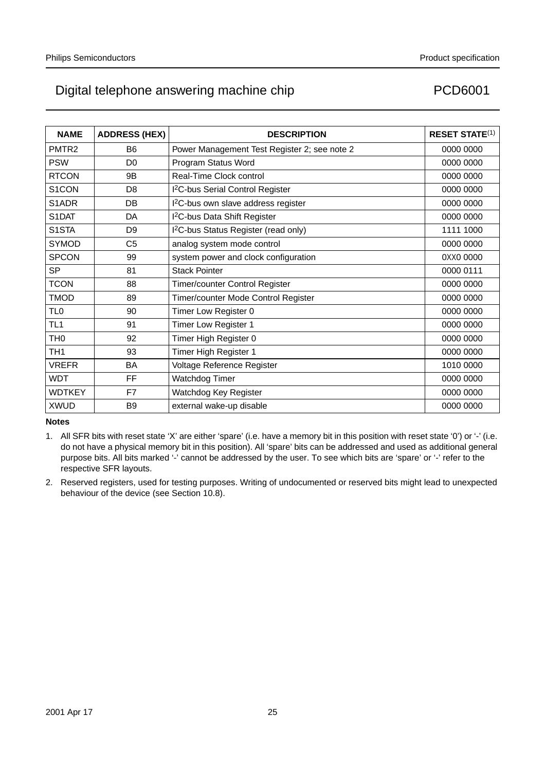# Digital telephone answering machine chip  $PCD6001$

| <b>NAME</b>       | <b>ADDRESS (HEX)</b> | <b>DESCRIPTION</b>                               | <b>RESET STATE(1)</b> |
|-------------------|----------------------|--------------------------------------------------|-----------------------|
| PMTR <sub>2</sub> | B <sub>6</sub>       | Power Management Test Register 2; see note 2     | 0000 0000             |
| <b>PSW</b>        | D <sub>0</sub>       | Program Status Word                              | 0000 0000             |
| <b>RTCON</b>      | 9 <sub>B</sub>       | Real-Time Clock control                          | 0000 0000             |
| S1CON             | D <sub>8</sub>       | I <sup>2</sup> C-bus Serial Control Register     | 0000 0000             |
| S1ADR             | DB                   | I <sup>2</sup> C-bus own slave address register  | 0000 0000             |
| S1DAT             | DA                   | I <sup>2</sup> C-bus Data Shift Register         | 0000 0000             |
| S1STA             | D <sub>9</sub>       | I <sup>2</sup> C-bus Status Register (read only) | 1111 1000             |
| <b>SYMOD</b>      | C <sub>5</sub>       | analog system mode control                       | 0000 0000             |
| <b>SPCON</b>      | 99                   | system power and clock configuration             | 0XX0 0000             |
| <b>SP</b>         | 81                   | <b>Stack Pointer</b>                             | 0000 0111             |
| <b>TCON</b>       | 88                   | Timer/counter Control Register                   | 0000 0000             |
| <b>TMOD</b>       | 89                   | Timer/counter Mode Control Register              | 0000 0000             |
| TL <sub>0</sub>   | 90                   | Timer Low Register 0                             | 0000 0000             |
| TL <sub>1</sub>   | 91                   | Timer Low Register 1                             | 0000 0000             |
| TH <sub>0</sub>   | 92                   | Timer High Register 0                            | 0000 0000             |
| TH <sub>1</sub>   | 93                   | Timer High Register 1                            | 0000 0000             |
| <b>VREFR</b>      | BA                   | Voltage Reference Register                       | 1010 0000             |
| <b>WDT</b>        | FF                   | Watchdog Timer                                   | 0000 0000             |
| <b>WDTKEY</b>     | F7                   | Watchdog Key Register                            | 0000 0000             |
| <b>XWUD</b>       | B <sub>9</sub>       | external wake-up disable                         | 0000 0000             |

### **Notes**

- 1. All SFR bits with reset state 'X' are either 'spare' (i.e. have a memory bit in this position with reset state '0') or '-' (i.e. do not have a physical memory bit in this position). All 'spare' bits can be addressed and used as additional general purpose bits. All bits marked '-' cannot be addressed by the user. To see which bits are 'spare' or '-' refer to the respective SFR layouts.
- 2. Reserved registers, used for testing purposes. Writing of undocumented or reserved bits might lead to unexpected behaviour of the device (see Section 10.8).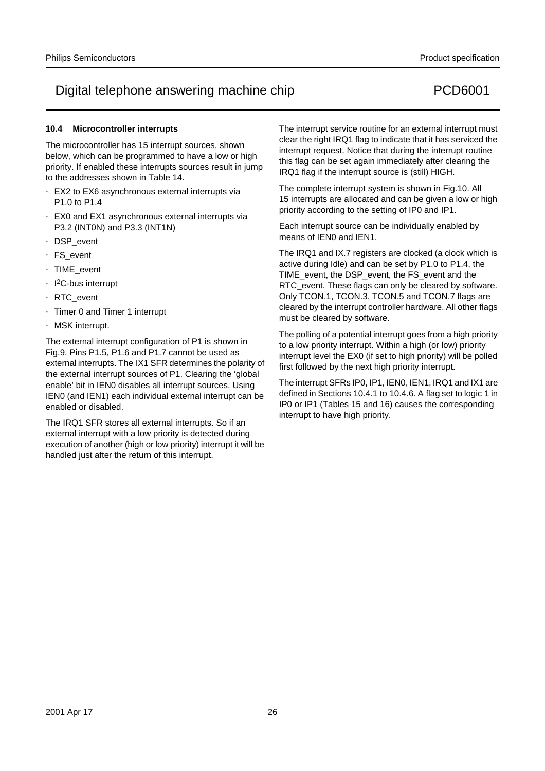### **10.4 Microcontroller interrupts**

The microcontroller has 15 interrupt sources, shown below, which can be programmed to have a low or high priority. If enabled these interrupts sources result in jump to the addresses shown in Table 14.

- EX2 to EX6 asynchronous external interrupts via P1.0 to P1.4
- EX0 and EX1 asynchronous external interrupts via P3.2 (INT0N) and P3.3 (INT1N)
- DSP\_event
- FS\_event
- TIME\_event
- I<sup>2</sup>C-bus interrupt
- RTC\_event
- Timer 0 and Timer 1 interrupt
- MSK interrupt.

The external interrupt configuration of P1 is shown in Fig.9. Pins P1.5, P1.6 and P1.7 cannot be used as external interrupts. The IX1 SFR determines the polarity of the external interrupt sources of P1. Clearing the 'global enable' bit in IEN0 disables all interrupt sources. Using IEN0 (and IEN1) each individual external interrupt can be enabled or disabled.

The IRQ1 SFR stores all external interrupts. So if an external interrupt with a low priority is detected during execution of another (high or low priority) interrupt it will be handled just after the return of this interrupt.

The interrupt service routine for an external interrupt must clear the right IRQ1 flag to indicate that it has serviced the interrupt request. Notice that during the interrupt routine this flag can be set again immediately after clearing the IRQ1 flag if the interrupt source is (still) HIGH.

The complete interrupt system is shown in Fig.10. All 15 interrupts are allocated and can be given a low or high priority according to the setting of IP0 and IP1.

Each interrupt source can be individually enabled by means of IEN0 and IEN1.

The IRQ1 and IX.7 registers are clocked (a clock which is active during Idle) and can be set by P1.0 to P1.4, the TIME\_event, the DSP\_event, the FS\_event and the RTC\_event. These flags can only be cleared by software. Only TCON.1, TCON.3, TCON.5 and TCON.7 flags are cleared by the interrupt controller hardware. All other flags must be cleared by software.

The polling of a potential interrupt goes from a high priority to a low priority interrupt. Within a high (or low) priority interrupt level the EX0 (if set to high priority) will be polled first followed by the next high priority interrupt.

The interrupt SFRs IP0, IP1, IEN0, IEN1, IRQ1 and IX1 are defined in Sections 10.4.1 to 10.4.6. A flag set to logic 1 in IP0 or IP1 (Tables 15 and 16) causes the corresponding interrupt to have high priority.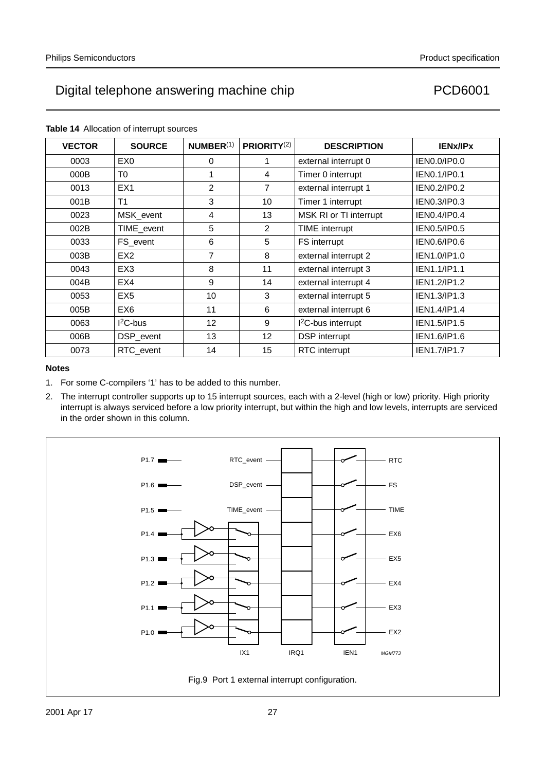**VECTOR SOURCE NUMBER**(1) **PRIORITY**(2) **DESCRIPTION IENx/IPx** 0003 EX0 | 0 1 external interrupt 0 | IEN0.0/IP0.0 000B | T0 | 1 | 4 | Timer 0 interrupt | IEN0.1/IP0.1 0013 EX1 2 7 external interrupt 1 IEN0.2/IP0.2 001B | T1 | 3 | 10 | Timer 1 interrupt | IEN0.3/IP0.3 0023 | MSK\_event | 4 | 13 | MSK RI or TI interrupt | IEN0.4/IP0.4 002B TIME\_event 5 2 TIME interrupt IEN0.5/IP0.5 0033 | FS event | 6 | 5 | FS interrupt | IEN0.6/IP0.6 003B | EX2 | 7 | 8 | external interrupt 2 | IEN1.0/IP1.0 0043 **EX3** 8 11 external interrupt 3 **IEN1.1/IP1.1** 004B EX4 9 14 external interrupt 4 IEN1.2/IP1.2 0053 | EX5 | 10 | 3 | external interrupt 5 | IEN1.3/IP1.3 005B EX6 11 6 external interrupt 6 IEN1.4/IP1.4 0063 | I<sup>2</sup>C-bus | 12 9 | I<sup>2</sup>C-bus interrupt | IEN1.5/IP1.5 006B | DSP\_event | 13 | 12 | DSP interrupt | IEN1.6/IP1.6 0073 RTC\_event | 14 | 15 RTC interrupt | IEN1.7/IP1.7

### **Table 14** Allocation of interrupt sources

## **Notes**

2. The interrupt controller supports up to 15 interrupt sources, each with a 2-level (high or low) priority. High priority interrupt is always serviced before a low priority interrupt, but within the high and low levels, interrupts are serviced in the order shown in this column.



<sup>1.</sup> For some C-compilers '1' has to be added to this number.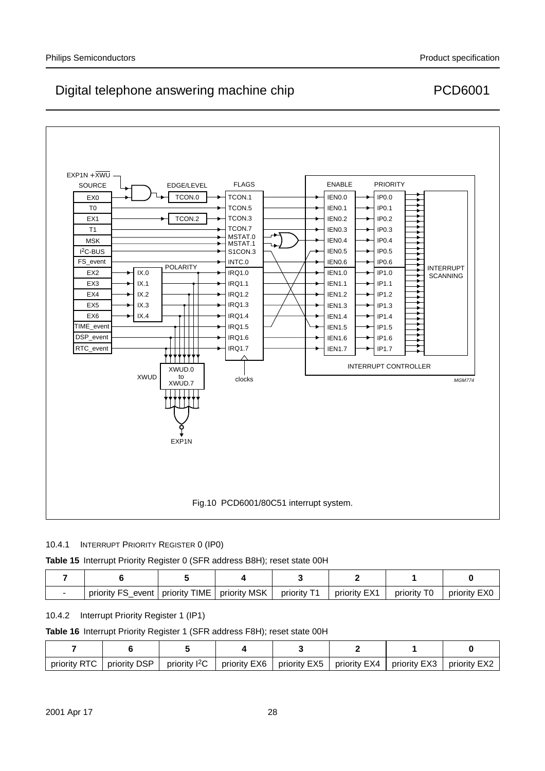

### 10.4.1 INTERRUPT PRIORITY REGISTER 0 (IP0)

## **Table 15** Interrupt Priority Register 0 (SFR address B8H); reset state 00H

| priority FS<br>event | priority TIME | priority MSK | priority T1 | priority EX1 | ТO<br>priority | priority EXC |
|----------------------|---------------|--------------|-------------|--------------|----------------|--------------|

## 10.4.2 Interrupt Priority Register 1 (IP1)

### **Table 16** Interrupt Priority Register 1 (SFR address F8H); reset state 00H

| priority RTC | priority DSP | priority <sup>2</sup> C | priority EX6 | priority EX5 | priority $EX4$ | priority EX3 | priority EX2 |
|--------------|--------------|-------------------------|--------------|--------------|----------------|--------------|--------------|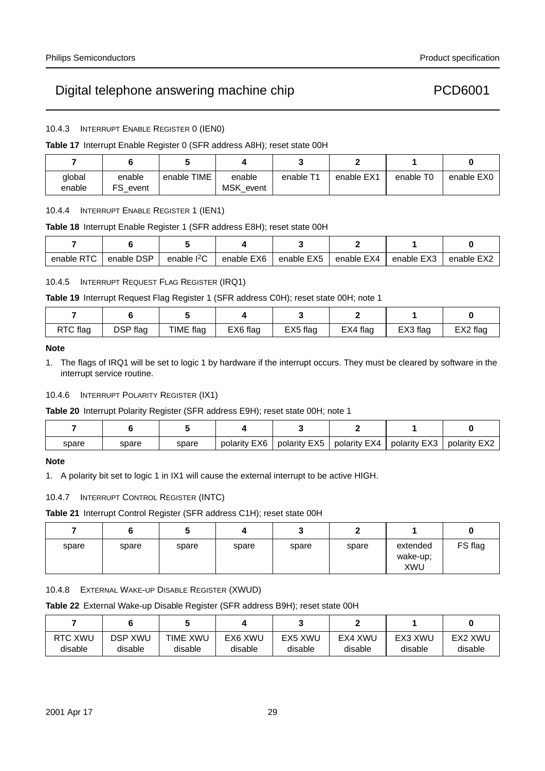# Digital telephone answering machine chip PCD6001

10.4.3 INTERRUPT ENABLE REGISTER 0 (IEN0)

### **Table 17** Interrupt Enable Register 0 (SFR address A8H); reset state 00H

| global<br>enable | enable<br>FS.<br>event | enable TIME | enable<br>MSK event | enable T1 | enable EX1 | enable T <sub>0</sub> | enable EX0 |
|------------------|------------------------|-------------|---------------------|-----------|------------|-----------------------|------------|

### 10.4.4 INTERRUPT ENABLE REGISTER 1 (IEN1)

### **Table 18** Interrupt Enable Register 1 (SFR address E8H); reset state 00H

| <b>RTC</b><br>enable | enable DSP | enable $12C$ | enable EX6 | enable EX5 | enable EX4 | enable EX3 | enable EX <sup>-</sup> |
|----------------------|------------|--------------|------------|------------|------------|------------|------------------------|

### 10.4.5 INTERRUPT REQUEST FLAG REGISTER (IRQ1)

### **Table 19** Interrupt Request Flag Register 1 (SFR address C0H); reset state 00H; note 1

| RTC flag | DSP flag | TIME flag | EX6 flag | EX5 flag | EX4 flag | EX3 flag | EX2 flag |
|----------|----------|-----------|----------|----------|----------|----------|----------|

### **Note**

1. The flags of IRQ1 will be set to logic 1 by hardware if the interrupt occurs. They must be cleared by software in the interrupt service routine.

### 10.4.6 INTERRUPT POLARITY REGISTER (IX1)

**Table 20** Interrupt Polarity Register (SFR address E9H); reset state 00H; note 1

| spare | spare | spare | polarity EX6 | polarity EX5 | polarity EX4 | polarity EX3 | polarity EX2 |
|-------|-------|-------|--------------|--------------|--------------|--------------|--------------|

### **Note**

1. A polarity bit set to logic 1 in IX1 will cause the external interrupt to be active HIGH.

### 10.4.7 INTERRUPT CONTROL REGISTER (INTC)

**Table 21** Interrupt Control Register (SFR address C1H); reset state 00H

|       |       |       |       | v     |       |                             | w       |
|-------|-------|-------|-------|-------|-------|-----------------------------|---------|
| spare | spare | spare | spare | spare | spare | extended<br>wake-up;<br>XWU | FS flag |

10.4.8 EXTERNAL WAKE-UP DISABLE REGISTER (XWUD)

**Table 22** External Wake-up Disable Register (SFR address B9H); reset state 00H

| RTC XWU | <b>DSP XWU</b> | <b>TIME XWU</b> | EX6 XWU | EX5 XWU | EX4 XWU | EX3 XWU | EX2 XWU |
|---------|----------------|-----------------|---------|---------|---------|---------|---------|
| disable | disable        | disable         | disable | disable | disable | disable | disable |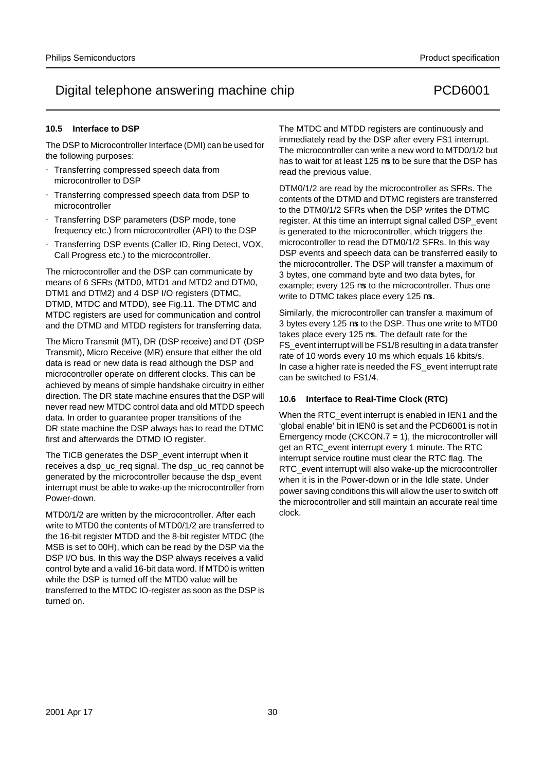## **10.5 Interface to DSP**

The DSP to Microcontroller Interface (DMI) can be used for the following purposes:

- Transferring compressed speech data from microcontroller to DSP
- Transferring compressed speech data from DSP to microcontroller
- Transferring DSP parameters (DSP mode, tone frequency etc.) from microcontroller (API) to the DSP
- Transferring DSP events (Caller ID, Ring Detect, VOX, Call Progress etc.) to the microcontroller.

The microcontroller and the DSP can communicate by means of 6 SFRs (MTD0, MTD1 and MTD2 and DTM0, DTM1 and DTM2) and 4 DSP I/O registers (DTMC, DTMD, MTDC and MTDD), see Fig.11. The DTMC and MTDC registers are used for communication and control and the DTMD and MTDD registers for transferring data.

The Micro Transmit (MT), DR (DSP receive) and DT (DSP Transmit), Micro Receive (MR) ensure that either the old data is read or new data is read although the DSP and microcontroller operate on different clocks. This can be achieved by means of simple handshake circuitry in either direction. The DR state machine ensures that the DSP will never read new MTDC control data and old MTDD speech data. In order to guarantee proper transitions of the DR state machine the DSP always has to read the DTMC first and afterwards the DTMD IO register.

The TICB generates the DSP\_event interrupt when it receives a dsp\_uc\_req signal. The dsp\_uc\_req cannot be generated by the microcontroller because the dsp\_event interrupt must be able to wake-up the microcontroller from Power-down.

MTD0/1/2 are written by the microcontroller. After each write to MTD0 the contents of MTD0/1/2 are transferred to the 16-bit register MTDD and the 8-bit register MTDC (the MSB is set to 00H), which can be read by the DSP via the DSP I/O bus. In this way the DSP always receives a valid control byte and a valid 16-bit data word. If MTD0 is written while the DSP is turned off the MTD0 value will be transferred to the MTDC IO-register as soon as the DSP is turned on.

The MTDC and MTDD registers are continuously and immediately read by the DSP after every FS1 interrupt. The microcontroller can write a new word to MTD0/1/2 but has to wait for at least 125  $\mu$ s to be sure that the DSP has read the previous value.

DTM0/1/2 are read by the microcontroller as SFRs. The contents of the DTMD and DTMC registers are transferred to the DTM0/1/2 SFRs when the DSP writes the DTMC register. At this time an interrupt signal called DSP\_event is generated to the microcontroller, which triggers the microcontroller to read the DTM0/1/2 SFRs. In this way DSP events and speech data can be transferred easily to the microcontroller. The DSP will transfer a maximum of 3 bytes, one command byte and two data bytes, for example; every 125 µs to the microcontroller. Thus one write to DTMC takes place every 125 µs.

Similarly, the microcontroller can transfer a maximum of 3 bytes every 125 µs to the DSP. Thus one write to MTD0 takes place every 125 µs. The default rate for the FS\_event interrupt will be FS1/8 resulting in a data transfer rate of 10 words every 10 ms which equals 16 kbits/s. In case a higher rate is needed the FS\_event interrupt rate can be switched to FS1/4.

### **10.6 Interface to Real-Time Clock (RTC)**

When the RTC\_event interrupt is enabled in IEN1 and the 'global enable' bit in IEN0 is set and the PCD6001 is not in Emergency mode (CKCON.7 = 1), the microcontroller will get an RTC\_event interrupt every 1 minute. The RTC interrupt service routine must clear the RTC flag. The RTC event interrupt will also wake-up the microcontroller when it is in the Power-down or in the Idle state. Under power saving conditions this will allow the user to switch off the microcontroller and still maintain an accurate real time clock.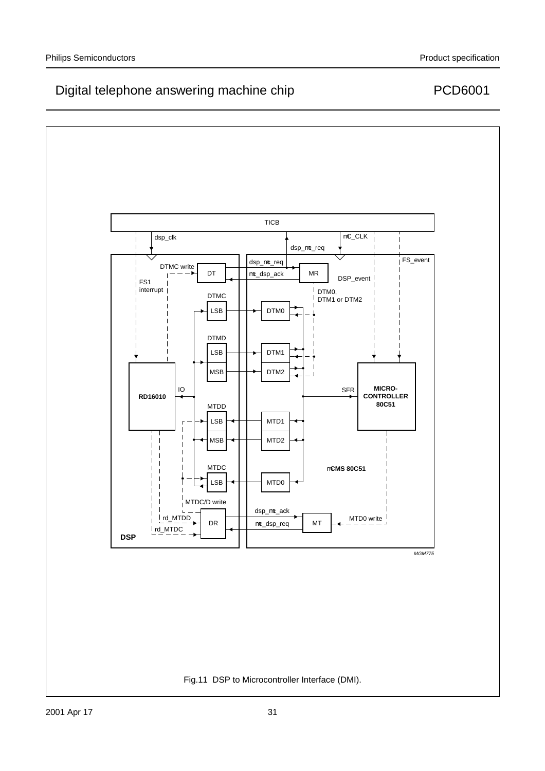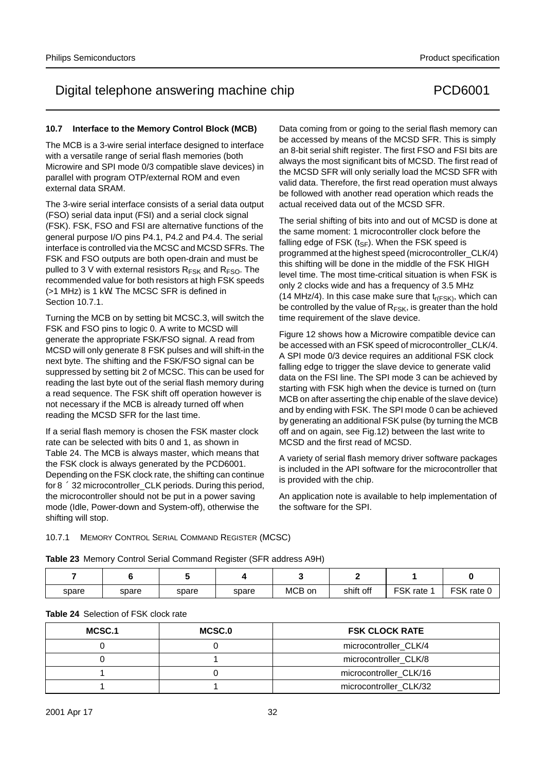# Digital telephone answering machine chip PCD6001

### **10.7 Interface to the Memory Control Block (MCB)**

The MCB is a 3-wire serial interface designed to interface with a versatile range of serial flash memories (both Microwire and SPI mode 0/3 compatible slave devices) in parallel with program OTP/external ROM and even external data SRAM.

The 3-wire serial interface consists of a serial data output (FSO) serial data input (FSI) and a serial clock signal (FSK). FSK, FSO and FSI are alternative functions of the general purpose I/O pins P4.1, P4.2 and P4.4. The serial interface is controlled via the MCSC and MCSD SFRs. The FSK and FSO outputs are both open-drain and must be pulled to 3 V with external resistors  $R_{FSK}$  and  $R_{FSO}$ . The recommended value for both resistors at high FSK speeds (>1 MHz) is 1 kΩ. The MCSC SFR is defined in Section 10.7.1.

Turning the MCB on by setting bit MCSC.3, will switch the FSK and FSO pins to logic 0. A write to MCSD will generate the appropriate FSK/FSO signal. A read from MCSD will only generate 8 FSK pulses and will shift-in the next byte. The shifting and the FSK/FSO signal can be suppressed by setting bit 2 of MCSC. This can be used for reading the last byte out of the serial flash memory during a read sequence. The FSK shift off operation however is not necessary if the MCB is already turned off when reading the MCSD SFR for the last time.

If a serial flash memory is chosen the FSK master clock rate can be selected with bits 0 and 1, as shown in Table 24. The MCB is always master, which means that the FSK clock is always generated by the PCD6001. Depending on the FSK clock rate, the shifting can continue for  $8 \times 32$  microcontroller\_CLK periods. During this period, the microcontroller should not be put in a power saving mode (Idle, Power-down and System-off), otherwise the shifting will stop.

Data coming from or going to the serial flash memory can be accessed by means of the MCSD SFR. This is simply an 8-bit serial shift register. The first FSO and FSI bits are always the most significant bits of MCSD. The first read of the MCSD SFR will only serially load the MCSD SFR with valid data. Therefore, the first read operation must always be followed with another read operation which reads the actual received data out of the MCSD SFR.

The serial shifting of bits into and out of MCSD is done at the same moment: 1 microcontroller clock before the falling edge of FSK  $(t_{SF})$ . When the FSK speed is programmed at the highest speed (microcontroller\_CLK/4) this shifting will be done in the middle of the FSK HIGH level time. The most time-critical situation is when FSK is only 2 clocks wide and has a frequency of 3.5 MHz (14 MHz/4). In this case make sure that  $t_{r(FSK)}$ , which can be controlled by the value of  $R_{FSK}$ , is greater than the hold time requirement of the slave device.

Figure 12 shows how a Microwire compatible device can be accessed with an FSK speed of microcontroller\_CLK/4. A SPI mode 0/3 device requires an additional FSK clock falling edge to trigger the slave device to generate valid data on the FSI line. The SPI mode 3 can be achieved by starting with FSK high when the device is turned on (turn MCB on after asserting the chip enable of the slave device) and by ending with FSK. The SPI mode 0 can be achieved by generating an additional FSK pulse (by turning the MCB off and on again, see Fig.12) between the last write to MCSD and the first read of MCSD.

A variety of serial flash memory driver software packages is included in the API software for the microcontroller that is provided with the chip.

An application note is available to help implementation of the software for the SPI.

## 10.7.1 MEMORY CONTROL SERIAL COMMAND REGISTER (MCSC)

**Table 23** Memory Control Serial Command Register (SFR address A9H)

| spare | spare | spare | spare | MCB on | shift off | <b>FSK</b><br>rate | <b>LCK</b><br>rate 0 |
|-------|-------|-------|-------|--------|-----------|--------------------|----------------------|

### **Table 24** Selection of FSK clock rate

| MCSC.1 | MCSC.0 | <b>FSK CLOCK RATE</b>  |
|--------|--------|------------------------|
|        |        | microcontroller_CLK/4  |
|        |        | microcontroller_CLK/8  |
|        |        | microcontroller_CLK/16 |
|        |        | microcontroller_CLK/32 |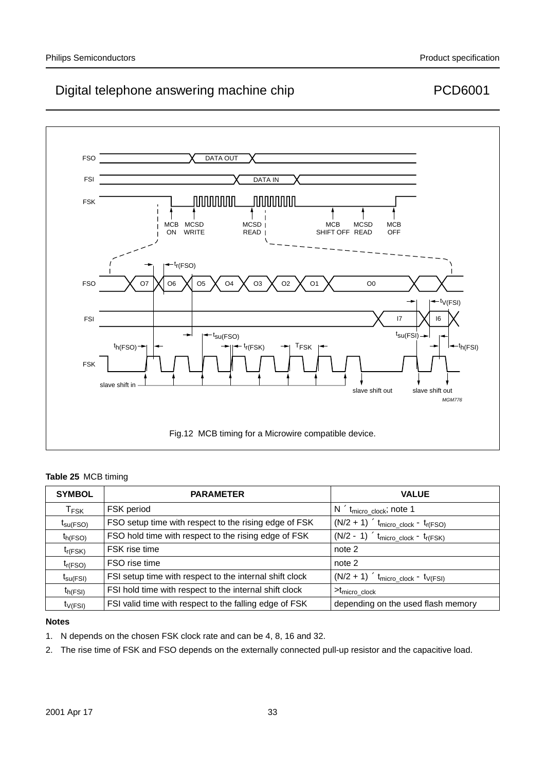

## **Table 25** MCB timing

| <b>SYMBOL</b>               | <b>PARAMETER</b>                                        | <b>VALUE</b>                                      |
|-----------------------------|---------------------------------------------------------|---------------------------------------------------|
| $\mathsf{T}_{\mathsf{FSK}}$ | FSK period                                              | $N \times t_{micro\_clock}$ ; note 1              |
| $t_{\text{SU(FSO)}}$        | FSO setup time with respect to the rising edge of FSK   | $(N/2 + 1) \times t_{micro\_clock} - t_{r(FSO)}$  |
| $t_{h(FSO)}$                | FSO hold time with respect to the rising edge of FSK    | $(N/2 - 1) \times t_{micro\_clock} - t_{r(FSK)}$  |
| $t_{r(FSK)}$                | FSK rise time                                           | note 2                                            |
| $t_{r(FSO)}$                | FSO rise time                                           | note 2                                            |
| $t_{\text{su(FSI)}}$        | FSI setup time with respect to the internal shift clock | $t(N/2 + 1) \times t_{micro\_clock} - t_{V(FSI)}$ |
| $t_{h(FSI)}$                | FSI hold time with respect to the internal shift clock  | $> t_{micro}$ clock                               |
| $t_{V(FSI)}$                | FSI valid time with respect to the falling edge of FSK  | depending on the used flash memory                |

### **Notes**

- 1. N depends on the chosen FSK clock rate and can be 4, 8, 16 and 32.
- 2. The rise time of FSK and FSO depends on the externally connected pull-up resistor and the capacitive load.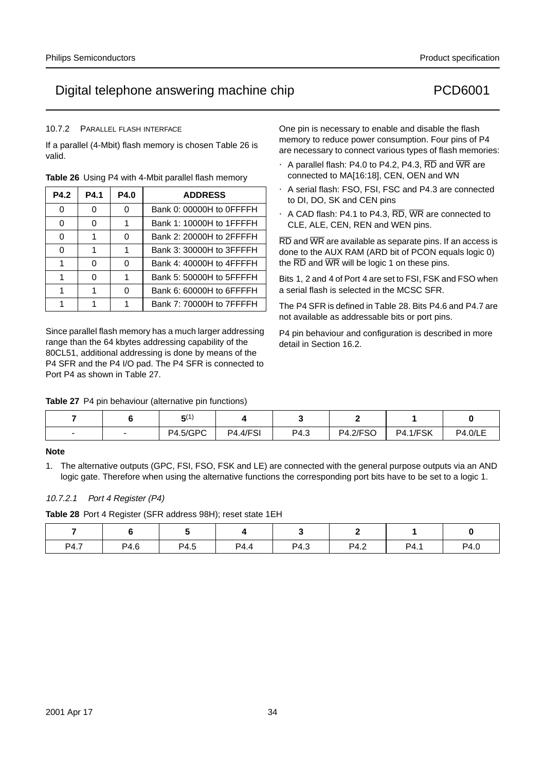### 10.7.2 PARALLEL FLASH INTERFACE

If a parallel (4-Mbit) flash memory is chosen Table 26 is valid.

| P4.2 | <b>P4.1</b> | <b>P4.0</b> | <b>ADDRESS</b>           |
|------|-------------|-------------|--------------------------|
| 0    | O           | U           | Bank 0: 00000H to 0FFFFH |
| 0    | 0           |             | Bank 1: 10000H to 1FFFFH |
| ∩    |             | U           | Bank 2: 20000H to 2FFFFH |
| ∩    |             |             | Bank 3: 30000H to 3FFFFH |
|      | O           | O           | Bank 4: 40000H to 4FFFFH |
|      | O           |             | Bank 5: 50000H to 5FFFFH |
|      |             | ∩           | Bank 6: 60000H to 6FFFFH |
|      |             |             | Bank 7: 70000H to 7FFFFH |

**Table 26** Using P4 with 4-Mbit parallel flash memory

Since parallel flash memory has a much larger addressing range than the 64 kbytes addressing capability of the 80CL51, additional addressing is done by means of the P4 SFR and the P4 I/O pad. The P4 SFR is connected to Port P4 as shown in Table 27.

**Table 27** P4 pin behaviour (alternative pin functions)

One pin is necessary to enable and disable the flash memory to reduce power consumption. Four pins of P4 are necessary to connect various types of flash memories:

- A parallel flash: P4.0 to P4.2, P4.3,  $\overline{RD}$  and  $\overline{WR}$  are connected to MA[16:18], CEN, OEN and WN
- A serial flash: FSO, FSI, FSC and P4.3 are connected to DI, DO, SK and CEN pins
- A CAD flash: P4.1 to P4.3, RD, WR are connected to CLE, ALE, CEN, REN and WEN pins.

 $\overline{\text{RD}}$  and  $\overline{\text{WR}}$  are available as separate pins. If an access is done to the AUX RAM (ARD bit of PCON equals logic 0) the  $\overline{\text{RD}}$  and  $\overline{\text{WR}}$  will be logic 1 on these pins.

Bits 1, 2 and 4 of Port 4 are set to FSI, FSK and FSO when a serial flash is selected in the MCSC SFR.

The P4 SFR is defined in Table 28. Bits P4.6 and P4.7 are not available as addressable bits or port pins.

P4 pin behaviour and configuration is described in more detail in Section 16.2.

|  | $-11$<br>יכ     |                 |      |                 |                 |                |
|--|-----------------|-----------------|------|-----------------|-----------------|----------------|
|  | <b>P4.5/GPC</b> | <b>P4.4/FSI</b> | P4.3 | <b>P4.2/FSO</b> | <b>P4.1/FSK</b> | <b>P4.0/LE</b> |

### **Note**

1. The alternative outputs (GPC, FSI, FSO, FSK and LE) are connected with the general purpose outputs via an AND logic gate. Therefore when using the alternative functions the corresponding port bits have to be set to a logic 1.

## 10.7.2.1 Port 4 Register (P4)

**Table 28** Port 4 Register (SFR address 98H); reset state 1EH

| P4.7 | P4.6 | P4.5 | P4.4 | P4.3 | P4.2 | P4.1 | P4.0 |
|------|------|------|------|------|------|------|------|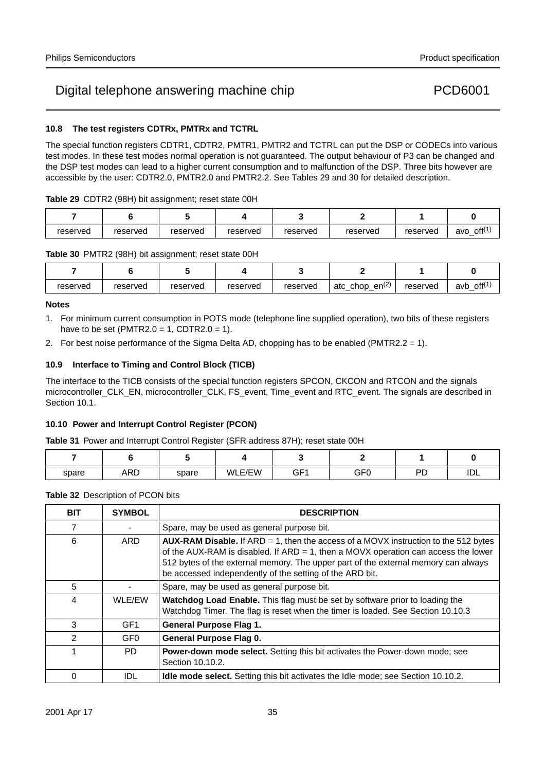## **10.8 The test registers CDTRx, PMTRx and TCTRL**

The special function registers CDTR1, CDTR2, PMTR1, PMTR2 and TCTRL can put the DSP or CODECs into various test modes. In these test modes normal operation is not guaranteed. The output behaviour of P3 can be changed and the DSP test modes can lead to a higher current consumption and to malfunction of the DSP. Three bits however are accessible by the user: CDTR2.0, PMTR2.0 and PMTR2.2. See Tables 29 and 30 for detailed description.

| reserved | reserved | reserved | reserved | reserved | reserved | reserved | $\mathsf{off}^{(1)}$<br>avo |
|----------|----------|----------|----------|----------|----------|----------|-----------------------------|

**Table 30** PMTR2 (98H) bit assignment; reset state 00H

| reserved | reserved | reserved | reserved | reserved | (2)<br>en <sup>(2)</sup><br>atc<br>chop<br>- — | reserved | $\mathsf{off}^{(1)}$<br>avb |
|----------|----------|----------|----------|----------|------------------------------------------------|----------|-----------------------------|

### **Notes**

- 1. For minimum current consumption in POTS mode (telephone line supplied operation), two bits of these registers have to be set (PMTR2.0 = 1, CDTR2.0 = 1).
- 2. For best noise performance of the Sigma Delta AD, chopping has to be enabled (PMTR2.2 = 1).

## **10.9 Interface to Timing and Control Block (TICB)**

The interface to the TICB consists of the special function registers SPCON, CKCON and RTCON and the signals microcontroller\_CLK\_EN, microcontroller\_CLK, FS\_event, Time\_event and RTC\_event. The signals are described in Section 10.1.

### **10.10 Power and Interrupt Control Register (PCON)**

**Table 31** Power and Interrupt Control Register (SFR address 87H); reset state 00H

| spare | <b>ARD</b> | spare | WLE/EW | GF <sup>1</sup> | GF0 | DD | $\overline{\phantom{a}}$<br>ᄖ |
|-------|------------|-------|--------|-----------------|-----|----|-------------------------------|

### **Table 32** Description of PCON bits

| <b>BIT</b> | <b>SYMBOL</b>   | <b>DESCRIPTION</b>                                                                                                                                                                                                                                                                                                                       |
|------------|-----------------|------------------------------------------------------------------------------------------------------------------------------------------------------------------------------------------------------------------------------------------------------------------------------------------------------------------------------------------|
| 7          |                 | Spare, may be used as general purpose bit.                                                                                                                                                                                                                                                                                               |
| 6          | ARD             | <b>AUX-RAM Disable.</b> If $ARD = 1$ , then the access of a MOVX instruction to the 512 bytes<br>of the AUX-RAM is disabled. If $ARD = 1$ , then a MOVX operation can access the lower<br>512 bytes of the external memory. The upper part of the external memory can always<br>be accessed independently of the setting of the ARD bit. |
| 5          |                 | Spare, may be used as general purpose bit.                                                                                                                                                                                                                                                                                               |
| 4          | WLE/EW          | <b>Watchdog Load Enable.</b> This flag must be set by software prior to loading the<br>Watchdog Timer. The flag is reset when the timer is loaded. See Section 10.10.3                                                                                                                                                                   |
| 3          | GF <sub>1</sub> | <b>General Purpose Flag 1.</b>                                                                                                                                                                                                                                                                                                           |
| 2          | GF <sub>0</sub> | General Purpose Flag 0.                                                                                                                                                                                                                                                                                                                  |
|            | PD.             | Power-down mode select. Setting this bit activates the Power-down mode; see<br>Section 10.10.2.                                                                                                                                                                                                                                          |
| $\Omega$   | <b>IDL</b>      | Idle mode select. Setting this bit activates the Idle mode; see Section 10.10.2.                                                                                                                                                                                                                                                         |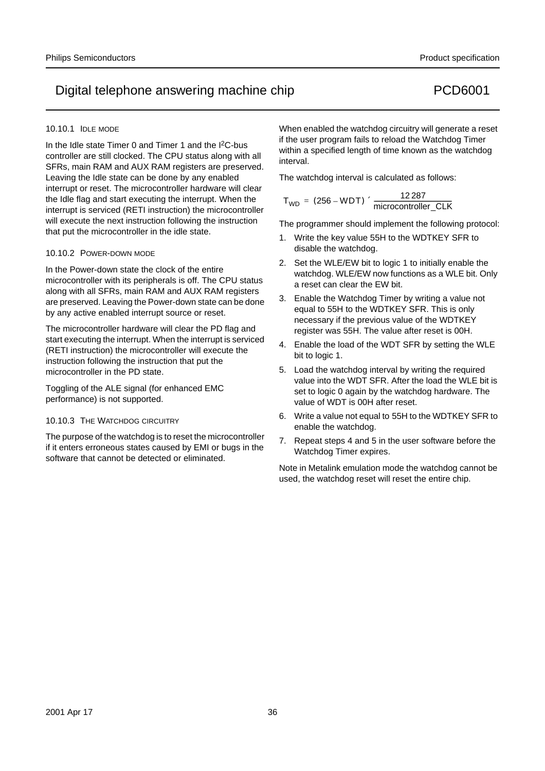### 10.10.1 IDLE MODE

In the Idle state Timer 0 and Timer 1 and the I<sup>2</sup>C-bus controller are still clocked. The CPU status along with all SFRs, main RAM and AUX RAM registers are preserved. Leaving the Idle state can be done by any enabled interrupt or reset. The microcontroller hardware will clear the Idle flag and start executing the interrupt. When the interrupt is serviced (RETI instruction) the microcontroller will execute the next instruction following the instruction that put the microcontroller in the idle state.

### 10.10.2 POWER-DOWN MODE

In the Power-down state the clock of the entire microcontroller with its peripherals is off. The CPU status along with all SFRs, main RAM and AUX RAM registers are preserved. Leaving the Power-down state can be done by any active enabled interrupt source or reset.

The microcontroller hardware will clear the PD flag and start executing the interrupt. When the interrupt is serviced (RETI instruction) the microcontroller will execute the instruction following the instruction that put the microcontroller in the PD state.

Toggling of the ALE signal (for enhanced EMC performance) is not supported.

## 10.10.3 THE WATCHDOG CIRCUITRY

The purpose of the watchdog is to reset the microcontroller if it enters erroneous states caused by EMI or bugs in the software that cannot be detected or eliminated.

When enabled the watchdog circuitry will generate a reset if the user program fails to reload the Watchdog Timer within a specified length of time known as the watchdog interval.

The watchdog interval is calculated as follows:

$$
T_{WD} = (256 - WDT) \times \frac{12\,287}{microcontroller\_CLK}
$$

The programmer should implement the following protocol:

- 1. Write the key value 55H to the WDTKEY SFR to disable the watchdog.
- 2. Set the WLE/EW bit to logic 1 to initially enable the watchdog. WLE/EW now functions as a WLE bit. Only a reset can clear the EW bit.
- 3. Enable the Watchdog Timer by writing a value not equal to 55H to the WDTKEY SFR. This is only necessary if the previous value of the WDTKEY register was 55H. The value after reset is 00H.
- 4. Enable the load of the WDT SFR by setting the WLE bit to logic 1.
- 5. Load the watchdog interval by writing the required value into the WDT SFR. After the load the WLE bit is set to logic 0 again by the watchdog hardware. The value of WDT is 00H after reset.
- 6. Write a value not equal to 55H to the WDTKEY SFR to enable the watchdog.
- 7. Repeat steps 4 and 5 in the user software before the Watchdog Timer expires.

Note in Metalink emulation mode the watchdog cannot be used, the watchdog reset will reset the entire chip.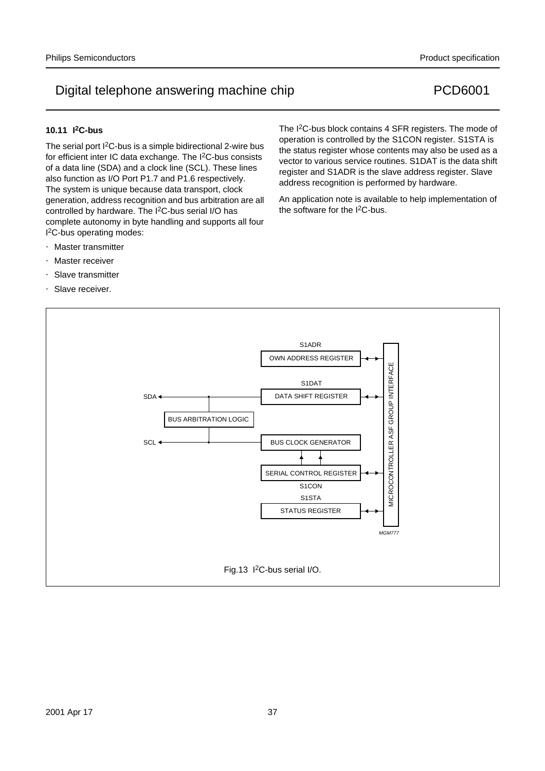### **10.11 I2C-bus**

The serial port I2C-bus is a simple bidirectional 2-wire bus for efficient inter IC data exchange. The I2C-bus consists of a data line (SDA) and a clock line (SCL). These lines also function as I/O Port P1.7 and P1.6 respectively. The system is unique because data transport, clock generation, address recognition and bus arbitration are all controlled by hardware. The I<sup>2</sup>C-bus serial I/O has complete autonomy in byte handling and supports all four I 2C-bus operating modes:

- Master transmitter
- Master receiver
- Slave transmitter
- Slave receiver.

The I<sup>2</sup>C-bus block contains 4 SFR registers. The mode of operation is controlled by the S1CON register. S1STA is the status register whose contents may also be used as a vector to various service routines. S1DAT is the data shift register and S1ADR is the slave address register. Slave address recognition is performed by hardware.

An application note is available to help implementation of the software for the  $I^2C$ -bus.

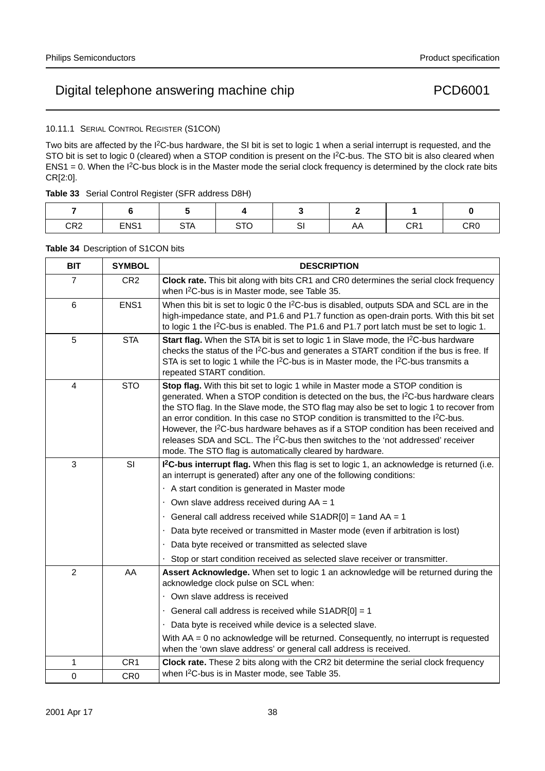### 10.11.1 SERIAL CONTROL REGISTER (S1CON)

Two bits are affected by the I<sup>2</sup>C-bus hardware, the SI bit is set to logic 1 when a serial interrupt is requested, and the STO bit is set to logic 0 (cleared) when a STOP condition is present on the I<sup>2</sup>C-bus. The STO bit is also cleared when  $ENS1 = 0$ . When the I<sup>2</sup>C-bus block is in the Master mode the serial clock frequency is determined by the clock rate bits CR[2:0].

| CR2 | ENS1 | <b>STA</b> | $\sim$ T $\sim$<br>י ש | U. | AΑ | CR <sub>1</sub> | CR0 |
|-----|------|------------|------------------------|----|----|-----------------|-----|

### **Table 34** Description of S1CON bits

| <b>BIT</b>     | <b>SYMBOL</b>   | <b>DESCRIPTION</b>                                                                                                                                                                                                                                                                                                                                                                                                                                                                                                                                                                                                                                 |
|----------------|-----------------|----------------------------------------------------------------------------------------------------------------------------------------------------------------------------------------------------------------------------------------------------------------------------------------------------------------------------------------------------------------------------------------------------------------------------------------------------------------------------------------------------------------------------------------------------------------------------------------------------------------------------------------------------|
| $\overline{7}$ | CR <sub>2</sub> | Clock rate. This bit along with bits CR1 and CR0 determines the serial clock frequency<br>when I <sup>2</sup> C-bus is in Master mode, see Table 35.                                                                                                                                                                                                                                                                                                                                                                                                                                                                                               |
| 6              | ENS1            | When this bit is set to logic 0 the I <sup>2</sup> C-bus is disabled, outputs SDA and SCL are in the<br>high-impedance state, and P1.6 and P1.7 function as open-drain ports. With this bit set<br>to logic 1 the $12C$ -bus is enabled. The P1.6 and P1.7 port latch must be set to logic 1.                                                                                                                                                                                                                                                                                                                                                      |
| 5              | <b>STA</b>      | Start flag. When the STA bit is set to logic 1 in Slave mode, the I <sup>2</sup> C-bus hardware<br>checks the status of the I <sup>2</sup> C-bus and generates a START condition if the bus is free. If<br>STA is set to logic 1 while the I <sup>2</sup> C-bus is in Master mode, the I <sup>2</sup> C-bus transmits a<br>repeated START condition.                                                                                                                                                                                                                                                                                               |
| 4              | <b>STO</b>      | Stop flag. With this bit set to logic 1 while in Master mode a STOP condition is<br>generated. When a STOP condition is detected on the bus, the I <sup>2</sup> C-bus hardware clears<br>the STO flag. In the Slave mode, the STO flag may also be set to logic 1 to recover from<br>an error condition. In this case no STOP condition is transmitted to the I <sup>2</sup> C-bus.<br>However, the I <sup>2</sup> C-bus hardware behaves as if a STOP condition has been received and<br>releases SDA and SCL. The I <sup>2</sup> C-bus then switches to the 'not addressed' receiver<br>mode. The STO flag is automatically cleared by hardware. |
| 3              | SI              | I <sup>2</sup> C-bus interrupt flag. When this flag is set to logic 1, an acknowledge is returned (i.e.<br>an interrupt is generated) after any one of the following conditions:                                                                                                                                                                                                                                                                                                                                                                                                                                                                   |
|                |                 | • A start condition is generated in Master mode                                                                                                                                                                                                                                                                                                                                                                                                                                                                                                                                                                                                    |
|                |                 | • Own slave address received during $AA = 1$                                                                                                                                                                                                                                                                                                                                                                                                                                                                                                                                                                                                       |
|                |                 | • General call address received while $S1ADR[0] = 1$ and $AA = 1$<br>• Data byte received or transmitted in Master mode (even if arbitration is lost)                                                                                                                                                                                                                                                                                                                                                                                                                                                                                              |
|                |                 | Data byte received or transmitted as selected slave                                                                                                                                                                                                                                                                                                                                                                                                                                                                                                                                                                                                |
|                |                 | • Stop or start condition received as selected slave receiver or transmitter.                                                                                                                                                                                                                                                                                                                                                                                                                                                                                                                                                                      |
| $\overline{2}$ | AA              | Assert Acknowledge. When set to logic 1 an acknowledge will be returned during the<br>acknowledge clock pulse on SCL when:                                                                                                                                                                                                                                                                                                                                                                                                                                                                                                                         |
|                |                 | • Own slave address is received                                                                                                                                                                                                                                                                                                                                                                                                                                                                                                                                                                                                                    |
|                |                 | • General call address is received while $S1ADR[0] = 1$                                                                                                                                                                                                                                                                                                                                                                                                                                                                                                                                                                                            |
|                |                 | • Data byte is received while device is a selected slave.                                                                                                                                                                                                                                                                                                                                                                                                                                                                                                                                                                                          |
|                |                 | With $AA = 0$ no acknowledge will be returned. Consequently, no interrupt is requested<br>when the 'own slave address' or general call address is received.                                                                                                                                                                                                                                                                                                                                                                                                                                                                                        |
| 1              | CR <sub>1</sub> | Clock rate. These 2 bits along with the CR2 bit determine the serial clock frequency                                                                                                                                                                                                                                                                                                                                                                                                                                                                                                                                                               |
| 0              | CR <sub>0</sub> | when I <sup>2</sup> C-bus is in Master mode, see Table 35.                                                                                                                                                                                                                                                                                                                                                                                                                                                                                                                                                                                         |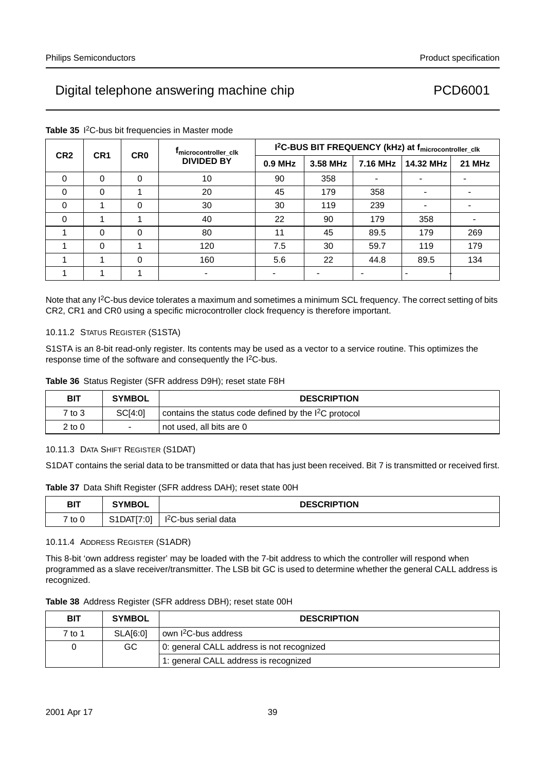| CR <sub>2</sub> | CR <sub>1</sub> | <b>CRO</b> | <sup>I</sup> microcontroller clk | I <sup>2</sup> C-BUS BIT FREQUENCY (kHz) at f <sub>microcontroller_clk</sub> |          |          |           |        |  |
|-----------------|-----------------|------------|----------------------------------|------------------------------------------------------------------------------|----------|----------|-----------|--------|--|
|                 |                 |            | <b>DIVIDED BY</b>                | 0.9 MHz                                                                      | 3.58 MHz | 7.16 MHz | 14.32 MHz | 21 MHz |  |
| 0               | 0               | $\Omega$   | 10                               | 90                                                                           | 358      |          |           |        |  |
| 0               | $\Omega$        |            | 20                               | 45                                                                           | 179      | 358      |           |        |  |
| 0               |                 | $\Omega$   | 30                               | 30                                                                           | 119      | 239      |           |        |  |
| $\Omega$        |                 |            | 40                               | 22                                                                           | 90       | 179      | 358       |        |  |
|                 | $\Omega$        | $\Omega$   | 80                               | 11                                                                           | 45       | 89.5     | 179       | 269    |  |
|                 | $\Omega$        |            | 120                              | 7.5                                                                          | 30       | 59.7     | 119       | 179    |  |
|                 |                 | $\Omega$   | 160                              | 5.6                                                                          | 22       | 44.8     | 89.5      | 134    |  |
|                 |                 |            |                                  |                                                                              |          |          |           |        |  |

#### **Table 35** I 2C-bus bit frequencies in Master mode

Note that any I2C-bus device tolerates a maximum and sometimes a minimum SCL frequency. The correct setting of bits CR2, CR1 and CR0 using a specific microcontroller clock frequency is therefore important.

#### 10.11.2 STATUS REGISTER (S1STA)

S1STA is an 8-bit read-only register. Its contents may be used as a vector to a service routine. This optimizes the response time of the software and consequently the I<sup>2</sup>C-bus.

|  |  | Table 36 Status Register (SFR address D9H); reset state F8H |  |  |  |  |  |  |
|--|--|-------------------------------------------------------------|--|--|--|--|--|--|
|--|--|-------------------------------------------------------------|--|--|--|--|--|--|

| <b>BIT</b> | <b>SYMBOL</b>            | <b>DESCRIPTION</b>                                                              |
|------------|--------------------------|---------------------------------------------------------------------------------|
| 7 to 3     | SCI4:01                  | $\frac{1}{2}$ contains the status code defined by the I <sup>2</sup> C protocol |
| 2 to 0     | $\overline{\phantom{m}}$ | not used, all bits are 0                                                        |

#### 10.11.3 DATA SHIFT REGISTER (S1DAT)

S1DAT contains the serial data to be transmitted or data that has just been received. Bit 7 is transmitted or received first.

**Table 37** Data Shift Register (SFR address DAH); reset state 00H

| <b>BIT</b> | <b>SYMBOL</b>                       | <b>DESCRIPTION</b>               |
|------------|-------------------------------------|----------------------------------|
| 7 to 0     | S1DATI<br>ΓΓ7∙∩1<br>$\cdot$ $\circ$ | I <sup>2</sup> C-bus serial data |

#### 10.11.4 ADDRESS REGISTER (S1ADR)

This 8-bit 'own address register' may be loaded with the 7-bit address to which the controller will respond when programmed as a slave receiver/transmitter. The LSB bit GC is used to determine whether the general CALL address is recognized.

|  | Table 38 Address Register (SFR address DBH); reset state 00H |  |  |  |  |  |  |  |
|--|--------------------------------------------------------------|--|--|--|--|--|--|--|
|--|--------------------------------------------------------------|--|--|--|--|--|--|--|

| BIT    | <b>SYMBOL</b>   | <b>DESCRIPTION</b>                        |  |
|--------|-----------------|-------------------------------------------|--|
| 7 to 1 | <b>SLA[6:0]</b> | own I <sup>2</sup> C-bus address          |  |
|        | GC.             | 0: general CALL address is not recognized |  |
|        |                 | 1: general CALL address is recognized     |  |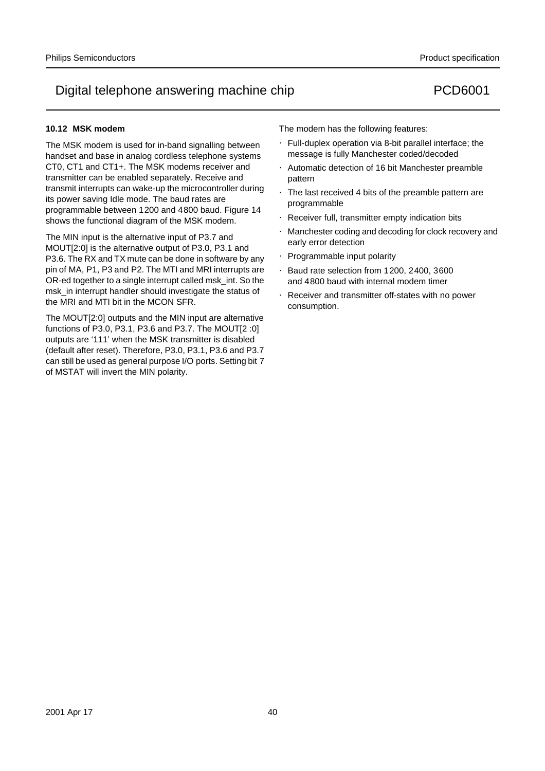### **10.12 MSK modem**

The MSK modem is used for in-band signalling between handset and base in analog cordless telephone systems CT0, CT1 and CT1+. The MSK modems receiver and transmitter can be enabled separately. Receive and transmit interrupts can wake-up the microcontroller during its power saving Idle mode. The baud rates are programmable between 1200 and 4800 baud. Figure 14 shows the functional diagram of the MSK modem.

The MIN input is the alternative input of P3.7 and MOUT[2:0] is the alternative output of P3.0, P3.1 and P3.6. The RX and TX mute can be done in software by any pin of MA, P1, P3 and P2. The MTI and MRI interrupts are OR-ed together to a single interrupt called msk\_int. So the msk\_in interrupt handler should investigate the status of the MRI and MTI bit in the MCON SFR.

The MOUT[2:0] outputs and the MIN input are alternative functions of P3.0, P3.1, P3.6 and P3.7. The MOUT[2 :0] outputs are '111' when the MSK transmitter is disabled (default after reset). Therefore, P3.0, P3.1, P3.6 and P3.7 can still be used as general purpose I/O ports. Setting bit 7 of MSTAT will invert the MIN polarity.

The modem has the following features:

- Full-duplex operation via 8-bit parallel interface; the message is fully Manchester coded/decoded
- Automatic detection of 16 bit Manchester preamble pattern
- The last received 4 bits of the preamble pattern are programmable
- Receiver full, transmitter empty indication bits
- Manchester coding and decoding for clock recovery and early error detection
- Programmable input polarity
- Baud rate selection from 1200, 2400, 3600 and 4800 baud with internal modem timer
- Receiver and transmitter off-states with no power consumption.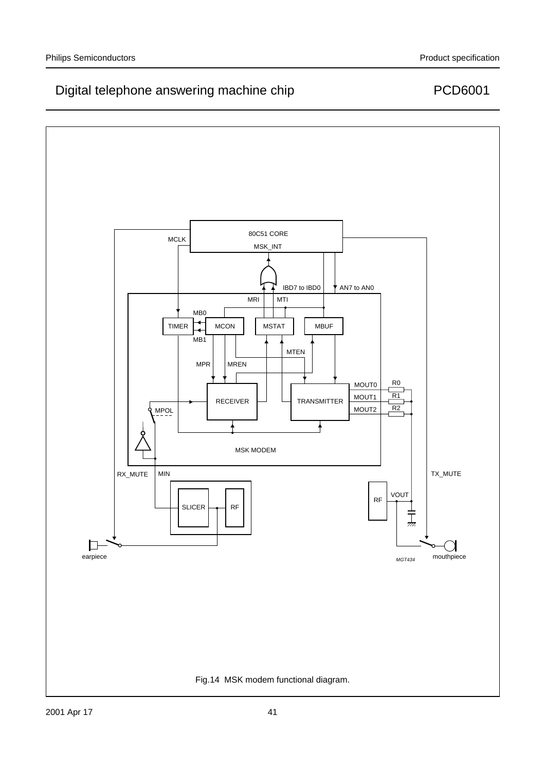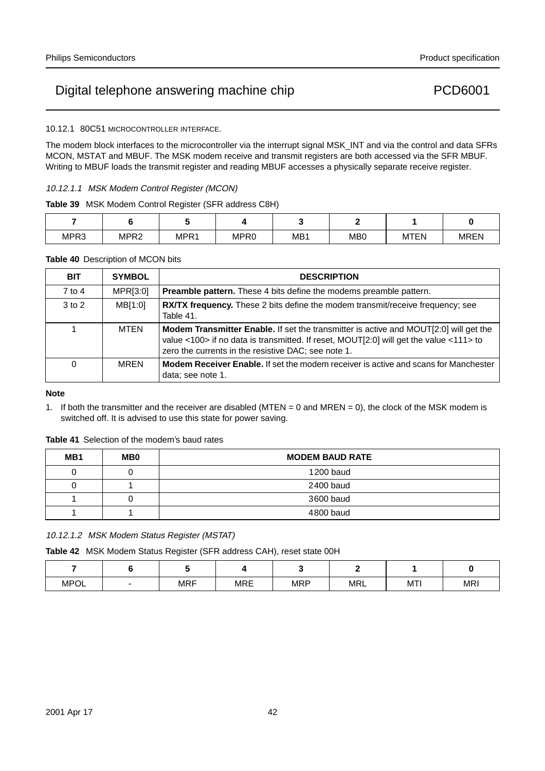10.12.1 80C51 MICROCONTROLLER INTERFACE.

The modem block interfaces to the microcontroller via the interrupt signal MSK\_INT and via the control and data SFRs MCON, MSTAT and MBUF. The MSK modem receive and transmit registers are both accessed via the SFR MBUF. Writing to MBUF loads the transmit register and reading MBUF accesses a physically separate receive register.

### 10.12.1.1 MSK Modem Control Register (MCON)

**Table 39** MSK Modem Control Register (SFR address C8H)

| MPR3 | MPR <sub>2</sub> | MPR1 | MPR <sub>0</sub> | MB <sub>1</sub> | M <sub>B</sub> | <b>MTEN</b> | <b>MREN</b> |
|------|------------------|------|------------------|-----------------|----------------|-------------|-------------|

#### **Table 40** Description of MCON bits

| <b>BIT</b> | <b>SYMBOL</b> | <b>DESCRIPTION</b>                                                                                                                                                                                                                     |
|------------|---------------|----------------------------------------------------------------------------------------------------------------------------------------------------------------------------------------------------------------------------------------|
| 7 to 4     | MPR[3:0]      | <b>Preamble pattern.</b> These 4 bits define the modems preamble pattern.                                                                                                                                                              |
| $3$ to $2$ | MB[1:0]       | <b>RX/TX frequency.</b> These 2 bits define the modem transmit/receive frequency; see<br>Table 41.                                                                                                                                     |
|            | MTEN          | Modem Transmitter Enable. If set the transmitter is active and MOUT[2:0] will get the<br>value <100> if no data is transmitted. If reset, MOUT[2:0] will get the value <111> to<br>zero the currents in the resistive DAC; see note 1. |
| 0          | <b>MREN</b>   | <b>Modem Receiver Enable.</b> If set the modem receiver is active and scans for Manchester<br>data; see note 1.                                                                                                                        |

#### **Note**

1. If both the transmitter and the receiver are disabled (MTEN = 0 and MREN = 0), the clock of the MSK modem is switched off. It is advised to use this state for power saving.

**Table 41** Selection of the modem's baud rates

| MB1 | MB <sub>0</sub> | <b>MODEM BAUD RATE</b> |
|-----|-----------------|------------------------|
| L   |                 | 1200 baud              |
|     |                 | 2400 baud              |
|     |                 | 3600 baud              |
|     |                 | 4800 baud              |

10.12.1.2 MSK Modem Status Register (MSTAT)

**Table 42** MSK Modem Status Register (SFR address CAH), reset state 00H

| <b>MPOL</b> | $\overline{\phantom{0}}$ | <b>MRF</b> | <b>MRE</b> | <b>MRP</b> | <b>MRL</b> | MTI | <b>MRI</b> |
|-------------|--------------------------|------------|------------|------------|------------|-----|------------|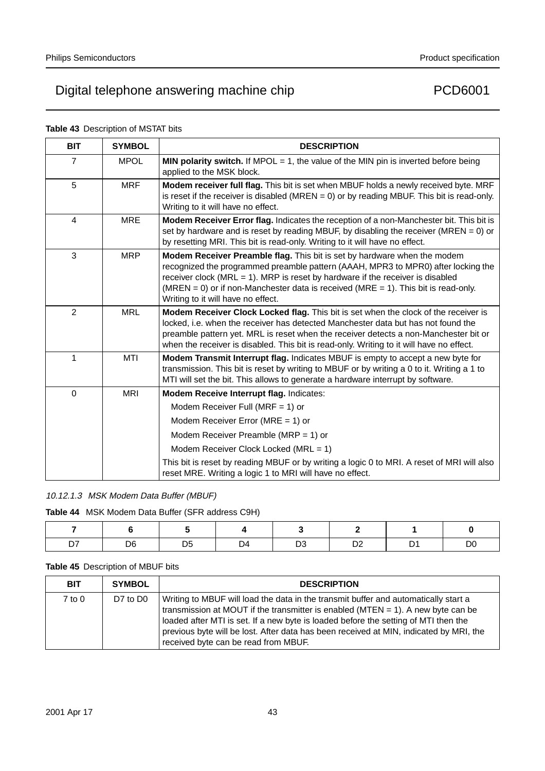| <b>BIT</b>     | <b>SYMBOL</b> | <b>DESCRIPTION</b>                                                                                                                                                                                                                                                                                                                                                              |
|----------------|---------------|---------------------------------------------------------------------------------------------------------------------------------------------------------------------------------------------------------------------------------------------------------------------------------------------------------------------------------------------------------------------------------|
| $\overline{7}$ | <b>MPOL</b>   | <b>MIN polarity switch.</b> If MPOL $= 1$ , the value of the MIN pin is inverted before being<br>applied to the MSK block.                                                                                                                                                                                                                                                      |
| 5              | <b>MRF</b>    | Modem receiver full flag. This bit is set when MBUF holds a newly received byte. MRF<br>is reset if the receiver is disabled (MREN = 0) or by reading MBUF. This bit is read-only.<br>Writing to it will have no effect.                                                                                                                                                        |
| $\overline{4}$ | <b>MRE</b>    | Modem Receiver Error flag. Indicates the reception of a non-Manchester bit. This bit is<br>set by hardware and is reset by reading MBUF, by disabling the receiver (MREN = $0$ ) or<br>by resetting MRI. This bit is read-only. Writing to it will have no effect.                                                                                                              |
| 3              | <b>MRP</b>    | Modem Receiver Preamble flag. This bit is set by hardware when the modem<br>recognized the programmed preamble pattern (AAAH, MPR3 to MPR0) after locking the<br>receiver clock ( $MRL = 1$ ). MRP is reset by hardware if the receiver is disabled<br>(MREN = 0) or if non-Manchester data is received (MRE = 1). This bit is read-only.<br>Writing to it will have no effect. |
| $\overline{2}$ | <b>MRL</b>    | Modem Receiver Clock Locked flag. This bit is set when the clock of the receiver is<br>locked, i.e. when the receiver has detected Manchester data but has not found the<br>preamble pattern yet. MRL is reset when the receiver detects a non-Manchester bit or<br>when the receiver is disabled. This bit is read-only. Writing to it will have no effect.                    |
| 1              | MTI           | Modem Transmit Interrupt flag. Indicates MBUF is empty to accept a new byte for<br>transmission. This bit is reset by writing to MBUF or by writing a 0 to it. Writing a 1 to<br>MTI will set the bit. This allows to generate a hardware interrupt by software.                                                                                                                |
| $\Omega$       | <b>MRI</b>    | Modem Receive Interrupt flag. Indicates:                                                                                                                                                                                                                                                                                                                                        |
|                |               | Modem Receiver Full (MRF = 1) or                                                                                                                                                                                                                                                                                                                                                |
|                |               | Modem Receiver Error (MRE = 1) or                                                                                                                                                                                                                                                                                                                                               |
|                |               | Modem Receiver Preamble (MRP = 1) or                                                                                                                                                                                                                                                                                                                                            |
|                |               | Modem Receiver Clock Locked (MRL = 1)                                                                                                                                                                                                                                                                                                                                           |
|                |               | This bit is reset by reading MBUF or by writing a logic 0 to MRI. A reset of MRI will also<br>reset MRE. Writing a logic 1 to MRI will have no effect.                                                                                                                                                                                                                          |

### **Table 43** Description of MSTAT bits

### 10.12.1.3 MSK Modem Data Buffer (MBUF)

**Table 44** MSK Modem Data Buffer (SFR address C9H)

|  | D5. | . גר |  |  |
|--|-----|------|--|--|

### **Table 45** Description of MBUF bits

| <b>BIT</b> | <b>SYMBOL</b> | <b>DESCRIPTION</b>                                                                                                                                                                                                                                                                                                                                                                                   |
|------------|---------------|------------------------------------------------------------------------------------------------------------------------------------------------------------------------------------------------------------------------------------------------------------------------------------------------------------------------------------------------------------------------------------------------------|
| $7$ to $0$ | D7 to D0      | Writing to MBUF will load the data in the transmit buffer and automatically start a<br>transmission at MOUT if the transmitter is enabled ( $MTEN = 1$ ). A new byte can be<br>loaded after MTI is set. If a new byte is loaded before the setting of MTI then the<br>previous byte will be lost. After data has been received at MIN, indicated by MRI, the<br>received byte can be read from MBUF. |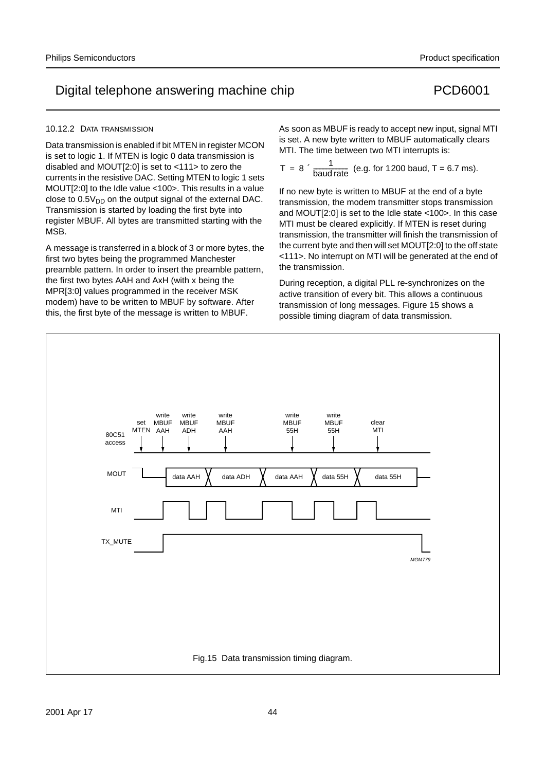#### 10.12.2 DATA TRANSMISSION

Data transmission is enabled if bit MTEN in register MCON is set to logic 1. If MTEN is logic 0 data transmission is disabled and MOUT[2:0] is set to <111> to zero the currents in the resistive DAC. Setting MTEN to logic 1 sets MOUT[2:0] to the Idle value <100>. This results in a value close to  $0.5V<sub>DD</sub>$  on the output signal of the external DAC. Transmission is started by loading the first byte into register MBUF. All bytes are transmitted starting with the MSB.

A message is transferred in a block of 3 or more bytes, the first two bytes being the programmed Manchester preamble pattern. In order to insert the preamble pattern, the first two bytes AAH and AxH (with x being the MPR[3:0] values programmed in the receiver MSK modem) have to be written to MBUF by software. After this, the first byte of the message is written to MBUF.

As soon as MBUF is ready to accept new input, signal MTI is set. A new byte written to MBUF automatically clears MTI. The time between two MTI interrupts is:

$$
T = 8 \times \frac{1}{\text{baud rate}}
$$
 (e.g. for 1200 baud, T = 6.7 ms).

If no new byte is written to MBUF at the end of a byte transmission, the modem transmitter stops transmission and MOUT[2:0] is set to the Idle state <100>. In this case MTI must be cleared explicitly. If MTEN is reset during transmission, the transmitter will finish the transmission of the current byte and then will set MOUT[2:0] to the off state <111>. No interrupt on MTI will be generated at the end of the transmission.

During reception, a digital PLL re-synchronizes on the active transition of every bit. This allows a continuous transmission of long messages. Figure 15 shows a possible timing diagram of data transmission.

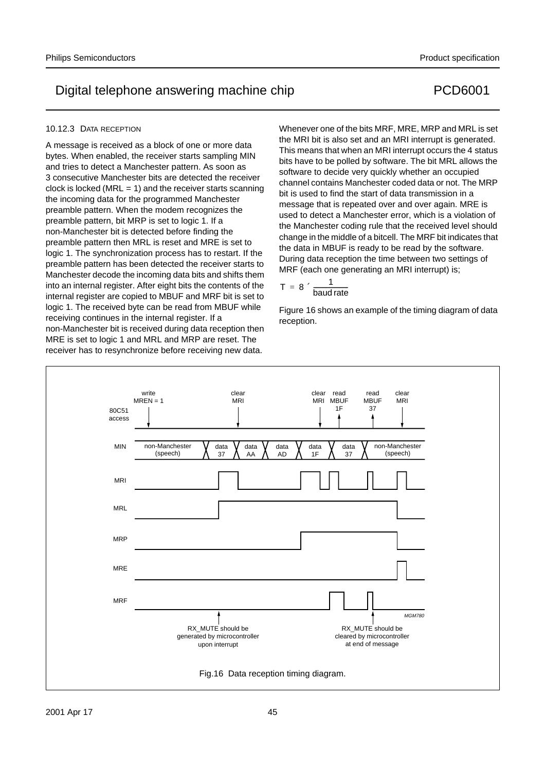#### 10.12.3 DATA RECEPTION

A message is received as a block of one or more data bytes. When enabled, the receiver starts sampling MIN and tries to detect a Manchester pattern. As soon as 3 consecutive Manchester bits are detected the receiver clock is locked ( $MRL = 1$ ) and the receiver starts scanning the incoming data for the programmed Manchester preamble pattern. When the modem recognizes the preamble pattern, bit MRP is set to logic 1. If a non-Manchester bit is detected before finding the preamble pattern then MRL is reset and MRE is set to logic 1. The synchronization process has to restart. If the preamble pattern has been detected the receiver starts to Manchester decode the incoming data bits and shifts them into an internal register. After eight bits the contents of the internal register are copied to MBUF and MRF bit is set to logic 1. The received byte can be read from MBUF while receiving continues in the internal register. If a non-Manchester bit is received during data reception then MRE is set to logic 1 and MRL and MRP are reset. The receiver has to resynchronize before receiving new data.

Whenever one of the bits MRF, MRE, MRP and MRL is set the MRI bit is also set and an MRI interrupt is generated. This means that when an MRI interrupt occurs the 4 status bits have to be polled by software. The bit MRL allows the software to decide very quickly whether an occupied channel contains Manchester coded data or not. The MRP bit is used to find the start of data transmission in a message that is repeated over and over again. MRE is used to detect a Manchester error, which is a violation of the Manchester coding rule that the received level should change in the middle of a bitcell. The MRF bit indicates that the data in MBUF is ready to be read by the software. During data reception the time between two settings of MRF (each one generating an MRI interrupt) is;

$$
T = 8 \times \frac{1}{\text{baud rate}}
$$

Figure 16 shows an example of the timing diagram of data reception.

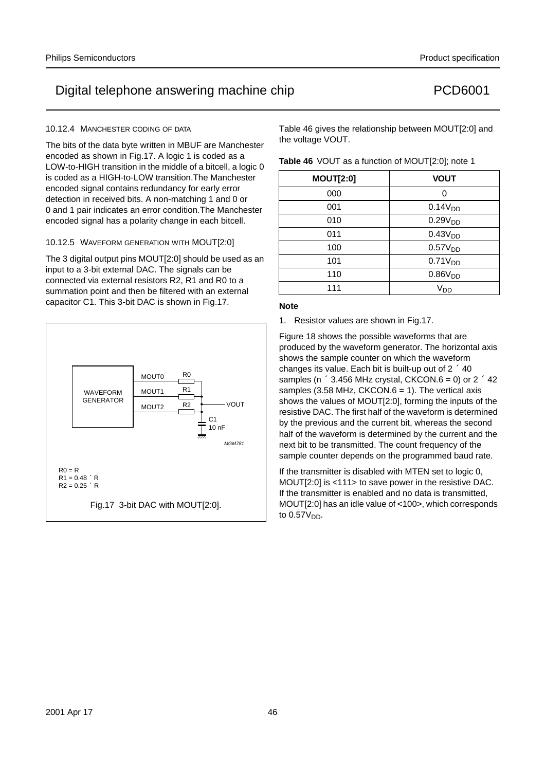#### 10.12.4 MANCHESTER CODING OF DATA

The bits of the data byte written in MBUF are Manchester encoded as shown in Fig.17. A logic 1 is coded as a LOW-to-HIGH transition in the middle of a bitcell, a logic 0 is coded as a HIGH-to-LOW transition.The Manchester encoded signal contains redundancy for early error detection in received bits. A non-matching 1 and 0 or 0 and 1 pair indicates an error condition.The Manchester encoded signal has a polarity change in each bitcell.

### 10.12.5 WAVEFORM GENERATION WITH MOUT[2:0]

The 3 digital output pins MOUT[2:0] should be used as an input to a 3-bit external DAC. The signals can be connected via external resistors R2, R1 and R0 to a summation point and then be filtered with an external capacitor C1. This 3-bit DAC is shown in Fig.17.



Table 46 gives the relationship between MOUT[2:0] and the voltage VOUT.

|  |  |  |  | Table 46 VOUT as a function of MOUT[2:0]; note 1 |
|--|--|--|--|--------------------------------------------------|
|--|--|--|--|--------------------------------------------------|

| <b>MOUT[2:0]</b> | <b>VOUT</b>         |
|------------------|---------------------|
| 000              | ი                   |
| 001              | 0.14V <sub>DD</sub> |
| 010              | 0.29V <sub>DD</sub> |
| 011              | 0.43V <sub>DD</sub> |
| 100              | 0.57V <sub>DD</sub> |
| 101              | 0.71V <sub>DD</sub> |
| 110              | 0.86V <sub>DD</sub> |
| 111              | V <sub>DD</sub>     |

### **Note**

1. Resistor values are shown in Fig.17.

Figure 18 shows the possible waveforms that are produced by the waveform generator. The horizontal axis shows the sample counter on which the waveform changes its value. Each bit is built-up out of  $2 \times 40$ samples ( $n \times 3.456$  MHz crystal, CKCON.6 = 0) or  $2 \times 42$ samples (3.58 MHz,  $CKCON.6 = 1$ ). The vertical axis shows the values of MOUT[2:0], forming the inputs of the resistive DAC. The first half of the waveform is determined by the previous and the current bit, whereas the second half of the waveform is determined by the current and the next bit to be transmitted. The count frequency of the sample counter depends on the programmed baud rate.

If the transmitter is disabled with MTEN set to logic 0, MOUT[2:0] is <111> to save power in the resistive DAC. If the transmitter is enabled and no data is transmitted, MOUT[2:0] has an idle value of <100>, which corresponds to  $0.57V_{DD}$ .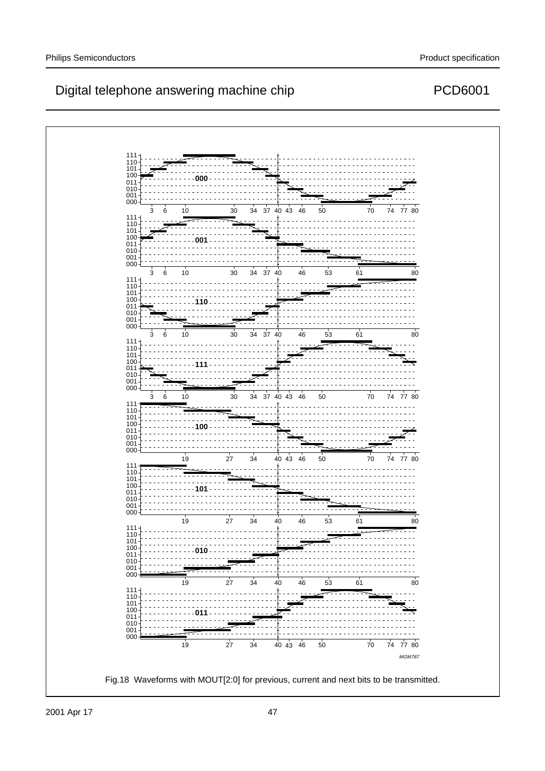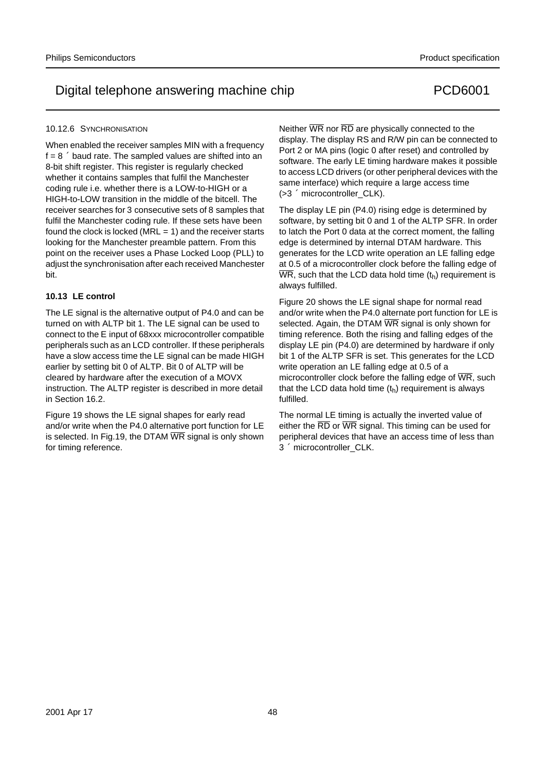#### 10.12.6 SYNCHRONISATION

When enabled the receiver samples MIN with a frequency  $f=8 \times$  baud rate. The sampled values are shifted into an 8-bit shift register. This register is regularly checked whether it contains samples that fulfil the Manchester coding rule i.e. whether there is a LOW-to-HIGH or a HIGH-to-LOW transition in the middle of the bitcell. The receiver searches for 3 consecutive sets of 8 samples that fulfil the Manchester coding rule. If these sets have been found the clock is locked ( $MRL = 1$ ) and the receiver starts looking for the Manchester preamble pattern. From this point on the receiver uses a Phase Locked Loop (PLL) to adjust the synchronisation after each received Manchester bit.

#### **10.13 LE control**

The LE signal is the alternative output of P4.0 and can be turned on with ALTP bit 1. The LE signal can be used to connect to the E input of 68xxx microcontroller compatible peripherals such as an LCD controller. If these peripherals have a slow access time the LE signal can be made HIGH earlier by setting bit 0 of ALTP. Bit 0 of ALTP will be cleared by hardware after the execution of a MOVX instruction. The ALTP register is described in more detail in Section 16.2.

Figure 19 shows the LE signal shapes for early read and/or write when the P4.0 alternative port function for LE is selected. In Fig.19, the DTAM  $\overline{WR}$  signal is only shown for timing reference.

Neither  $\overline{WR}$  nor  $\overline{RD}$  are physically connected to the display. The display RS and R/W pin can be connected to Port 2 or MA pins (logic 0 after reset) and controlled by software. The early LE timing hardware makes it possible to access LCD drivers (or other peripheral devices with the same interface) which require a large access time  $($ >3  $\times$  microcontroller\_CLK).

The display LE pin (P4.0) rising edge is determined by software, by setting bit 0 and 1 of the ALTP SFR. In order to latch the Port 0 data at the correct moment, the falling edge is determined by internal DTAM hardware. This generates for the LCD write operation an LE falling edge at 0.5 of a microcontroller clock before the falling edge of  $\overline{WR}$ , such that the LCD data hold time  $(t_h)$  requirement is always fulfilled.

Figure 20 shows the LE signal shape for normal read and/or write when the P4.0 alternate port function for LE is selected. Again, the DTAM WR signal is only shown for timing reference. Both the rising and falling edges of the display LE pin (P4.0) are determined by hardware if only bit 1 of the ALTP SFR is set. This generates for the LCD write operation an LE falling edge at 0.5 of a microcontroller clock before the falling edge of  $\overline{WR}$ , such that the LCD data hold time  $(t_h)$  requirement is always fulfilled.

The normal LE timing is actually the inverted value of either the  $\overline{RD}$  or  $\overline{WR}$  signal. This timing can be used for peripheral devices that have an access time of less than  $3 \times$  microcontroller\_CLK.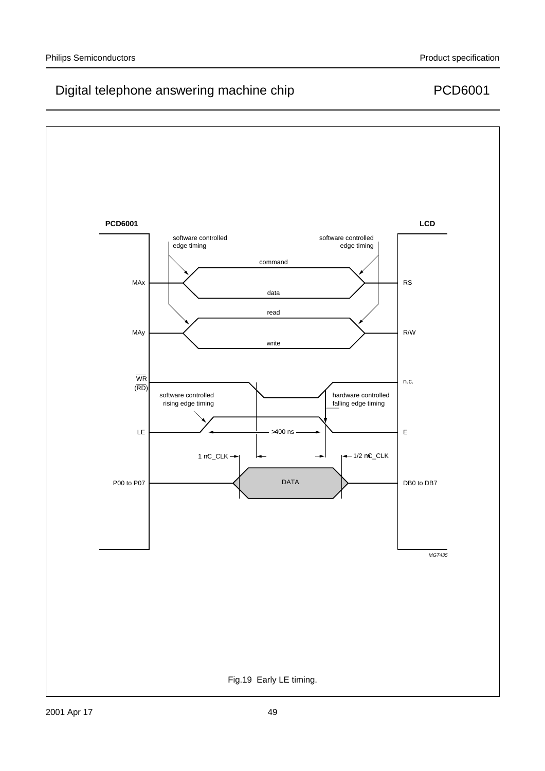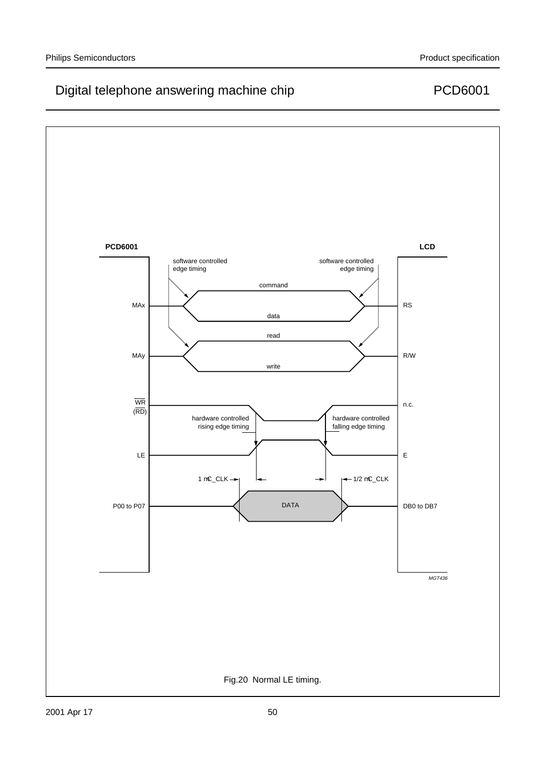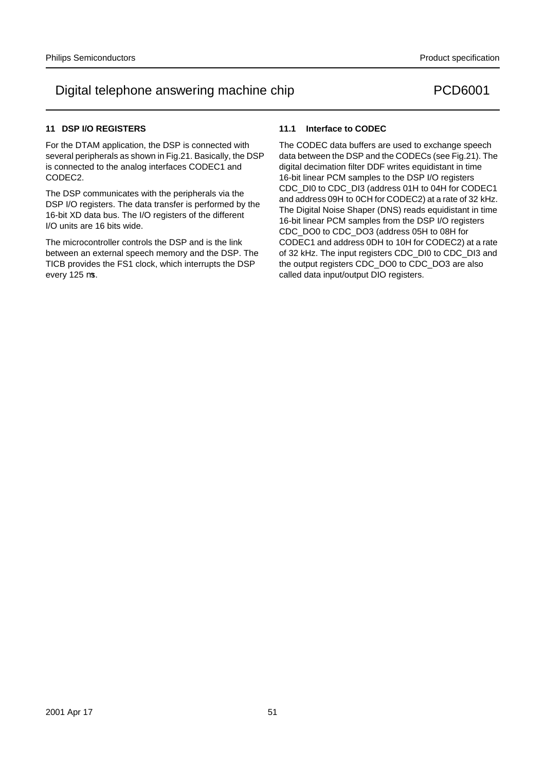### **11 DSP I/O REGISTERS**

For the DTAM application, the DSP is connected with several peripherals as shown in Fig.21. Basically, the DSP is connected to the analog interfaces CODEC1 and CODEC2.

The DSP communicates with the peripherals via the DSP I/O registers. The data transfer is performed by the 16-bit XD data bus. The I/O registers of the different I/O units are 16 bits wide.

The microcontroller controls the DSP and is the link between an external speech memory and the DSP. The TICB provides the FS1 clock, which interrupts the DSP every 125 µs.

### **11.1 Interface to CODEC**

The CODEC data buffers are used to exchange speech data between the DSP and the CODECs (see Fig.21). The digital decimation filter DDF writes equidistant in time 16-bit linear PCM samples to the DSP I/O registers CDC\_DI0 to CDC\_DI3 (address 01H to 04H for CODEC1 and address 09H to 0CH for CODEC2) at a rate of 32 kHz. The Digital Noise Shaper (DNS) reads equidistant in time 16-bit linear PCM samples from the DSP I/O registers CDC\_DO0 to CDC\_DO3 (address 05H to 08H for CODEC1 and address 0DH to 10H for CODEC2) at a rate of 32 kHz. The input registers CDC\_DI0 to CDC\_DI3 and the output registers CDC\_DO0 to CDC\_DO3 are also called data input/output DIO registers.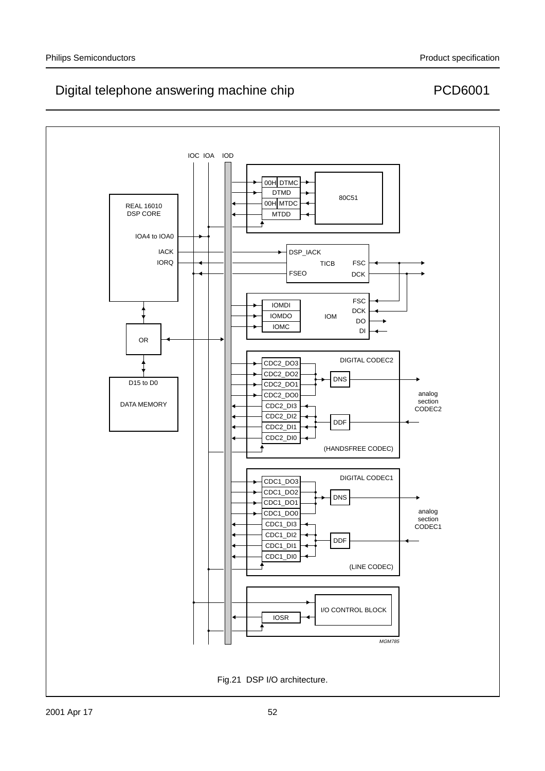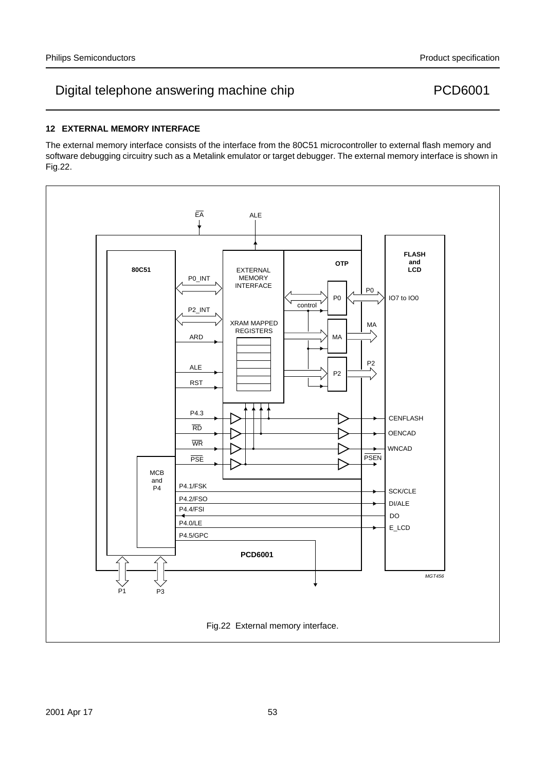### **12 EXTERNAL MEMORY INTERFACE**

The external memory interface consists of the interface from the 80C51 microcontroller to external flash memory and software debugging circuitry such as a Metalink emulator or target debugger. The external memory interface is shown in Fig.22.

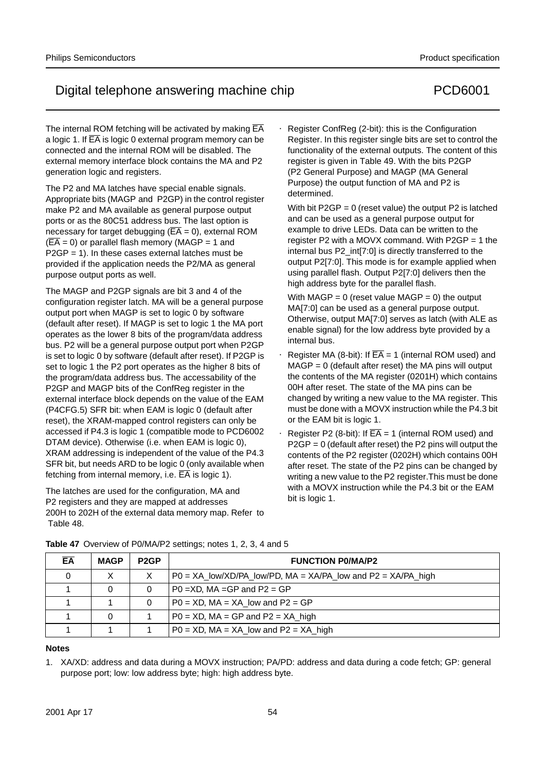The internal ROM fetching will be activated by making  $\overline{EA}$ a logic 1. If  $\overline{EA}$  is logic 0 external program memory can be connected and the internal ROM will be disabled. The external memory interface block contains the MA and P2 generation logic and registers.

The P2 and MA latches have special enable signals. Appropriate bits (MAGP and P2GP) in the control register make P2 and MA available as general purpose output ports or as the 80C51 address bus. The last option is necessary for target debugging ( $\overline{EA} = 0$ ), external ROM  $(\overline{EA} = 0)$  or parallel flash memory (MAGP = 1 and  $P2GP = 1$ ). In these cases external latches must be provided if the application needs the P2/MA as general purpose output ports as well.

The MAGP and P2GP signals are bit 3 and 4 of the configuration register latch. MA will be a general purpose output port when MAGP is set to logic 0 by software (default after reset). If MAGP is set to logic 1 the MA port operates as the lower 8 bits of the program/data address bus. P2 will be a general purpose output port when P2GP is set to logic 0 by software (default after reset). If P2GP is set to logic 1 the P2 port operates as the higher 8 bits of the program/data address bus. The accessability of the P2GP and MAGP bits of the ConfReg register in the external interface block depends on the value of the EAM (P4CFG.5) SFR bit: when EAM is logic 0 (default after reset), the XRAM-mapped control registers can only be accessed if P4.3 is logic 1 (compatible mode to PCD6002 DTAM device). Otherwise (i.e. when EAM is logic 0), XRAM addressing is independent of the value of the P4.3 SFR bit, but needs ARD to be logic 0 (only available when fetching from internal memory, i.e.  $\overline{EA}$  is logic 1).

The latches are used for the configuration, MA and P2 registers and they are mapped at addresses 200H to 202H of the external data memory map. Refer to Table 48.

• Register ConfReg (2-bit): this is the Configuration Register. In this register single bits are set to control the functionality of the external outputs. The content of this register is given in Table 49. With the bits P2GP (P2 General Purpose) and MAGP (MA General Purpose) the output function of MA and P2 is determined.

With bit  $P2GP = 0$  (reset value) the output P2 is latched and can be used as a general purpose output for example to drive LEDs. Data can be written to the register P2 with a MOVX command. With P2GP = 1 the internal bus P2\_int[7:0] is directly transferred to the output P2[7:0]. This mode is for example applied when using parallel flash. Output P2[7:0] delivers then the high address byte for the parallel flash.

With MAGP =  $0$  (reset value MAGP =  $0$ ) the output MA[7:0] can be used as a general purpose output. Otherwise, output MA[7:0] serves as latch (with ALE as enable signal) for the low address byte provided by a internal bus.

- Register MA (8-bit): If  $\overline{EA} = 1$  (internal ROM used) and  $MAGP = 0$  (default after reset) the MA pins will output the contents of the MA register (0201H) which contains 00H after reset. The state of the MA pins can be changed by writing a new value to the MA register. This must be done with a MOVX instruction while the P4.3 bit or the EAM bit is logic 1.
- Register P2 (8-bit): If  $\overline{EA} = 1$  (internal ROM used) and P2GP = 0 (default after reset) the P2 pins will output the contents of the P2 register (0202H) which contains 00H after reset. The state of the P2 pins can be changed by writing a new value to the P2 register.This must be done with a MOVX instruction while the P4.3 bit or the EAM bit is logic 1.

| EA | <b>MAGP</b> | P <sub>2</sub> GP | <b>FUNCTION PO/MA/P2</b>                                                    |
|----|-------------|-------------------|-----------------------------------------------------------------------------|
|    | X           |                   | $PO = XA_{low}/XD/PA_{low}/PD$ , MA = $XA/PA_{low}$ and $P2 = XA/PA_{high}$ |
|    | 0           | 0                 | $P0 = XD$ , MA =GP and $P2 = GP$                                            |
|    |             | 0                 | $PO = XD$ , MA = XA low and $P2 = GP$                                       |
|    | 0           |                   | $PO = XD$ , MA = GP and $P2 = XA$ high                                      |
|    |             |                   | $PO = XD$ , $MA = XA$ low and $P2 = XA$ high                                |

#### **Table 47** Overview of P0/MA/P2 settings; notes 1, 2, 3, 4 and 5

purpose port; low: low address byte; high: high address byte.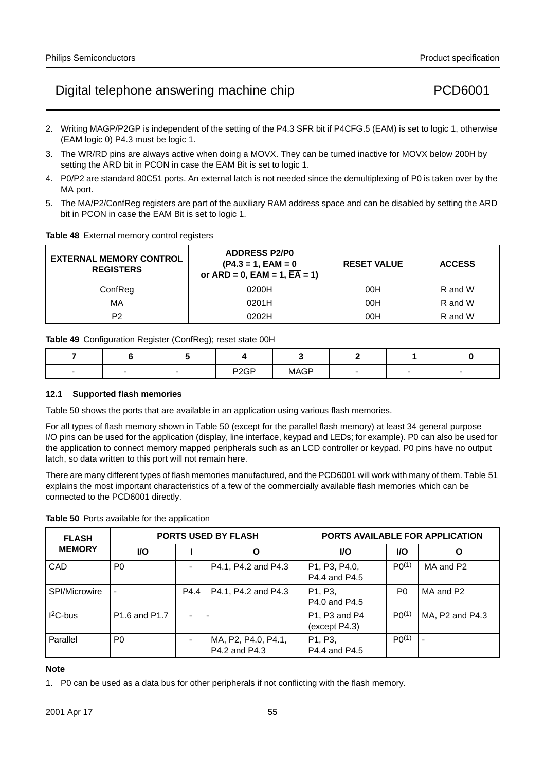- 2. Writing MAGP/P2GP is independent of the setting of the P4.3 SFR bit if P4CFG.5 (EAM) is set to logic 1, otherwise (EAM logic 0) P4.3 must be logic 1.
- 3. The WR/RD pins are always active when doing a MOVX. They can be turned inactive for MOVX below 200H by setting the ARD bit in PCON in case the EAM Bit is set to logic 1.
- 4. P0/P2 are standard 80C51 ports. An external latch is not needed since the demultiplexing of P0 is taken over by the MA port.
- 5. The MA/P2/ConfReg registers are part of the auxiliary RAM address space and can be disabled by setting the ARD bit in PCON in case the EAM Bit is set to logic 1.

#### **Table 48** External memory control registers

| <b>EXTERNAL MEMORY CONTROL</b><br><b>REGISTERS</b> | <b>ADDRESS P2/P0</b><br>$(P4.3 = 1, EAM = 0)$<br>or $ARD = 0$ , $EAM = 1$ , $\overline{EA} = 1$ ) | <b>RESET VALUE</b> | <b>ACCESS</b> |
|----------------------------------------------------|---------------------------------------------------------------------------------------------------|--------------------|---------------|
| ConfRea                                            | 0200H                                                                                             | 00H                | R and W       |
| МA                                                 | 0201H                                                                                             | 00H                | R and W       |
| P2                                                 | 0202H                                                                                             | 00H                | R and W       |

**Table 49** Configuration Register (ConfReg); reset state 00H

|  | P <sub>2</sub> GP | <b>MAGP</b> |  |  |
|--|-------------------|-------------|--|--|

#### **12.1 Supported flash memories**

Table 50 shows the ports that are available in an application using various flash memories.

For all types of flash memory shown in Table 50 (except for the parallel flash memory) at least 34 general purpose I/O pins can be used for the application (display, line interface, keypad and LEDs; for example). P0 can also be used for the application to connect memory mapped peripherals such as an LCD controller or keypad. P0 pins have no output latch, so data written to this port will not remain here.

There are many different types of flash memories manufactured, and the PCD6001 will work with many of them. Table 51 explains the most important characteristics of a few of the commercially available flash memories which can be connected to the PCD6001 directly.

**Table 50** Ports available for the application

| <b>FLASH</b>  |                                       |      | <b>PORTS USED BY FLASH</b>           | <b>PORTS AVAILABLE FOR APPLICATION</b>                                |                |                          |  |
|---------------|---------------------------------------|------|--------------------------------------|-----------------------------------------------------------------------|----------------|--------------------------|--|
| <b>MEMORY</b> | I/O                                   |      | Ο                                    | <b>VO</b>                                                             | <b>I/O</b>     | O                        |  |
| CAD           | P <sub>0</sub>                        |      | P4.1, P4.2 and P4.3                  | P <sub>1</sub> , P <sub>3</sub> , P <sub>4</sub> .0,<br>P4.4 and P4.5 | P(1)           | MA and P2                |  |
| SPI/Microwire |                                       | P4.4 | P4.1, P4.2 and P4.3                  | P <sub>1</sub> , P <sub>3</sub> ,<br>P4.0 and P4.5                    | P <sub>0</sub> | MA and P2                |  |
| $I2C-bus$     | P <sub>1.6</sub> and P <sub>1.7</sub> |      |                                      | P1, P3 and P4<br>(except P4.3)                                        | P(1)           | MA, P2 and P4.3          |  |
| Parallel      | P <sub>0</sub>                        |      | MA, P2, P4.0, P4.1,<br>P4.2 and P4.3 | P <sub>1</sub> , P <sub>3</sub> ,<br>P4.4 and P4.5                    | $P(0^{(1)}$    | $\overline{\phantom{0}}$ |  |

#### **Note**

1. P0 can be used as a data bus for other peripherals if not conflicting with the flash memory.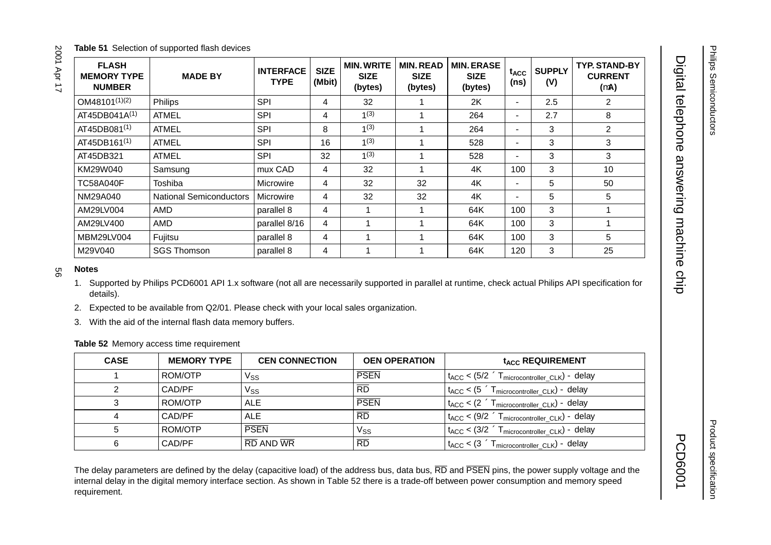| <b>FLASH</b><br><b>MEMORY TYPE</b><br><b>NUMBER</b> | <b>MADE BY</b>                 | <b>INTERFACE</b><br><b>TYPE</b> | <b>SIZE</b><br>(Mbit) | <b>MIN. WRITE</b><br><b>SIZE</b><br>(bytes) | <b>MIN. READ</b><br><b>SIZE</b><br>(bytes) | <b>MIN. ERASE</b><br><b>SIZE</b><br>(bytes) | t <sub>ACC</sub><br>(ns) | <b>SUPPLY</b><br>(V) | <b>TYP. STAND-BY</b><br><b>CURRENT</b><br>$(\mu A)$ |
|-----------------------------------------------------|--------------------------------|---------------------------------|-----------------------|---------------------------------------------|--------------------------------------------|---------------------------------------------|--------------------------|----------------------|-----------------------------------------------------|
| $OM48101^{(1)(2)}$                                  | Philips                        | <b>SPI</b>                      | 4                     | 32                                          |                                            | 2K                                          | $\overline{\phantom{m}}$ | 2.5                  | 2                                                   |
| $AT45DB041A^{(1)}$                                  | <b>ATMEL</b>                   | <b>SPI</b>                      | 4                     | 1(3)                                        |                                            | 264                                         | $\overline{\phantom{m}}$ | 2.7                  | 8                                                   |
| AT45DB081 <sup>(1)</sup>                            | <b>ATMEL</b>                   | <b>SPI</b>                      | 8                     | 1(3)                                        |                                            | 264                                         |                          | 3                    | 2                                                   |
| AT45DB161 <sup>(1)</sup>                            | <b>ATMEL</b>                   | <b>SPI</b>                      | 16                    | 1(3)                                        |                                            | 528                                         | $\overline{\phantom{m}}$ | 3                    | 3                                                   |
| AT45DB321                                           | <b>ATMEL</b>                   | <b>SPI</b>                      | 32                    | 1(3)                                        |                                            | 528                                         |                          | 3                    | 3                                                   |
| KM29W040                                            | Samsung                        | mux CAD                         | 4                     | 32                                          |                                            | 4K                                          | 100                      | 3                    | 10                                                  |
| <b>TC58A040F</b>                                    | Toshiba                        | Microwire                       | 4                     | 32                                          | 32                                         | 4K                                          |                          | 5                    | 50                                                  |
| NM29A040                                            | <b>National Semiconductors</b> | Microwire                       | 4                     | 32                                          | 32                                         | 4K                                          |                          | 5                    | 5                                                   |
| AM29LV004                                           | AMD                            | parallel 8                      | 4                     |                                             |                                            | 64K                                         | 100                      | 3                    |                                                     |
| AM29LV400                                           | AMD                            | parallel 8/16                   | 4                     |                                             |                                            | 64K                                         | 100                      | 3                    |                                                     |
| MBM29LV004                                          | Fujitsu                        | parallel 8                      | 4                     |                                             |                                            | 64K                                         | 100                      | 3                    | 5                                                   |
| M29V040                                             | <b>SGS Thomson</b>             | parallel 8                      | 4                     |                                             |                                            | 64K                                         | 120                      | 3                    | 25                                                  |

2001 Apr 17

1. Supported by Philips PCD6001 API 1.x software (not all are necessarily supported in parallel at runtime, check actual Philips API specification for details).

2. Expected to be available from Q2/01. Please check with your local sales organization.

3. With the aid of the internal flash data memory buffers.

**Table 52** Memory access time requirement

| <b>CASE</b> | <b>MEMORY TYPE</b> | <b>CEN CONNECTION</b> | <b>OEN OPERATION</b> | t <sub>ACC</sub> REQUIREMENT                                                                         |
|-------------|--------------------|-----------------------|----------------------|------------------------------------------------------------------------------------------------------|
|             | ROM/OTP            | Vss                   | <b>PSEN</b>          | $\rm t_{ACC}$ < (5/2 $\times$ T <sub>microcontroller CLK</sub> ) – delay                             |
|             | CAD/PF             | Vss                   | $\overline{RD}$      | $\mathsf{t}_{\mathsf{ACC}} < (5 \times \mathsf{T}_{\mathsf{microcontroller\_CLK}}) - \mathsf{delay}$ |
|             | ROM/OTP            | ALE                   | <b>PSEN</b>          | $t_{ACC}$ < $(2 \times T_{microcontroller CLK})$ – delay                                             |
|             | CAD/PF             | <b>ALE</b>            | $\overline{RD}$      | $t_{ACC}$ < (9/2 $\times$ T <sub>microcontroller CLK</sub> ) – delay                                 |
|             | ROM/OTP            | <b>PSEN</b>           | Vss                  | $t_{ACC}$ < (3/2 $\times$ T <sub>microcontroller CLK</sub> ) – delay                                 |
|             | CAD/PF             | RD AND WR             | $\overline{RD}$      | $\frac{1}{4}$ t <sub>ACC</sub> < $(3 \times T_{microcontroller CLK})$ – delay                        |

The delay parameters are defined by the delay (capacitive load) of the address bus, data bus, RD and PSEN pins, the power supply voltage and the internal delay in the digital memory interface section. As shown in Table 52 there is a trade-off between power consumption and memory speed requirement.

**PCD6001**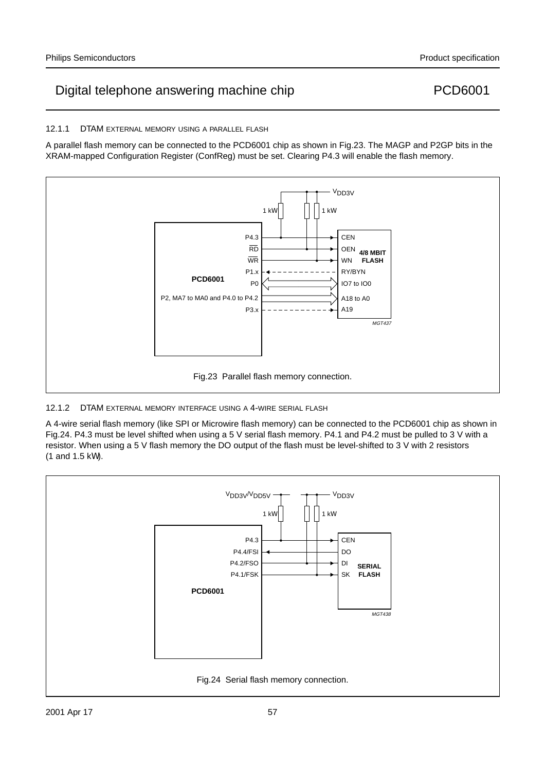

A parallel flash memory can be connected to the PCD6001 chip as shown in Fig.23. The MAGP and P2GP bits in the

XRAM-mapped Configuration Register (ConfReg) must be set. Clearing P4.3 will enable the flash memory.

### 12.1.2 DTAM EXTERNAL MEMORY INTERFACE USING A 4-WIRE SERIAL FLASH

A 4-wire serial flash memory (like SPI or Microwire flash memory) can be connected to the PCD6001 chip as shown in Fig.24. P4.3 must be level shifted when using a 5 V serial flash memory. P4.1 and P4.2 must be pulled to 3 V with a resistor. When using a 5 V flash memory the DO output of the flash must be level-shifted to 3 V with 2 resistors (1 and 1.5 k $\Omega$ ).



12.1.1 DTAM EXTERNAL MEMORY USING A PARALLEL FLASH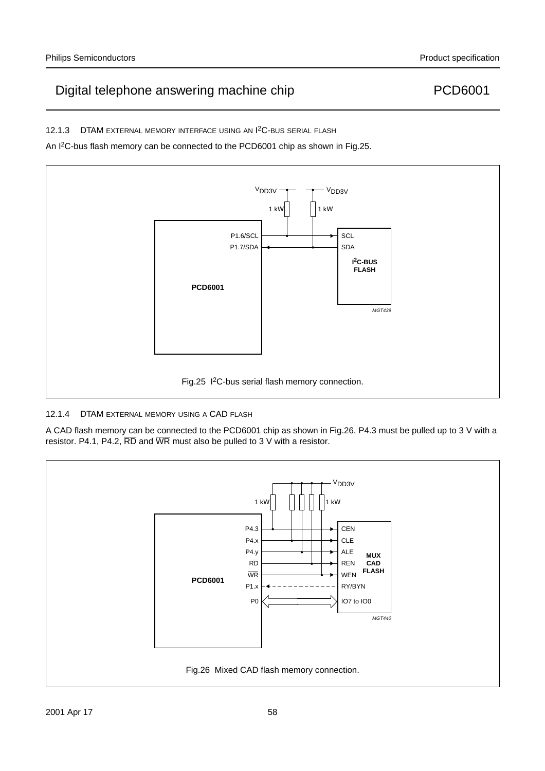12.1.3 DTAM EXTERNAL MEMORY INTERFACE USING AN <sup>12</sup>C-BUS SERIAL FLASH

An I2C-bus flash memory can be connected to the PCD6001 chip as shown in Fig.25.



### 12.1.4 DTAM EXTERNAL MEMORY USING A CAD FLASH

A CAD flash memory can be connected to the PCD6001 chip as shown in Fig.26. P4.3 must be pulled up to 3 V with a resistor. P4.1, P4.2,  $\overline{RD}$  and  $\overline{WR}$  must also be pulled to 3 V with a resistor.

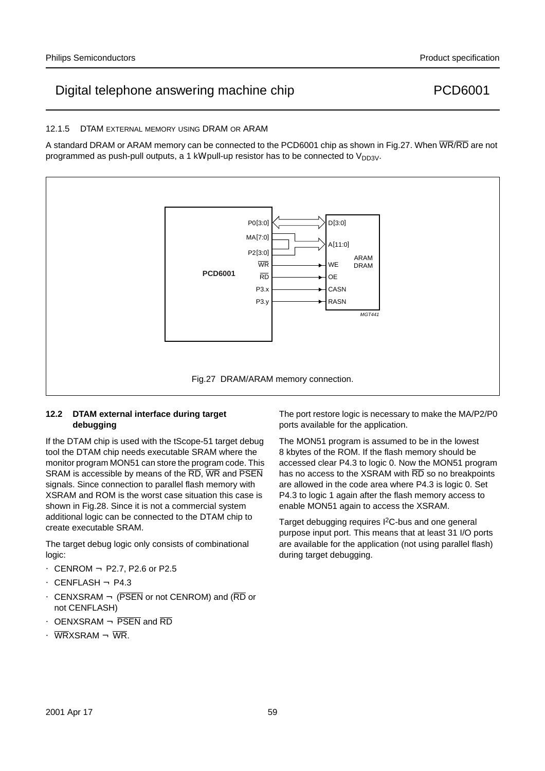#### 12.1.5 DTAM EXTERNAL MEMORY USING DRAM OR ARAM

A standard DRAM or ARAM memory can be connected to the PCD6001 chip as shown in Fig.27. When  $\overline{\text{WR}}$  are not programmed as push-pull outputs, a 1 kΩ pull-up resistor has to be connected to  $V_{DD3V}$ .



#### **12.2 DTAM external interface during target debugging**

If the DTAM chip is used with the tScope-51 target debug tool the DTAM chip needs executable SRAM where the monitor program MON51 can store the program code. This SRAM is accessible by means of the RD, WR and PSEN signals. Since connection to parallel flash memory with XSRAM and ROM is the worst case situation this case is shown in Fig.28. Since it is not a commercial system additional logic can be connected to the DTAM chip to create executable SRAM.

The target debug logic only consists of combinational logic:

- CENROM ← P2.7, P2.6 or P2.5
- $\bullet$  CENFLASH  $\leftarrow$  P4.3
- CENXSRAM  $\leftarrow$  (PSEN or not CENROM) and (RD or not CENFLASH)
- OENXSRAM  $\leftarrow$  PSEN and RD
- $\overline{\text{WR}}$ XSRAM  $\leftarrow$   $\overline{\text{WR}}$ .

The port restore logic is necessary to make the MA/P2/P0 ports available for the application.

The MON51 program is assumed to be in the lowest 8 kbytes of the ROM. If the flash memory should be accessed clear P4.3 to logic 0. Now the MON51 program has no access to the XSRAM with RD so no breakpoints are allowed in the code area where P4.3 is logic 0. Set P4.3 to logic 1 again after the flash memory access to enable MON51 again to access the XSRAM.

Target debugging requires I2C-bus and one general purpose input port. This means that at least 31 I/O ports are available for the application (not using parallel flash) during target debugging.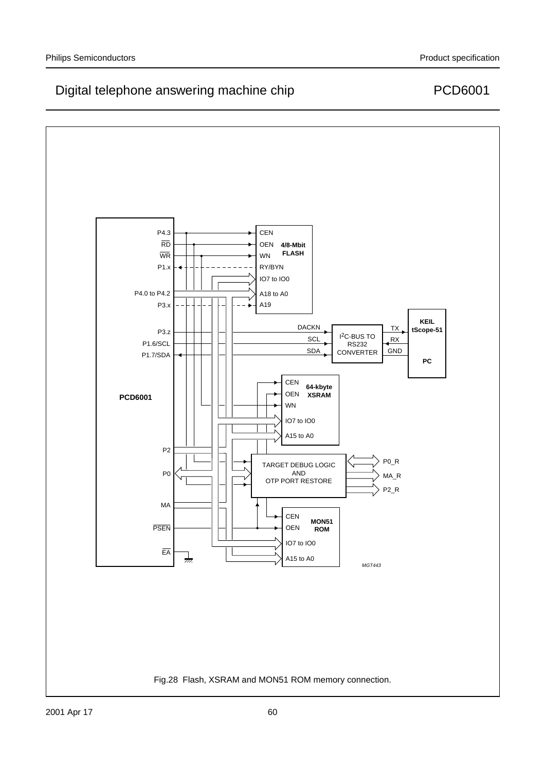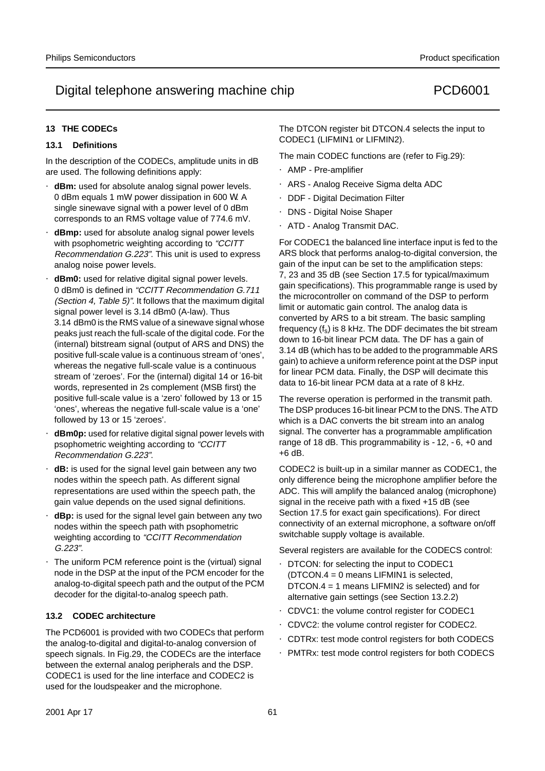### **13 THE CODECs**

#### **13.1 Definitions**

In the description of the CODECs, amplitude units in dB are used. The following definitions apply:

- **dBm:** used for absolute analog signal power levels. 0 dBm equals 1 mW power dissipation in 600 Ω. A single sinewave signal with a power level of 0 dBm corresponds to an RMS voltage value of 774.6 mV.
- **dBmp:** used for absolute analog signal power levels with psophometric weighting according to "CCITT Recommendation G.223". This unit is used to express analog noise power levels.
- **dBm0:** used for relative digital signal power levels. 0 dBm0 is defined in "CCITT Recommendation G.711 (Section 4, Table 5)". It follows that the maximum digital signal power level is 3.14 dBm0 (A-law). Thus 3.14 dBm0 is the RMS value of a sinewave signal whose peaks just reach the full-scale of the digital code. For the (internal) bitstream signal (output of ARS and DNS) the positive full-scale value is a continuous stream of 'ones', whereas the negative full-scale value is a continuous stream of 'zeroes'. For the (internal) digital 14 or 16-bit words, represented in 2s complement (MSB first) the positive full-scale value is a 'zero' followed by 13 or 15 'ones', whereas the negative full-scale value is a 'one' followed by 13 or 15 'zeroes'.
- **dBm0p:** used for relative digital signal power levels with psophometric weighting according to "CCITT Recommendation G.223".
- **dB:** is used for the signal level gain between any two nodes within the speech path. As different signal representations are used within the speech path, the gain value depends on the used signal definitions.
- **dBp:** is used for the signal level gain between any two nodes within the speech path with psophometric weighting according to "CCITT Recommendation G.223".
- The uniform PCM reference point is the (virtual) signal node in the DSP at the input of the PCM encoder for the analog-to-digital speech path and the output of the PCM decoder for the digital-to-analog speech path.

#### **13.2 CODEC architecture**

The PCD6001 is provided with two CODECs that perform the analog-to-digital and digital-to-analog conversion of speech signals. In Fig.29, the CODECs are the interface between the external analog peripherals and the DSP. CODEC1 is used for the line interface and CODEC2 is used for the loudspeaker and the microphone.

The DTCON register bit DTCON.4 selects the input to CODEC1 (LIFMIN1 or LIFMIN2).

The main CODEC functions are (refer to Fig.29):

- AMP Pre-amplifier
- ARS Analog Receive Sigma delta ADC
- DDF Digital Decimation Filter
- DNS Digital Noise Shaper
- ATD Analog Transmit DAC.

For CODEC1 the balanced line interface input is fed to the ARS block that performs analog-to-digital conversion, the gain of the input can be set to the amplification steps: 7, 23 and 35 dB (see Section 17.5 for typical/maximum gain specifications). This programmable range is used by the microcontroller on command of the DSP to perform limit or automatic gain control. The analog data is converted by ARS to a bit stream. The basic sampling frequency  $(f_s)$  is 8 kHz. The DDF decimates the bit stream down to 16-bit linear PCM data. The DF has a gain of 3.14 dB (which has to be added to the programmable ARS gain) to achieve a uniform reference point at the DSP input for linear PCM data. Finally, the DSP will decimate this data to 16-bit linear PCM data at a rate of 8 kHz.

The reverse operation is performed in the transmit path. The DSP produces 16-bit linear PCM to the DNS. The ATD which is a DAC converts the bit stream into an analog signal. The converter has a programmable amplification range of 18 dB. This programmability is −12, −6, +0 and +6 dB.

CODEC2 is built-up in a similar manner as CODEC1, the only difference being the microphone amplifier before the ADC. This will amplify the balanced analog (microphone) signal in the receive path with a fixed +15 dB (see Section 17.5 for exact gain specifications). For direct connectivity of an external microphone, a software on/off switchable supply voltage is available.

Several registers are available for the CODECS control:

- DTCON: for selecting the input to CODEC1 (DTCON.4 = 0 means LIFMIN1 is selected, DTCON.4 = 1 means LIFMIN2 is selected) and for alternative gain settings (see Section 13.2.2)
- CDVC1: the volume control register for CODEC1
- CDVC2: the volume control register for CODEC2.
- CDTRx: test mode control registers for both CODECS
- PMTRx: test mode control registers for both CODECS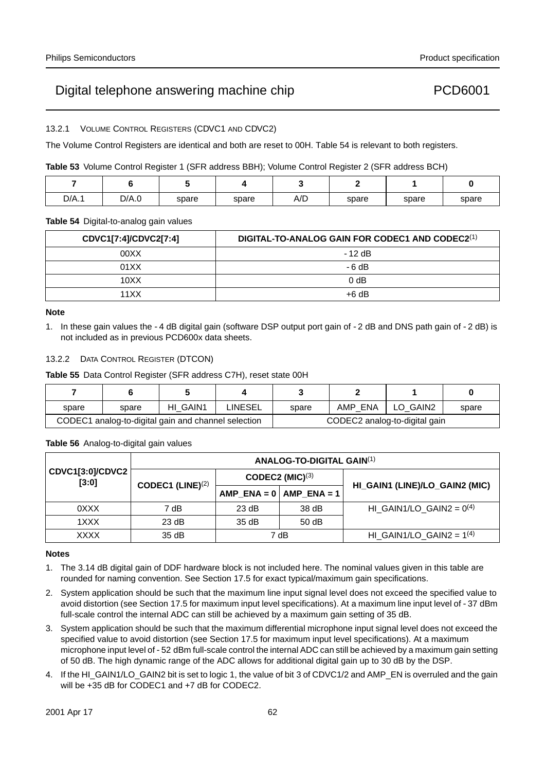13.2.1 VOLUME CONTROL REGISTERS (CDVC1 AND CDVC2)

The Volume Control Registers are identical and both are reset to 00H. Table 54 is relevant to both registers.

**Table 53** Volume Control Register 1 (SFR address BBH); Volume Control Register 2 (SFR address BCH)

| D/A.1 | D/A.0 | spare | spare | A/D | spare | spare | spare |
|-------|-------|-------|-------|-----|-------|-------|-------|

#### **Table 54** Digital-to-analog gain values

| CDVC1[7:4]/CDVC2[7:4] | DIGITAL-TO-ANALOG GAIN FOR CODEC1 AND CODEC2(1) |
|-----------------------|-------------------------------------------------|
| 00XX                  | $-12$ dB                                        |
| 01XX                  | $-6 dB$                                         |
| 10XX                  | 0 <sub>d</sub> B                                |
| 11 X X                | $+6$ dB                                         |

#### **Note**

1. In these gain values the −4 dB digital gain (software DSP output port gain of −2 dB and DNS path gain of −2 dB) is not included as in previous PCD600x data sheets.

### 13.2.2 DATA CONTROL REGISTER (DTCON)

**Table 55** Data Control Register (SFR address C7H), reset state 00H

| spare | spare | HI GAIN1                                            | <b>LINESEL</b> | spare | AMP ENA | LO GAIN2                      | spare |
|-------|-------|-----------------------------------------------------|----------------|-------|---------|-------------------------------|-------|
|       |       | CODEC1 analog-to-digital gain and channel selection |                |       |         | CODEC2 analog-to-digital gain |       |

**Table 56** Analog-to-digital gain values

|                           |                     |       | <b>ANALOG-TO-DIGITAL GAIN(1)</b> |                                |
|---------------------------|---------------------|-------|----------------------------------|--------------------------------|
| CDVC1[3:0]/CDVC2<br>[3:0] | CODEC1 (LINE) $(2)$ |       | CODEC2 $(MIC)^{(3)}$             |                                |
|                           |                     |       | $AMP_ENA = 0$ $AMP_ENA = 1$      | HI_GAIN1 (LINE)/LO_GAIN2 (MIC) |
| 0XXX                      | 7 dB                | 23 dB | 38 dB                            | HI GAIN1/LO GAIN2 = $0^{(4)}$  |
| 1XXX                      | 23 dB               | 35dB  | 50dB                             |                                |
| XXXX                      | 35dB                |       | 7 dB                             | HI_GAIN1/LO_GAIN2 = $1^{(4)}$  |

#### **Notes**

- 1. The 3.14 dB digital gain of DDF hardware block is not included here. The nominal values given in this table are rounded for naming convention. See Section 17.5 for exact typical/maximum gain specifications.
- 2. System application should be such that the maximum line input signal level does not exceed the specified value to avoid distortion (see Section 17.5 for maximum input level specifications). At a maximum line input level of −37 dBm full-scale control the internal ADC can still be achieved by a maximum gain setting of 35 dB.
- 3. System application should be such that the maximum differential microphone input signal level does not exceed the specified value to avoid distortion (see Section 17.5 for maximum input level specifications). At a maximum microphone input level of −52 dBm full-scale control the internal ADC can still be achieved by a maximum gain setting of 50 dB. The high dynamic range of the ADC allows for additional digital gain up to 30 dB by the DSP.
- 4. If the HI\_GAIN1/LO\_GAIN2 bit is set to logic 1, the value of bit 3 of CDVC1/2 and AMP\_EN is overruled and the gain will be +35 dB for CODEC1 and +7 dB for CODEC2.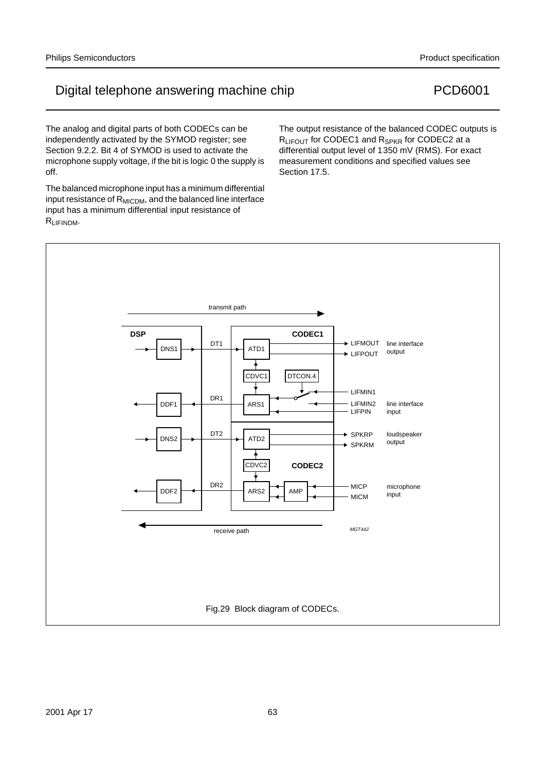The balanced microphone input has a minimum differential input resistance of  $R_{\text{MICDM}}$ , and the balanced line interface input has a minimum differential input resistance of RLIFINDM.

The analog and digital parts of both CODECs can be independently activated by the SYMOD register; see

The output resistance of the balanced CODEC outputs is R<sub>LIFOUT</sub> for CODEC1 and R<sub>SPKR</sub> for CODEC2 at a differential output level of 1350 mV (RMS). For exact measurement conditions and specified values see Section 17.5.

# Digital telephone answering machine chip entitled and the PCD6001



#### Philips Semiconductors **Product specification** Product specification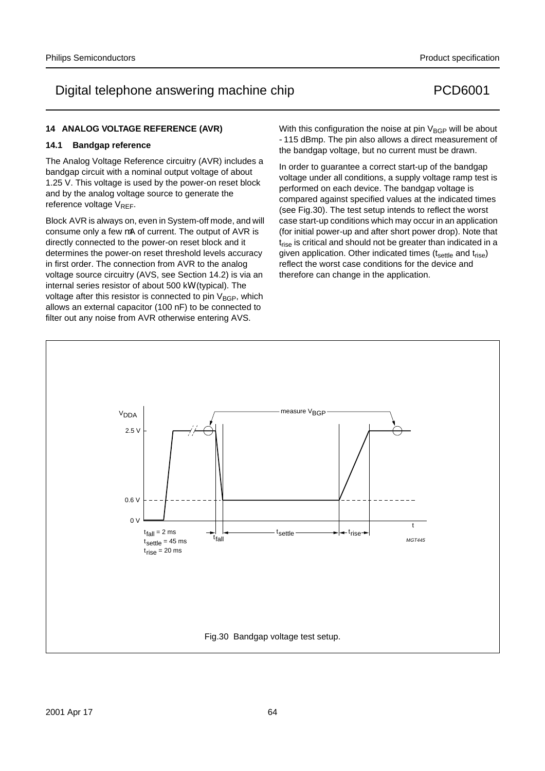#### **14 ANALOG VOLTAGE REFERENCE (AVR)**

#### **14.1 Bandgap reference**

The Analog Voltage Reference circuitry (AVR) includes a bandgap circuit with a nominal output voltage of about 1.25 V. This voltage is used by the power-on reset block and by the analog voltage source to generate the reference voltage V<sub>REF</sub>.

Block AVR is always on, even in System-off mode, and will consume only a few µA of current. The output of AVR is directly connected to the power-on reset block and it determines the power-on reset threshold levels accuracy in first order. The connection from AVR to the analog voltage source circuitry (AVS, see Section 14.2) is via an internal series resistor of about 500 kΩ (typical). The voltage after this resistor is connected to pin  $V_{\text{BGP}}$ , which allows an external capacitor (100 nF) to be connected to filter out any noise from AVR otherwise entering AVS.

With this configuration the noise at pin  $V_{\text{BGP}}$  will be about −115 dBmp. The pin also allows a direct measurement of the bandgap voltage, but no current must be drawn.

In order to guarantee a correct start-up of the bandgap voltage under all conditions, a supply voltage ramp test is performed on each device. The bandgap voltage is compared against specified values at the indicated times (see Fig.30). The test setup intends to reflect the worst case start-up conditions which may occur in an application (for initial power-up and after short power drop). Note that  $t<sub>rise</sub>$  is critical and should not be greater than indicated in a given application. Other indicated times  $(t_{\text{settle}})$  and  $t_{\text{rise}}$ ) reflect the worst case conditions for the device and therefore can change in the application.

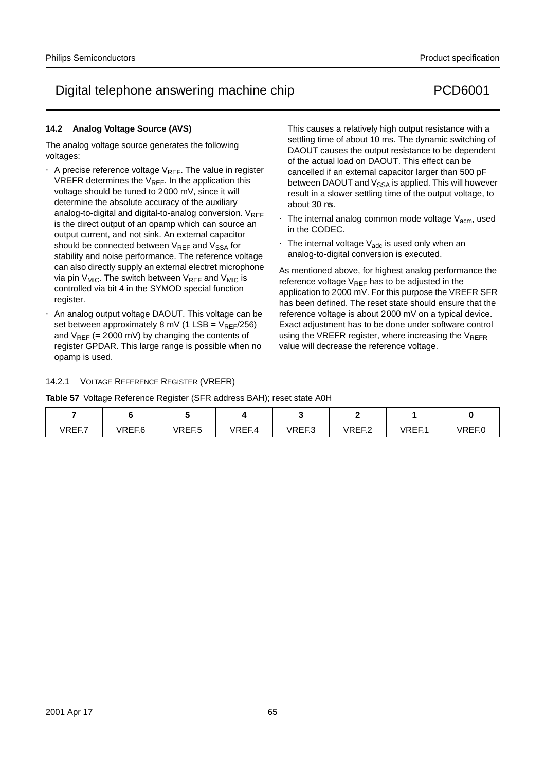### **14.2 Analog Voltage Source (AVS)**

The analog voltage source generates the following voltages:

- A precise reference voltage  $V_{REF}$ . The value in register VREFR determines the  $V_{REF}$ . In the application this voltage should be tuned to 2000 mV, since it will determine the absolute accuracy of the auxiliary analog-to-digital and digital-to-analog conversion.  $V_{RFF}$ is the direct output of an opamp which can source an output current, and not sink. An external capacitor should be connected between  $V_{RFF}$  and  $V_{SSA}$  for stability and noise performance. The reference voltage can also directly supply an external electret microphone via pin  $V_{MIC}$ . The switch between  $V_{REF}$  and  $V_{MIC}$  is controlled via bit 4 in the SYMOD special function register.
- An analog output voltage DAOUT. This voltage can be set between approximately 8 mV (1 LSB =  $V_{REF}/256$ ) and  $V_{REF}$  (= 2000 mV) by changing the contents of register GPDAR. This large range is possible when no opamp is used.

This causes a relatively high output resistance with a settling time of about 10 ms. The dynamic switching of DAOUT causes the output resistance to be dependent of the actual load on DAOUT. This effect can be cancelled if an external capacitor larger than 500 pF between DAOUT and  $V_{SSA}$  is applied. This will however result in a slower settling time of the output voltage, to about 30 µs.

- The internal analog common mode voltage  $V_{\text{acm}}$ , used in the CODEC.
- The internal voltage  $V_{\text{adc}}$  is used only when an analog-to-digital conversion is executed.

As mentioned above, for highest analog performance the reference voltage  $V_{RFF}$  has to be adjusted in the application to 2000 mV. For this purpose the VREFR SFR has been defined. The reset state should ensure that the reference voltage is about 2000 mV on a typical device. Exact adjustment has to be done under software control using the VREFR register, where increasing the  $V_{REFR}$ value will decrease the reference voltage.

### 14.2.1 VOLTAGE REFERENCE REGISTER (VREFR)

**Table 57** Voltage Reference Register (SFR address BAH); reset state A0H

| VREF.7 | $I\Gamma$ $\Gamma$ $\Gamma$ $\Omega$<br>. ← – – – –<br>. | $P = P$<br>$   -$<br>ט. ו∟י | $ID$ $F$ $I$ | VREF.3 | IDEL3<br>. <u>. .</u> | √REF.<br>ו . ו∟רו | $I\Gamma$ $\Gamma$ $\Gamma$ $\Lambda$<br>JRFF ()<br>1 L I .U |
|--------|----------------------------------------------------------|-----------------------------|--------------|--------|-----------------------|-------------------|--------------------------------------------------------------|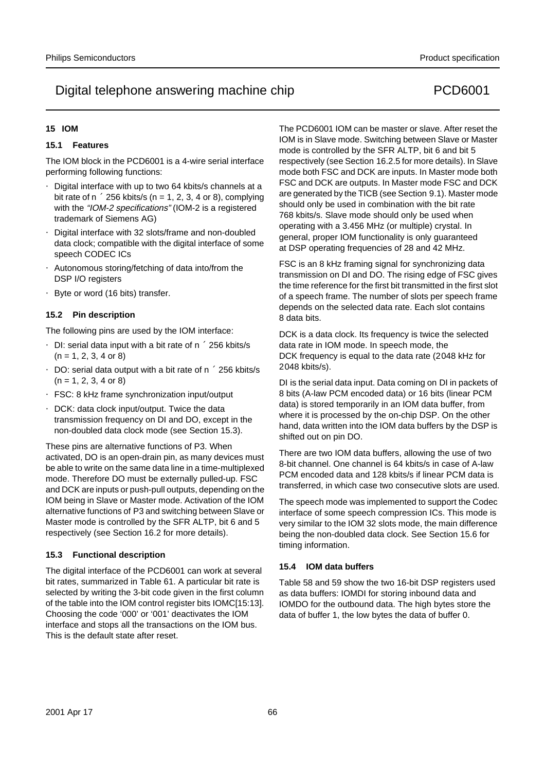### **15 IOM**

### **15.1 Features**

The IOM block in the PCD6001 is a 4-wire serial interface performing following functions:

- Digital interface with up to two 64 kbits/s channels at a bit rate of  $n \times 256$  kbits/s (n = 1, 2, 3, 4 or 8), complying with the "IOM-2 specifications" (IOM-2 is a registered trademark of Siemens AG)
- Digital interface with 32 slots/frame and non-doubled data clock; compatible with the digital interface of some speech CODEC ICs
- Autonomous storing/fetching of data into/from the DSP I/O registers
- Byte or word (16 bits) transfer.

### **15.2 Pin description**

The following pins are used by the IOM interface:

- DI: serial data input with a bit rate of  $n \times 256$  kbits/s  $(n = 1, 2, 3, 4 \text{ or } 8)$
- DO: serial data output with a bit rate of  $n \times 256$  kbits/s  $(n = 1, 2, 3, 4 \text{ or } 8)$
- FSC: 8 kHz frame synchronization input/output
- DCK: data clock input/output. Twice the data transmission frequency on DI and DO, except in the non-doubled data clock mode (see Section 15.3).

These pins are alternative functions of P3. When activated, DO is an open-drain pin, as many devices must be able to write on the same data line in a time-multiplexed mode. Therefore DO must be externally pulled-up. FSC and DCK are inputs or push-pull outputs, depending on the IOM being in Slave or Master mode. Activation of the IOM alternative functions of P3 and switching between Slave or Master mode is controlled by the SFR ALTP, bit 6 and 5 respectively (see Section 16.2 for more details).

#### **15.3 Functional description**

The digital interface of the PCD6001 can work at several bit rates, summarized in Table 61. A particular bit rate is selected by writing the 3-bit code given in the first column of the table into the IOM control register bits IOMC[15:13]. Choosing the code '000' or '001' deactivates the IOM interface and stops all the transactions on the IOM bus. This is the default state after reset.

The PCD6001 IOM can be master or slave. After reset the IOM is in Slave mode. Switching between Slave or Master mode is controlled by the SFR ALTP, bit 6 and bit 5 respectively (see Section 16.2.5 for more details). In Slave mode both FSC and DCK are inputs. In Master mode both FSC and DCK are outputs. In Master mode FSC and DCK are generated by the TICB (see Section 9.1). Master mode should only be used in combination with the bit rate 768 kbits/s. Slave mode should only be used when operating with a 3.456 MHz (or multiple) crystal. In general, proper IOM functionality is only guaranteed at DSP operating frequencies of 28 and 42 MHz.

FSC is an 8 kHz framing signal for synchronizing data transmission on DI and DO. The rising edge of FSC gives the time reference for the first bit transmitted in the first slot of a speech frame. The number of slots per speech frame depends on the selected data rate. Each slot contains 8 data bits.

DCK is a data clock. Its frequency is twice the selected data rate in IOM mode. In speech mode, the DCK frequency is equal to the data rate (2048 kHz for 2048 kbits/s).

DI is the serial data input. Data coming on DI in packets of 8 bits (A-law PCM encoded data) or 16 bits (linear PCM data) is stored temporarily in an IOM data buffer, from where it is processed by the on-chip DSP. On the other hand, data written into the IOM data buffers by the DSP is shifted out on pin DO.

There are two IOM data buffers, allowing the use of two 8-bit channel. One channel is 64 kbits/s in case of A-law PCM encoded data and 128 kbits/s if linear PCM data is transferred, in which case two consecutive slots are used.

The speech mode was implemented to support the Codec interface of some speech compression ICs. This mode is very similar to the IOM 32 slots mode, the main difference being the non-doubled data clock. See Section 15.6 for timing information.

### **15.4 IOM data buffers**

Table 58 and 59 show the two 16-bit DSP registers used as data buffers: IOMDI for storing inbound data and IOMDO for the outbound data. The high bytes store the data of buffer 1, the low bytes the data of buffer 0.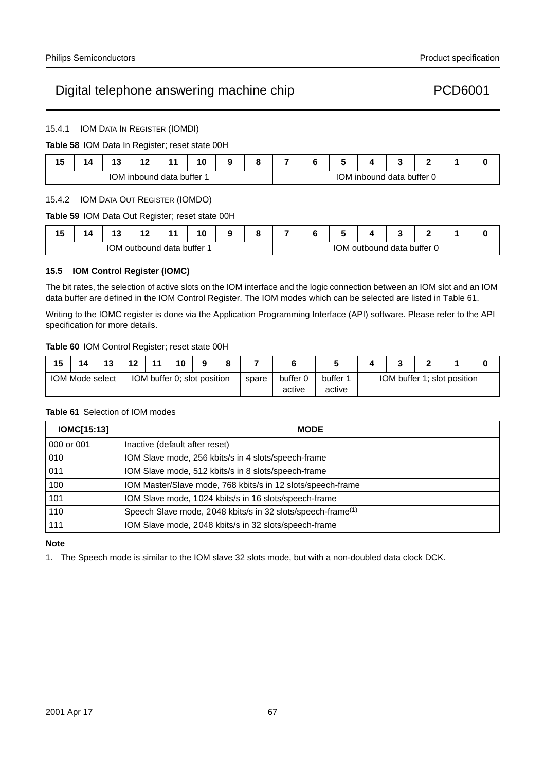15.4.1 IOM DATA IN REGISTER (IOMDI)

**Table 58** IOM Data In Register; reset state 00H

| 4 F<br>13 | ΊΔ. | 49<br>. . | י י<br>. .         |      | 10<br>_  |  |  |                  |         |                 |  |  |
|-----------|-----|-----------|--------------------|------|----------|--|--|------------------|---------|-----------------|--|--|
|           |     |           | <b>IOM</b> inbound | data | buffer 1 |  |  | MDC <sub>1</sub> | inbound | data buffer 0 د |  |  |

#### 15.4.2 IOM DATA OUT REGISTER (IOMDO)

**Table 59** IOM Data Out Register; reset state 00H

| . .<br>ıw | . .<br>. . |     | . .<br>. . |               | 10 | c | - |            |          |               |  |  |
|-----------|------------|-----|------------|---------------|----|---|---|------------|----------|---------------|--|--|
|           |            | IOM | outbound   | data buffer 1 |    |   |   | <b>IOM</b> | outbound | data buffer 0 |  |  |

### **15.5 IOM Control Register (IOMC)**

The bit rates, the selection of active slots on the IOM interface and the logic connection between an IOM slot and an IOM data buffer are defined in the IOM Control Register. The IOM modes which can be selected are listed in Table 61.

Writing to the IOMC register is done via the Application Programming Interface (API) software. Please refer to the API specification for more details.

#### **Table 60** IOM Control Register; reset state 00H

| 15 | 14              | 13 | 12 | 11 | 10                          | a | ິ |       |          |          |                             |  |  |  |  |
|----|-----------------|----|----|----|-----------------------------|---|---|-------|----------|----------|-----------------------------|--|--|--|--|
|    | IOM Mode select |    |    |    | IOM buffer 0; slot position |   |   | spare | buffer L | buffer 1 | IOM buffer 1; slot position |  |  |  |  |
|    |                 |    |    |    |                             |   |   |       | active   | active   |                             |  |  |  |  |

#### **Table 61** Selection of IOM modes

| IOMC[15:13] | <b>MODE</b>                                                             |
|-------------|-------------------------------------------------------------------------|
| 000 or 001  | Inactive (default after reset)                                          |
| 010         | IOM Slave mode, 256 kbits/s in 4 slots/speech-frame                     |
| 011         | IOM Slave mode, 512 kbits/s in 8 slots/speech-frame                     |
| 100         | IOM Master/Slave mode, 768 kbits/s in 12 slots/speech-frame             |
| 101         | IOM Slave mode, 1024 kbits/s in 16 slots/speech-frame                   |
| 110         | Speech Slave mode, 2048 kbits/s in 32 slots/speech-frame <sup>(1)</sup> |
| 111         | IOM Slave mode, 2048 kbits/s in 32 slots/speech-frame                   |

#### **Note**

1. The Speech mode is similar to the IOM slave 32 slots mode, but with a non-doubled data clock DCK.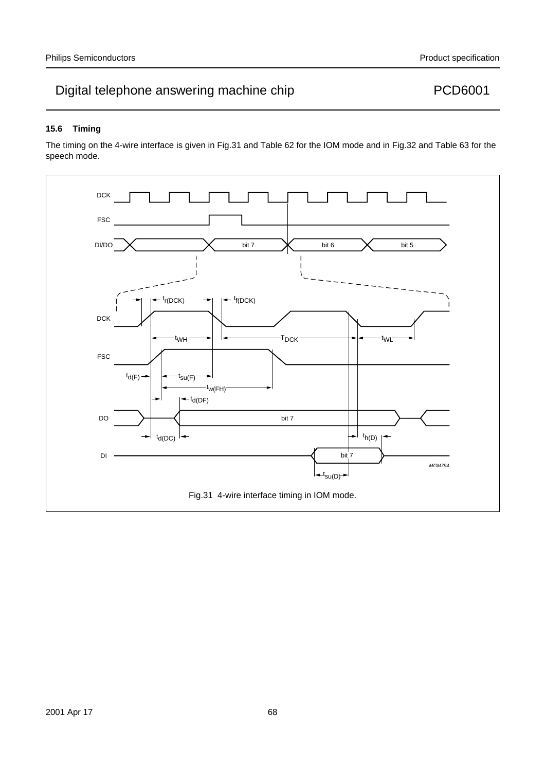### **15.6 Timing**

The timing on the 4-wire interface is given in Fig.31 and Table 62 for the IOM mode and in Fig.32 and Table 63 for the speech mode.

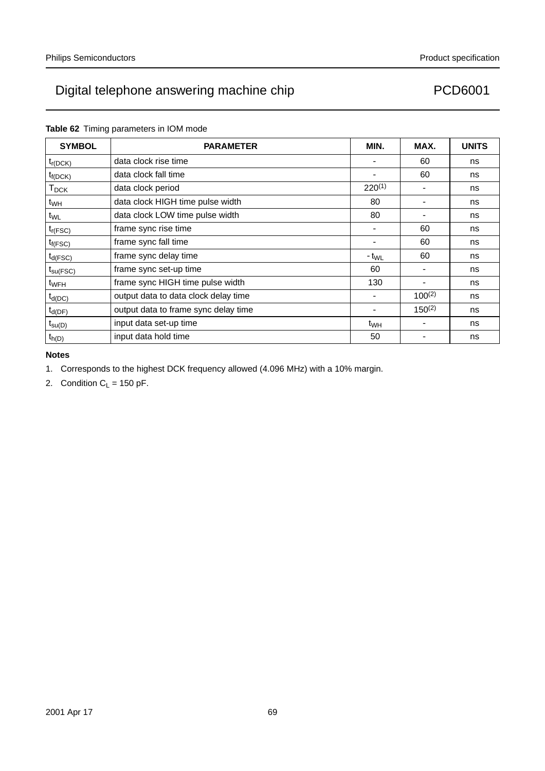| <b>SYMBOL</b>           | <b>PARAMETER</b>                     | MIN.            | MAX.        | <b>UNITS</b> |
|-------------------------|--------------------------------------|-----------------|-------------|--------------|
| $t_{r(DCK)}$            | data clock rise time                 |                 | 60          | ns           |
| $t_{f(DCK)}$            | data clock fall time                 |                 | 60          | ns           |
| <b>T</b> <sub>DCK</sub> | data clock period                    | $220^{(1)}$     |             | ns           |
| t <sub>WH</sub>         | data clock HIGH time pulse width     | 80              |             | ns           |
| $t_{WL}$                | data clock LOW time pulse width      | 80              |             | ns           |
| $t_{r(FSC)}$            | frame sync rise time                 |                 | 60          | ns           |
| $t_{f(FSC)}$            | frame sync fall time                 |                 | 60          | ns           |
| $t_{d(FSC)}$            | frame sync delay time                | $-t_{WL}$       | 60          | ns           |
| $t_{\text{su(FSC)}}$    | frame sync set-up time               | 60              |             | ns           |
| t <sub>WFH</sub>        | frame sync HIGH time pulse width     | 130             |             | ns           |
| $t_{d(DC)}$             | output data to data clock delay time |                 | $100^{(2)}$ | ns           |
| $t_{d(DF)}$             | output data to frame sync delay time |                 | $150^{(2)}$ | ns           |
| $t_{\text{su}(D)}$      | input data set-up time               | t <sub>WH</sub> |             | ns           |
| $t_{h(D)}$              | input data hold time                 | 50              |             | ns           |

### **Table 62** Timing parameters in IOM mode

#### **Notes**

1. Corresponds to the highest DCK frequency allowed (4.096 MHz) with a 10% margin.

2. Condition  $C_L = 150$  pF.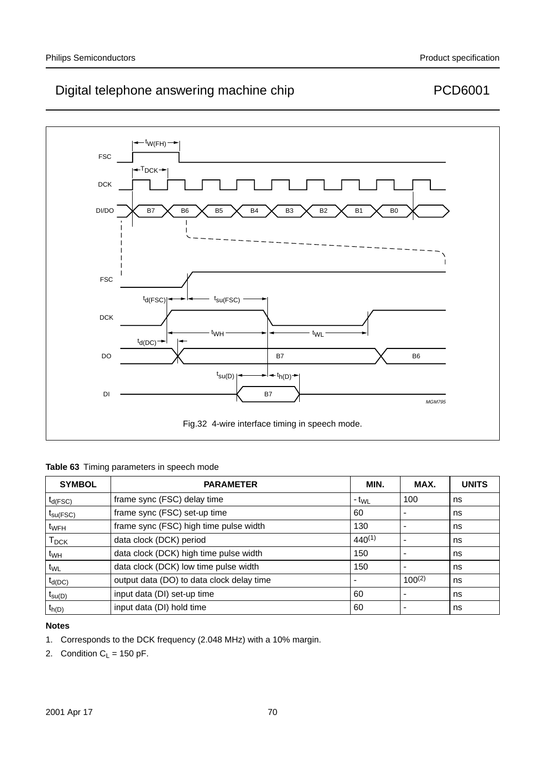

| Table 63 Timing parameters in speech mode |  |  |  |  |  |  |
|-------------------------------------------|--|--|--|--|--|--|
|-------------------------------------------|--|--|--|--|--|--|

| <b>SYMBOL</b>        | <b>PARAMETER</b>                          | MIN.        | MAX.        | <b>UNITS</b> |
|----------------------|-------------------------------------------|-------------|-------------|--------------|
| $t_{d(FSC)}$         | frame sync (FSC) delay time               | $-t_{WL}$   | 100         | ns           |
| $t_{\text{su(FSC)}}$ | frame sync (FSC) set-up time              | 60          |             | ns           |
| t <sub>WFH</sub>     | frame sync (FSC) high time pulse width    | 130         |             | ns           |
| $T_{\sf DCK}$        | data clock (DCK) period                   | $440^{(1)}$ |             | ns           |
| t <sub>WH</sub>      | data clock (DCK) high time pulse width    | 150         |             | ns           |
| t <sub>WL</sub>      | data clock (DCK) low time pulse width     | 150         |             | ns           |
| $t_{d(DC)}$          | output data (DO) to data clock delay time |             | $100^{(2)}$ | ns           |
| $t_{\text{su}(D)}$   | input data (DI) set-up time               | 60          |             | ns           |
| $t_{h(D)}$           | input data (DI) hold time                 | 60          |             | ns           |

### **Notes**

- 1. Corresponds to the DCK frequency (2.048 MHz) with a 10% margin.
- 2. Condition  $C_L = 150$  pF.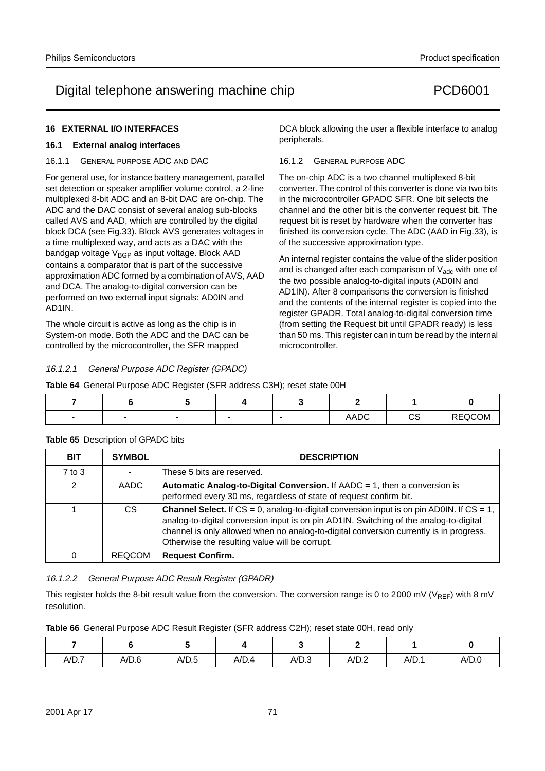DCA block allowing the user a flexible interface to analog

An internal register contains the value of the slider position and is changed after each comparison of  $V_{\text{adc}}$  with one of the two possible analog-to-digital inputs (AD0IN and AD1IN). After 8 comparisons the conversion is finished and the contents of the internal register is copied into the register GPADR. Total analog-to-digital conversion time (from setting the Request bit until GPADR ready) is less than 50 ms. This register can in turn be read by the internal

The on-chip ADC is a two channel multiplexed 8-bit converter. The control of this converter is done via two bits in the microcontroller GPADC SFR. One bit selects the channel and the other bit is the converter request bit. The request bit is reset by hardware when the converter has finished its conversion cycle. The ADC (AAD in Fig.33), is

### **16 EXTERNAL I/O INTERFACES**

#### **16.1 External analog interfaces**

16.1.1 GENERAL PURPOSE ADC AND DAC

For general use, for instance battery management, parallel set detection or speaker amplifier volume control, a 2-line multiplexed 8-bit ADC and an 8-bit DAC are on-chip. The ADC and the DAC consist of several analog sub-blocks called AVS and AAD, which are controlled by the digital block DCA (see Fig.33). Block AVS generates voltages in a time multiplexed way, and acts as a DAC with the bandgap voltage  $V_{\text{BGP}}$  as input voltage. Block AAD contains a comparator that is part of the successive approximation ADC formed by a combination of AVS, AAD and DCA. The analog-to-digital conversion can be performed on two external input signals: AD0IN and AD1IN.

The whole circuit is active as long as the chip is in System-on mode. Both the ADC and the DAC can be controlled by the microcontroller, the SFR mapped

16.1.2.1 General Purpose ADC Register (GPADC)

**Table 64** General Purpose ADC Register (SFR address C3H); reset state 00H

| $\overline{\phantom{0}}$ |  | $\overline{\phantom{0}}$ | <b>AADC</b> | $\sim$<br>◡◡ | REQCOM |
|--------------------------|--|--------------------------|-------------|--------------|--------|

microcontroller.

peripherals.

16.1.2 GENERAL PURPOSE ADC

of the successive approximation type.

| <b>BIT</b>    | <b>SYMBOL</b> | <b>DESCRIPTION</b>                                                                                                                                                                                                                                                                                                                           |
|---------------|---------------|----------------------------------------------------------------------------------------------------------------------------------------------------------------------------------------------------------------------------------------------------------------------------------------------------------------------------------------------|
| $7$ to $3$    |               | These 5 bits are reserved.                                                                                                                                                                                                                                                                                                                   |
| $\mathcal{P}$ | AADC          | <b>Automatic Analog-to-Digital Conversion.</b> If $AADC = 1$ , then a conversion is<br>performed every 30 ms, regardless of state of request confirm bit.                                                                                                                                                                                    |
|               | CS.           | <b>Channel Select.</b> If $CS = 0$ , analog-to-digital conversion input is on pin AD0IN. If $CS = 1$ ,<br>analog-to-digital conversion input is on pin AD1IN. Switching of the analog-to-digital<br>channel is only allowed when no analog-to-digital conversion currently is in progress.<br>Otherwise the resulting value will be corrupt. |
| 0             | <b>REQCOM</b> | <b>Request Confirm.</b>                                                                                                                                                                                                                                                                                                                      |

#### **Table 65** Description of GPADC bits

16.1.2.2 General Purpose ADC Result Register (GPADR)

This register holds the 8-bit result value from the conversion. The conversion range is 0 to 2000 mV ( $V_{REF}$ ) with 8 mV resolution.

|  |  | Table 66 General Purpose ADC Result Register (SFR address C2H); reset state 00H, read only |  |
|--|--|--------------------------------------------------------------------------------------------|--|
|  |  |                                                                                            |  |

| A/D.7 | A/D.6 | A/D.5 | A/D.4 | A/D.3 | A/D.2 | A/D.1 | A/D.0 |
|-------|-------|-------|-------|-------|-------|-------|-------|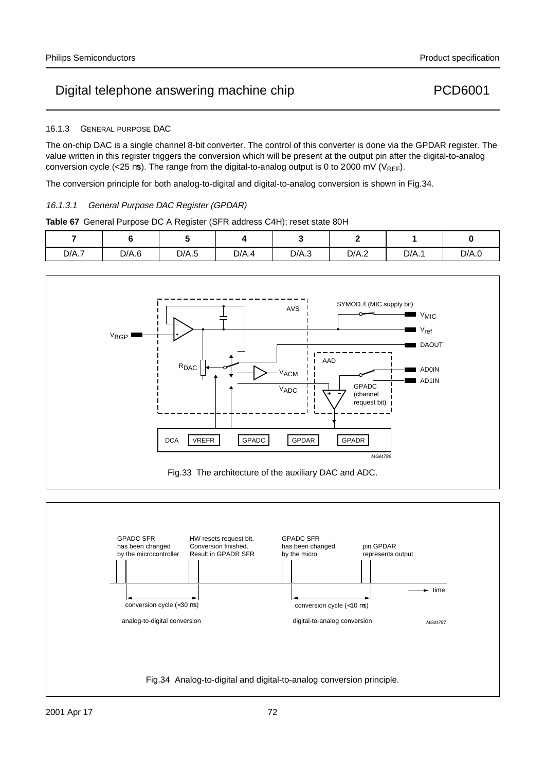#### 16.1.3 GENERAL PURPOSE DAC

The on-chip DAC is a single channel 8-bit converter. The control of this converter is done via the GPDAR register. The value written in this register triggers the conversion which will be present at the output pin after the digital-to-analog conversion cycle (<25 µs). The range from the digital-to-analog output is 0 to 2000 mV ( $V_{RFF}$ ).

The conversion principle for both analog-to-digital and digital-to-analog conversion is shown in Fig.34.

### 16.1.3.1 General Purpose DAC Register (GPDAR)

**Table 67** General Purpose DC A Register (SFR address C4H); reset state 80H

|       |       |       |       |       | $\overline{\phantom{0}}$ |       |       |
|-------|-------|-------|-------|-------|--------------------------|-------|-------|
| D/A.7 | D/A.6 | D/A.5 | D/A.4 | D/A.3 | D/A.2                    | D/A.1 | D/A.0 |



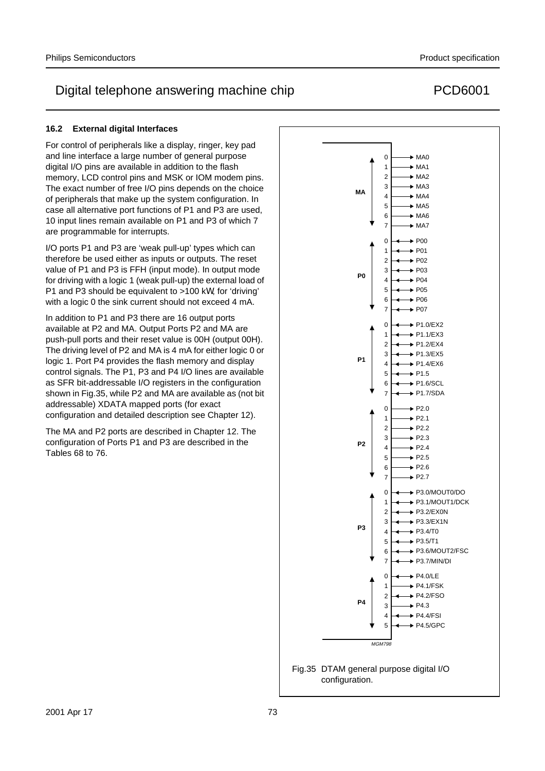For control of peripherals like a display, ringer, key pad and line interface a large number of general purpose digital I/O pins are available in addition to the flash memory, LCD control pins and MSK or IOM modem pins. The exact number of free I/O pins depends on the choice of peripherals that make up the system configuration. In case all alternative port functions of P1 and P3 are used, 10 input lines remain available on P1 and P3 of which 7 are programmable for interrupts.

I/O ports P1 and P3 are 'weak pull-up' types which can therefore be used either as inputs or outputs. The reset value of P1 and P3 is FFH (input mode). In output mode for driving with a logic 1 (weak pull-up) the external load of P1 and P3 should be equivalent to >100 kΩ, for 'driving' with a logic 0 the sink current should not exceed 4 mA.

In addition to P1 and P3 there are 16 output ports available at P2 and MA. Output Ports P2 and MA are push-pull ports and their reset value is 00H (output 00H). The driving level of P2 and MA is 4 mA for either logic 0 or logic 1. Port P4 provides the flash memory and display control signals. The P1, P3 and P4 I/O lines are available as SFR bit-addressable I/O registers in the configuration shown in Fig.35, while P2 and MA are available as (not bit addressable) XDATA mapped ports (for exact configuration and detailed description see Chapter 12).

The MA and P2 ports are described in Chapter 12. The configuration of Ports P1 and P3 are described in the Tables 68 to 76.





MGM798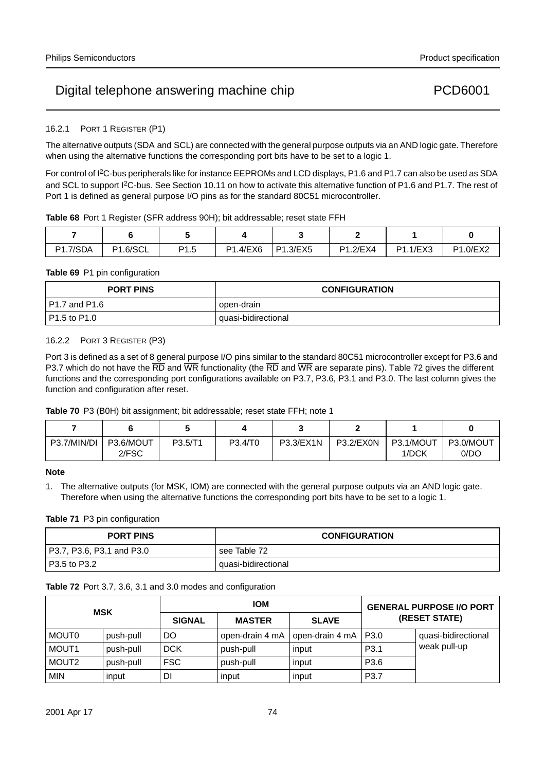### 16.2.1 PORT 1 REGISTER (P1)

The alternative outputs (SDA and SCL) are connected with the general purpose outputs via an AND logic gate. Therefore when using the alternative functions the corresponding port bits have to be set to a logic 1.

For control of I2C-bus peripherals like for instance EEPROMs and LCD displays, P1.6 and P1.7 can also be used as SDA and SCL to support I<sup>2</sup>C-bus. See Section 10.11 on how to activate this alternative function of P1.6 and P1.7. The rest of Port 1 is defined as general purpose I/O pins as for the standard 80C51 microcontroller.

### **Table 68** Port 1 Register (SFR address 90H); bit addressable; reset state FFH

| <b>P1.7/SDA</b> | <b>P1.6/SCL</b> | P <sub>1.5</sub> | .4/EX6<br>P <sub>1</sub> | P1.3/EX5 | P1.2/EX4 | P1.1/EX3 | P1.0/EX2 |
|-----------------|-----------------|------------------|--------------------------|----------|----------|----------|----------|

### **Table 69 P1 pin configuration**

| <b>PORT PINS</b> | <b>CONFIGURATION</b> |
|------------------|----------------------|
| P1.7 and P1.6    | open-drain           |
| P1.5 to P1.0     | quasi-bidirectional  |

### 16.2.2 PORT 3 REGISTER (P3)

Port 3 is defined as a set of 8 general purpose I/O pins similar to the standard 80C51 microcontroller except for P3.6 and P3.7 which do not have the RD and WR functionality (the RD and WR are separate pins). Table 72 gives the different functions and the corresponding port configurations available on P3.7, P3.6, P3.1 and P3.0. The last column gives the function and configuration after reset.

### **Table 70** P3 (B0H) bit assignment; bit addressable; reset state FFH; note 1

| P3.7/MIN/DI | P3.6/MOUT<br>2/FSC | P3.5/T1 | P3.4/T0 | P3.3/EX1N | P3.2/EX0N | P3.1/MOUT<br>1/DCK | P3.0/MOUT<br>0/DC |
|-------------|--------------------|---------|---------|-----------|-----------|--------------------|-------------------|

### **Note**

1. The alternative outputs (for MSK, IOM) are connected with the general purpose outputs via an AND logic gate. Therefore when using the alternative functions the corresponding port bits have to be set to a logic 1.

### **Table 71** P3 pin configuration

| <b>PORT PINS</b>          | <b>CONFIGURATION</b> |
|---------------------------|----------------------|
| P3.7, P3.6, P3.1 and P3.0 | see Table 72         |
| P3.5 to P3.2              | quasi-bidirectional  |

### **Table 72** Port 3.7, 3.6, 3.1 and 3.0 modes and configuration

| <b>MSK</b>   |           |               | <b>IOM</b>                    | <b>GENERAL PURPOSE I/O PORT</b><br>(RESET STATE) |                  |                     |
|--------------|-----------|---------------|-------------------------------|--------------------------------------------------|------------------|---------------------|
|              |           | <b>SIGNAL</b> | <b>SLAVE</b><br><b>MASTER</b> |                                                  |                  |                     |
| <b>MOUT0</b> | push-pull | DO            | open-drain 4 mA               | open-drain 4 mA                                  | P3.0             | quasi-bidirectional |
| MOUT1        | push-pull | <b>DCK</b>    | push-pull                     | input                                            | P <sub>3.1</sub> | weak pull-up        |
| MOUT2        | push-pull | <b>FSC</b>    | push-pull                     | input                                            | P <sub>3.6</sub> |                     |
| <b>MIN</b>   | input     | DI            | input                         | input                                            | P <sub>3.7</sub> |                     |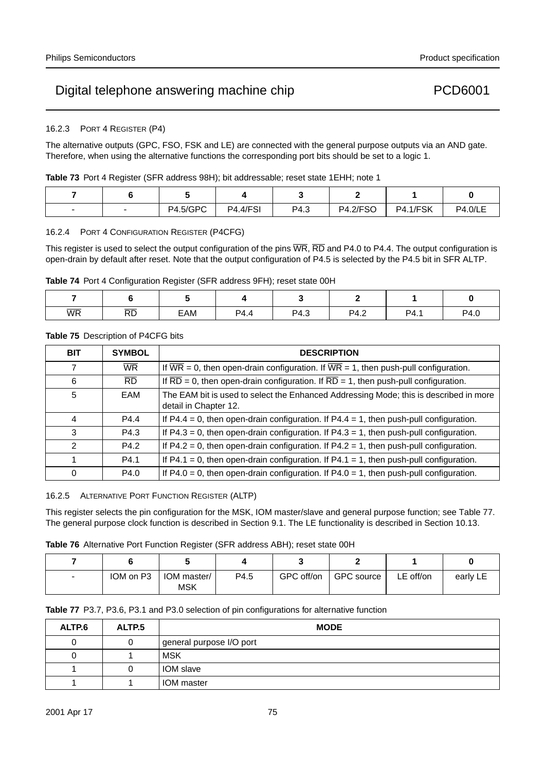### 16.2.3 PORT 4 REGISTER (P4)

The alternative outputs (GPC, FSO, FSK and LE) are connected with the general purpose outputs via an AND gate. Therefore, when using the alternative functions the corresponding port bits should be set to a logic 1.

|  |  |  |  | Table 73 Port 4 Register (SFR address 98H); bit addressable; reset state 1EHH; note 1 |
|--|--|--|--|---------------------------------------------------------------------------------------|
|--|--|--|--|---------------------------------------------------------------------------------------|

|  | <b>P4.5/GPC</b> | <b>P4.4/FSI</b> | P4.3 | <b>P4.2/FSO</b> | <b>P4.1/FSK</b> | <b>P4.0/LE</b> |
|--|-----------------|-----------------|------|-----------------|-----------------|----------------|

### 16.2.4 PORT 4 CONFIGURATION REGISTER (P4CFG)

This register is used to select the output configuration of the pins  $\overline{WR}$ ,  $\overline{RD}$  and P4.0 to P4.4. The output configuration is open-drain by default after reset. Note that the output configuration of P4.5 is selected by the P4.5 bit in SFR ALTP.

**Table 74** Port 4 Configuration Register (SFR address 9FH); reset state 00H

|    |                 | __  | ____ |      |      |      |      |
|----|-----------------|-----|------|------|------|------|------|
|    |                 |     |      |      |      |      |      |
| WR | $\overline{RD}$ | EAM | P4.4 | P4.3 | P4.2 | P4.1 | P4.0 |

### **Table 75** Description of P4CFG bits

| <b>BIT</b>    | <b>SYMBOL</b>   | <b>DESCRIPTION</b>                                                                                             |
|---------------|-----------------|----------------------------------------------------------------------------------------------------------------|
| 7             | <b>WR</b>       | If $\overline{WR}$ = 0, then open-drain configuration. If $\overline{WR}$ = 1, then push-pull configuration.   |
| 6             | $\overline{RD}$ | If $\overline{RD} = 0$ , then open-drain configuration. If $\overline{RD} = 1$ , then push-pull configuration. |
| 5             | EAM             | The EAM bit is used to select the Enhanced Addressing Mode; this is described in more<br>detail in Chapter 12. |
| 4             | P4.4            | If P4.4 = 0, then open-drain configuration. If P4.4 = 1, then push-pull configuration.                         |
| 3             | P4.3            | If $P4.3 = 0$ , then open-drain configuration. If $P4.3 = 1$ , then push-pull configuration.                   |
| $\mathcal{P}$ | P4.2            | If $P4.2 = 0$ , then open-drain configuration. If $P4.2 = 1$ , then push-pull configuration.                   |
|               | P4.1            | If $P4.1 = 0$ , then open-drain configuration. If $P4.1 = 1$ , then push-pull configuration.                   |
| $\Omega$      | P4.0            | If $P4.0 = 0$ , then open-drain configuration. If $P4.0 = 1$ , then push-pull configuration.                   |

16.2.5 ALTERNATIVE PORT FUNCTION REGISTER (ALTP)

This register selects the pin configuration for the MSK, IOM master/slave and general purpose function; see Table 77. The general purpose clock function is described in Section 9.1. The LE functionality is described in Section 10.13.

|  |  |  |  |  |  | <b>Table 76</b> Alternative Port Function Register (SFR address ABH); reset state 00H |
|--|--|--|--|--|--|---------------------------------------------------------------------------------------|
|--|--|--|--|--|--|---------------------------------------------------------------------------------------|

| $\overline{\phantom{m}}$ | IOM on P3 | IOM master/<br><b>MSK</b> | P4.5 | GPC off/on | GPC source | LE off/on | early LE |
|--------------------------|-----------|---------------------------|------|------------|------------|-----------|----------|

| <b>Table 77</b> P3.7, P3.6, P3.1 and P3.0 selection of pin configurations for alternative function |  |
|----------------------------------------------------------------------------------------------------|--|
|----------------------------------------------------------------------------------------------------|--|

| ALTP.6 | ALTP <sub>.5</sub> | <b>MODE</b>              |
|--------|--------------------|--------------------------|
|        |                    | general purpose I/O port |
|        |                    | <b>MSK</b>               |
|        |                    | <b>IOM</b> slave         |
|        |                    | IOM master               |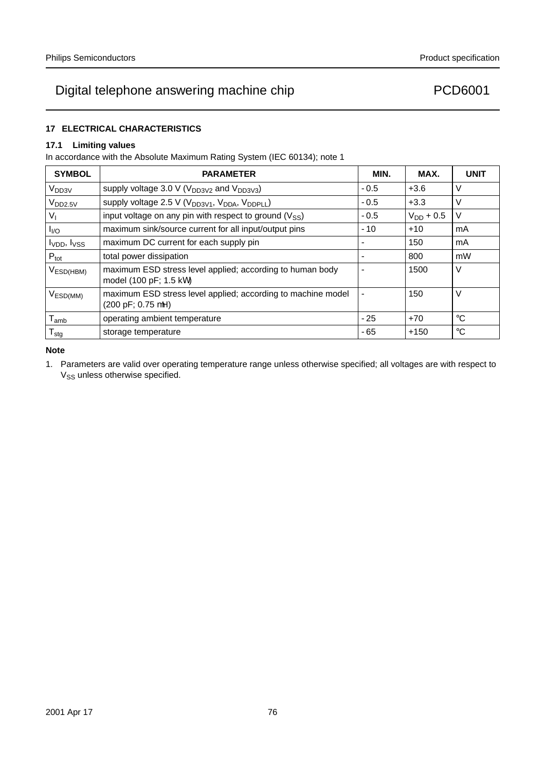### **17 ELECTRICAL CHARACTERISTICS**

### **17.1 Limiting values**

In accordance with the Absolute Maximum Rating System (IEC 60134); note 1

| <b>SYMBOL</b>                       | <b>PARAMETER</b>                                                                                    | MIN.            | MAX.           | <b>UNIT</b> |
|-------------------------------------|-----------------------------------------------------------------------------------------------------|-----------------|----------------|-------------|
| $V_{DD3V}$                          | supply voltage 3.0 V ( $V_{DD3V2}$ and $V_{DD3V3}$ )                                                | $-0.5$          | $+3.6$         | $\vee$      |
| V <sub>DD2.5V</sub>                 | supply voltage 2.5 V (V <sub>DD3V1</sub> , V <sub>DDA</sub> , V <sub>DDPLL</sub> )                  | $-0.5$          | $+3.3$         | V           |
| Vı                                  | input voltage on any pin with respect to ground $(V_{SS})$                                          | $-0.5$          | $V_{DD}$ + 0.5 | $\vee$      |
| $I_{\text{IO}}$                     | maximum sink/source current for all input/output pins                                               | $-10$           | $+10$          | mA          |
| I <sub>VDD</sub> , I <sub>VSS</sub> | maximum DC current for each supply pin                                                              | $\qquad \qquad$ | 150            | mA          |
| $P_{\text{tot}}$                    | total power dissipation                                                                             |                 | 800            | mW          |
| $V_{ESD(HBM)}$                      | maximum ESD stress level applied; according to human body<br>model (100 pF; 1.5 kΩ)                 |                 | 1500           | $\vee$      |
| $V_{ESD(MM)}$                       | maximum ESD stress level applied; according to machine model<br>$(200 \text{ pF}; 0.75 \text{ µH})$ | —               | 150            | V           |
| $T_{amb}$                           | operating ambient temperature                                                                       | $-25$           | $+70$          | $^{\circ}C$ |
| ${\mathsf T}_{\text{stg}}$          | storage temperature                                                                                 | $-65$           | $+150$         | $^{\circ}C$ |

### **Note**

1. Parameters are valid over operating temperature range unless otherwise specified; all voltages are with respect to V<sub>SS</sub> unless otherwise specified.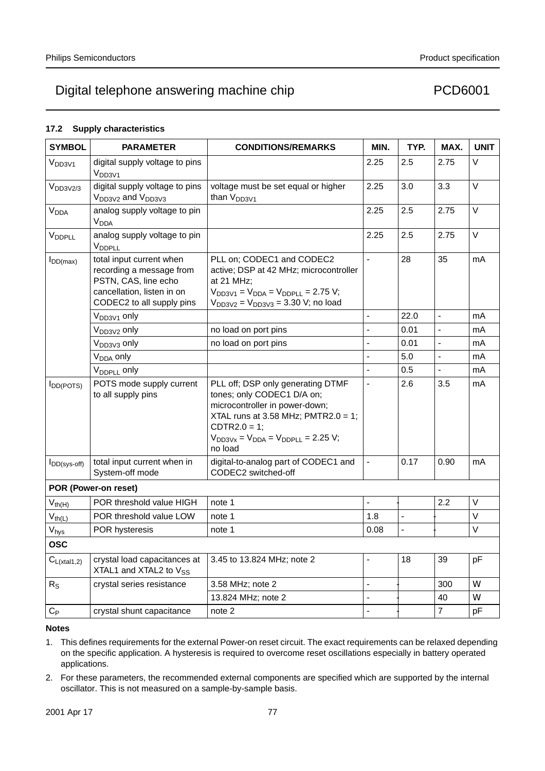### **17.2 Supply characteristics**

| <b>SYMBOL</b>          | <b>PARAMETER</b>                                                                                                                        | <b>CONDITIONS/REMARKS</b>                                                                                                                                                                                             | MIN.                     | TYP.                     | MAX.                     | <b>UNIT</b>    |
|------------------------|-----------------------------------------------------------------------------------------------------------------------------------------|-----------------------------------------------------------------------------------------------------------------------------------------------------------------------------------------------------------------------|--------------------------|--------------------------|--------------------------|----------------|
| V <sub>DD3V1</sub>     | digital supply voltage to pins<br>V <sub>DD3V1</sub>                                                                                    |                                                                                                                                                                                                                       | 2.25                     | 2.5                      | 2.75                     | $\vee$         |
| V <sub>DD3V2/3</sub>   | digital supply voltage to pins<br>V <sub>DD3V2</sub> and V <sub>DD3V3</sub>                                                             | voltage must be set equal or higher<br>than $V_{DD3V1}$                                                                                                                                                               | 2.25                     | 3.0                      | 3.3                      | $\vee$         |
| <b>V<sub>DDA</sub></b> | analog supply voltage to pin<br><b>V<sub>DDA</sub></b>                                                                                  |                                                                                                                                                                                                                       | 2.25                     | 2.5                      | 2.75                     | V              |
| VDDPLL                 | analog supply voltage to pin<br>V <sub>DDPLL</sub>                                                                                      |                                                                                                                                                                                                                       | 2.25                     | 2.5                      | 2.75                     | $\vee$         |
| $I_{DD(max)}$          | total input current when<br>recording a message from<br>PSTN, CAS, line echo<br>cancellation, listen in on<br>CODEC2 to all supply pins | PLL on; CODEC1 and CODEC2<br>active; DSP at 42 MHz; microcontroller<br>at 21 MHz;<br>$V_{DD3V1} = V_{DDA} = V_{DDPLL} = 2.75 V;$<br>$V_{DD3V2} = V_{DD3V3} = 3.30$ V; no load                                         | $\overline{\phantom{0}}$ | 28                       | 35                       | mA             |
|                        | V <sub>DD3V1</sub> only                                                                                                                 |                                                                                                                                                                                                                       | $\overline{\phantom{0}}$ | 22.0                     | $\overline{\phantom{0}}$ | mA             |
|                        | V <sub>DD3V2</sub> only                                                                                                                 | no load on port pins                                                                                                                                                                                                  |                          | 0.01                     | $\overline{\phantom{0}}$ | mA             |
|                        | V <sub>DD3V3</sub> only                                                                                                                 | no load on port pins                                                                                                                                                                                                  | $\overline{\phantom{0}}$ | 0.01                     | $\overline{\phantom{0}}$ | m <sub>A</sub> |
|                        | V <sub>DDA</sub> only                                                                                                                   |                                                                                                                                                                                                                       |                          | 5.0                      | $\overline{\phantom{0}}$ | mA             |
|                        | V <sub>DDPLL</sub> only                                                                                                                 |                                                                                                                                                                                                                       | $\overline{\phantom{0}}$ | 0.5                      | $\overline{\phantom{0}}$ | mA             |
| $I_{DD(POTS)}$         | POTS mode supply current<br>to all supply pins                                                                                          | PLL off; DSP only generating DTMF<br>tones; only CODEC1 D/A on;<br>microcontroller in power-down;<br>XTAL runs at 3.58 MHz; PMTR2.0 = 1;<br>$CDTR2.0 = 1$ ;<br>$V_{DD3Vx} = V_{DDA} = V_{DDPLL} = 2.25$ V;<br>no load |                          | 2.6                      | 3.5                      | mA             |
| $I_{DD(sys-off)}$      | total input current when in<br>System-off mode                                                                                          | digital-to-analog part of CODEC1 and<br>CODEC2 switched-off                                                                                                                                                           | $\overline{\phantom{0}}$ | 0.17                     | 0.90                     | mA             |
|                        | POR (Power-on reset)                                                                                                                    |                                                                                                                                                                                                                       |                          |                          |                          |                |
| $V_{th(H)}$            | POR threshold value HIGH                                                                                                                | note 1                                                                                                                                                                                                                | $\overline{\phantom{0}}$ | $\overline{\phantom{0}}$ | 2.2                      | $\vee$         |
| $V_{th(L)}$            | POR threshold value LOW                                                                                                                 | note 1                                                                                                                                                                                                                | 1.8                      |                          |                          | $\vee$         |
| $V_{\text{hys}}$       | POR hysteresis                                                                                                                          | note 1                                                                                                                                                                                                                | 0.08                     | $\equiv$                 | $\overline{\phantom{0}}$ | $\vee$         |
| <b>OSC</b>             |                                                                                                                                         |                                                                                                                                                                                                                       |                          |                          |                          |                |
| $C_{L(xtal1,2)}$       | crystal load capacitances at<br>XTAL1 and XTAL2 to V <sub>SS</sub>                                                                      | 3.45 to 13.824 MHz; note 2                                                                                                                                                                                            | —                        | 18                       | 39                       | pF             |
| $R_{\rm S}$            | crystal series resistance                                                                                                               | 3.58 MHz; note 2                                                                                                                                                                                                      | $\overline{\phantom{0}}$ | $\qquad \qquad -$        | 300                      | Ω              |
|                        |                                                                                                                                         | 13.824 MHz; note 2                                                                                                                                                                                                    |                          |                          | 40                       | $\Omega$       |
| $C_{\mathsf P}$        | crystal shunt capacitance                                                                                                               | note 2                                                                                                                                                                                                                |                          | —                        | 7                        | рF             |

- 1. This defines requirements for the external Power-on reset circuit. The exact requirements can be relaxed depending on the specific application. A hysteresis is required to overcome reset oscillations especially in battery operated applications.
- 2. For these parameters, the recommended external components are specified which are supported by the internal oscillator. This is not measured on a sample-by-sample basis.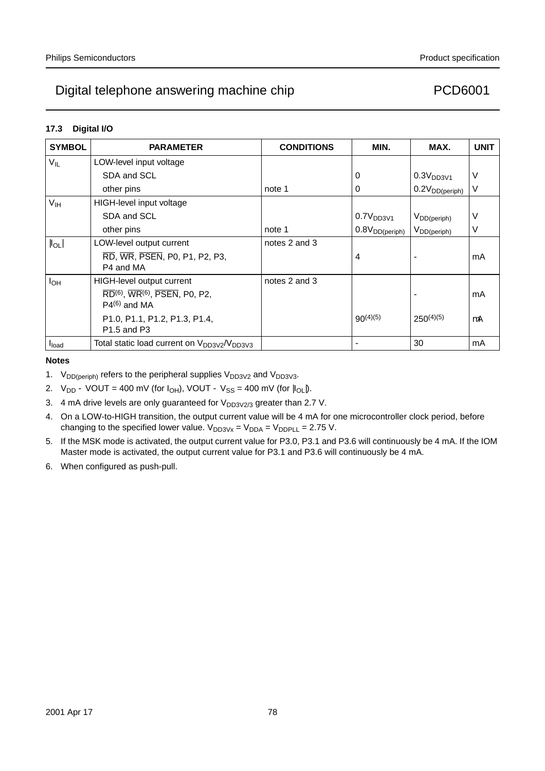### **17.3 Digital I/O**

| <b>SYMBOL</b>        | <b>PARAMETER</b>                                                                                                      | <b>CONDITIONS</b> | MIN.                       | MAX.                  | <b>UNIT</b> |
|----------------------|-----------------------------------------------------------------------------------------------------------------------|-------------------|----------------------------|-----------------------|-------------|
| $V_{IL}$             | LOW-level input voltage                                                                                               |                   |                            |                       |             |
|                      | SDA and SCL                                                                                                           |                   | 0                          | 0.3V <sub>DD3V1</sub> | V           |
|                      | other pins                                                                                                            | note 1            | 0                          | $0.2V_{DD(periph)}$   | $\vee$      |
| $V_{\text{IH}}$      | HIGH-level input voltage                                                                                              |                   |                            |                       |             |
|                      | SDA and SCL                                                                                                           |                   | 0.7V <sub>DD3V1</sub>      | $V_{DD(periph)}$      | ٧           |
|                      | other pins                                                                                                            | note 1            | 0.8V <sub>DD(periph)</sub> | $V_{DD(periph)}$      | V           |
| $\vert I_{OL} \vert$ | LOW-level output current                                                                                              | notes 2 and 3     |                            |                       |             |
|                      | RD, WR, PSEN, P0, P1, P2, P3,<br>P4 and MA                                                                            |                   | 4                          |                       | mA          |
| $I_{OH}$             | <b>HIGH-level output current</b>                                                                                      | notes 2 and 3     |                            |                       |             |
|                      | $\overline{\text{RD}}^{(6)}$ , $\overline{\text{WR}}^{(6)}$ , $\overline{\text{PSEN}}$ , P0, P2,<br>$P4^{(6)}$ and MA |                   |                            |                       | mA          |
|                      | P1.0, P1.1, P1.2, P1.3, P1.4,<br>P <sub>1.5</sub> and P <sub>3</sub>                                                  |                   | $90^{(4)(5)}$              | $250^{(4)(5)}$        | μA          |
| I <sub>load</sub>    | Total static load current on V <sub>DD3V2</sub> /V <sub>DD3V3</sub>                                                   |                   |                            | 30                    | mA          |

- 1.  $V_{DD(periph)}$  refers to the peripheral supplies  $V_{DD3V2}$  and  $V_{DD3V3}$ .
- 2.  $V_{DD} VOUT = 400$  mV (for  $I_{OH}$ ), VOUT  $V_{SS} = 400$  mV (for  $|I_{OL}|$ ).
- 3. 4 mA drive levels are only guaranteed for  $V_{DD3V2/3}$  greater than 2.7 V.
- 4. On a LOW-to-HIGH transition, the output current value will be 4 mA for one microcontroller clock period, before changing to the specified lower value.  $V_{DD3Vx} = V_{DDA} = V_{DDPLL} = 2.75$  V.
- 5. If the MSK mode is activated, the output current value for P3.0, P3.1 and P3.6 will continuously be 4 mA. If the IOM Master mode is activated, the output current value for P3.1 and P3.6 will continuously be 4 mA.
- 6. When configured as push-pull.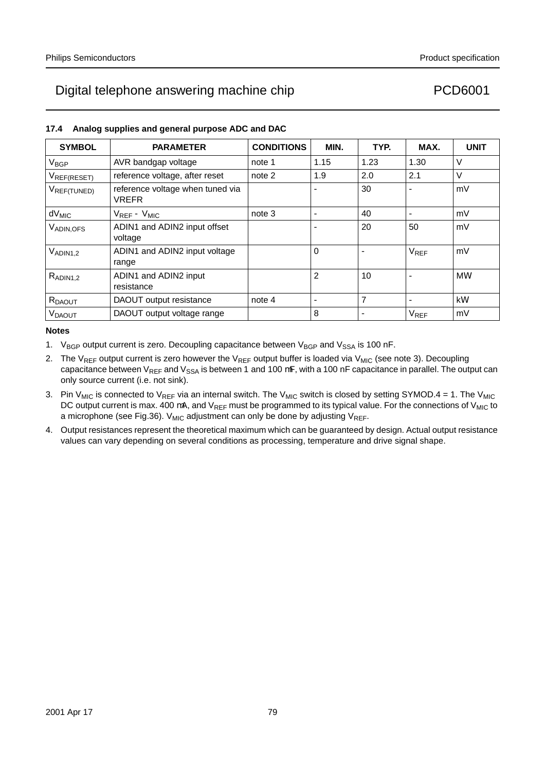| 17.4 Analog supplies and general purpose ADC and DAC |                  |                   |      |      |      |      |
|------------------------------------------------------|------------------|-------------------|------|------|------|------|
| <b>SYMBOL</b>                                        | <b>PARAMETER</b> | <b>CONDITIONS</b> | MIN. | TYP. | MAX. | UNIT |

| <b>JIMDUL</b>      | <b>FANAMEILN</b>                                 | <b>UUNDI IUNU</b> | IVIIIV. | . <del>.</del>           | IVIMA.                 | UNII      |
|--------------------|--------------------------------------------------|-------------------|---------|--------------------------|------------------------|-----------|
| V <sub>BGP</sub>   | AVR bandgap voltage                              | note 1            | 1.15    | 1.23                     | 1.30                   | V         |
| VREF(RESET)        | reference voltage, after reset                   | note 2            | 1.9     | 2.0                      | 2.1                    | $\vee$    |
| VREF(TUNED)        | reference voltage when tuned via<br><b>VREFR</b> |                   |         | 30                       |                        | mV        |
| $dV_{MIC}$         | $V_{REF}-V_{MIC}$                                | note 3            |         | 40                       |                        | mV        |
| VADIN, OFS         | ADIN1 and ADIN2 input offset<br>voltage          |                   |         | 20                       | 50                     | mV        |
| $V_{ADIN1,2}$      | ADIN1 and ADIN2 input voltage<br>range           |                   | 0       |                          | <b>V<sub>REF</sub></b> | mV        |
| $R_{ADIN1,2}$      | ADIN1 and ADIN2 input<br>resistance              |                   | 2       | 10                       |                        | $M\Omega$ |
| R <sub>DAOUT</sub> | DAOUT output resistance                          | note 4            |         | $\overline{7}$           |                        | $k\Omega$ |
| <b>VDAOUT</b>      | DAOUT output voltage range                       |                   | 8       | $\overline{\phantom{0}}$ | <b>V<sub>REF</sub></b> | mV        |

- 1.  $V_{BGP}$  output current is zero. Decoupling capacitance between  $V_{BGP}$  and  $V_{SSA}$  is 100 nF.
- 2. The V<sub>RFF</sub> output current is zero however the V<sub>RFF</sub> output buffer is loaded via V<sub>MIC</sub> (see note 3). Decoupling capacitance between  $V_{REF}$  and  $V_{SSA}$  is between 1 and 100  $\mu$ F, with a 100 nF capacitance in parallel. The output can only source current (i.e. not sink).
- 3. Pin V<sub>MIC</sub> is connected to V<sub>REF</sub> via an internal switch. The V<sub>MIC</sub> switch is closed by setting SYMOD.4 = 1. The V<sub>MIC</sub> DC output current is max. 400  $\mu$ A, and V<sub>REF</sub> must be programmed to its typical value. For the connections of V<sub>MIC</sub> to a microphone (see Fig.36). V<sub>MIC</sub> adjustment can only be done by adjusting V<sub>REF</sub>.
- 4. Output resistances represent the theoretical maximum which can be guaranteed by design. Actual output resistance values can vary depending on several conditions as processing, temperature and drive signal shape.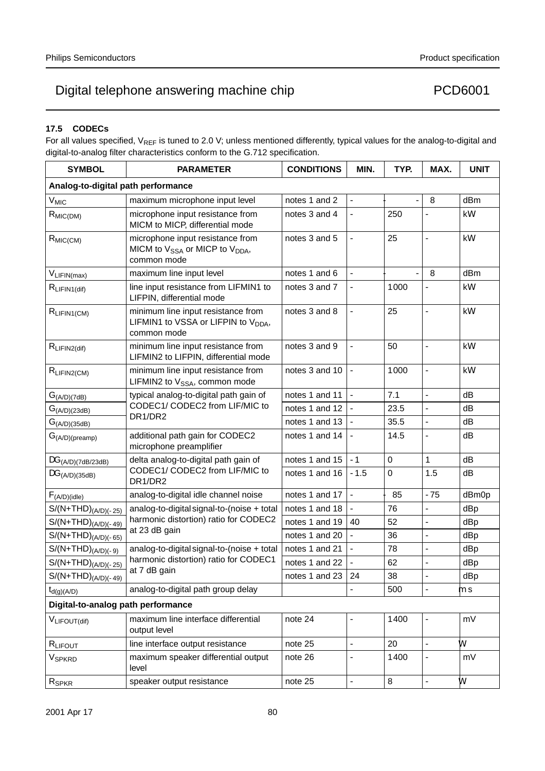### **17.5 CODECs**

For all values specified,  $V_{REF}$  is tuned to 2.0 V; unless mentioned differently, typical values for the analog-to-digital and digital-to-analog filter characteristics conform to the G.712 specification.

| <b>SYMBOL</b>                      | <b>PARAMETER</b>                                                                                          | <b>CONDITIONS</b> | MIN.                     | TYP.                     | MAX.                     | <b>UNIT</b> |
|------------------------------------|-----------------------------------------------------------------------------------------------------------|-------------------|--------------------------|--------------------------|--------------------------|-------------|
| Analog-to-digital path performance |                                                                                                           |                   |                          |                          |                          |             |
| $V_{MIC}$                          | maximum microphone input level                                                                            | notes 1 and 2     | $\overline{\phantom{0}}$ | $\overline{\phantom{0}}$ | $-8$                     | dBm         |
| $R_{MIC(DM)}$                      | microphone input resistance from<br>MICM to MICP, differential mode                                       | notes 3 and 4     | $\overline{\phantom{0}}$ | 250                      |                          | $k\Omega$   |
| $R_{MIC(CM)}$                      | microphone input resistance from<br>MICM to V <sub>SSA</sub> or MICP to V <sub>DDA</sub> ,<br>common mode | notes 3 and 5     | $\overline{\phantom{0}}$ | 25                       | $\overline{\phantom{0}}$ | kΩ          |
| VLIFIN(max)                        | maximum line input level                                                                                  | notes 1 and 6     | $\qquad \qquad -$        | $\overline{\phantom{0}}$ | $-8$                     | dBm         |
| $R_{LIFIN1(dif)}$                  | line input resistance from LIFMIN1 to<br>LIFPIN, differential mode                                        | notes 3 and 7     | $\overline{\phantom{0}}$ | 1000                     |                          | $k\Omega$   |
| $R_{LIFIN1(CM)}$                   | minimum line input resistance from<br>LIFMIN1 to VSSA or LIFPIN to V <sub>DDA</sub> ,<br>common mode      | notes 3 and 8     | $\overline{\phantom{0}}$ | 25                       | $\overline{\phantom{0}}$ | $k\Omega$   |
| $R_{LIFIN2(dif)}$                  | minimum line input resistance from<br>LIFMIN2 to LIFPIN, differential mode                                | notes 3 and 9     | $\overline{\phantom{0}}$ | 50                       | $\overline{\phantom{0}}$ | $k\Omega$   |
| RLIFIN2(CM)                        | minimum line input resistance from<br>LIFMIN2 to V <sub>SSA</sub> , common mode                           | notes 3 and 10    | $\overline{\phantom{0}}$ | 1000                     | $\overline{\phantom{0}}$ | kΩ          |
| G <sub>(A/D)(7dB)</sub>            | typical analog-to-digital path gain of                                                                    | notes 1 and 11    | $\equiv$                 | 7.1                      | $\equiv$                 | dB          |
| G <sub>(A/D)(23dB)</sub>           | CODEC1/ CODEC2 from LIF/MIC to                                                                            | notes 1 and 12    |                          | 23.5                     |                          | dB          |
| $G_{(A/D)(35dB)}$                  | DR1/DR2                                                                                                   | notes 1 and 13    |                          | 35.5                     | $\overline{\phantom{0}}$ | dB          |
| $G_{(A/D)(\text{preamp})}$         | additional path gain for CODEC2<br>microphone preamplifier                                                | notes 1 and 14    |                          | 14.5                     | $\overline{\phantom{0}}$ | dВ          |
| $\Delta G_{(A/D)(7dB/23dB)}$       | delta analog-to-digital path gain of                                                                      | notes 1 and 15    | $-1$                     | $\mathbf 0$              | $\mathbf{1}$             | dB          |
| $\Delta G_{(A/D)(35dB)}$           | CODEC1/ CODEC2 from LIF/MIC to<br>DR1/DR2                                                                 | notes 1 and 16    | $-1.5$                   | $\mathbf 0$              | 1.5                      | dB          |
| F <sub>(A/D)(idle)</sub>           | analog-to-digital idle channel noise                                                                      | notes 1 and 17    |                          | $-85$                    | $-75$                    | dBm0p       |
| $S/(N+THD)_{(A/D)(-25)}$           | analog-to-digital signal-to-(noise + total                                                                | notes 1 and 18    |                          | 76                       | —                        | dBp         |
| $S/(N+THD)_{(A/D)(-49)}$           | harmonic distortion) ratio for CODEC2<br>at 23 dB gain                                                    | notes 1 and 19    | 40                       | 52                       | $\overline{\phantom{0}}$ | dBp         |
| $S/(N+THD)_{(A/D)(-65)}$           |                                                                                                           | notes 1 and 20    |                          | 36                       | $\overline{\phantom{0}}$ | dBp         |
| $S/(N+THD)_{(A/D)(-9)}$            | analog-to-digital signal-to-(noise + total                                                                | notes 1 and 21    |                          | 78                       | $\overline{a}$           | dBp         |
| $S/(N+THD)_{(A/D)(-25)}$           | harmonic distortion) ratio for CODEC1<br>at 7 dB gain                                                     | notes 1 and 22    |                          | 62                       |                          | dBp         |
| $S/(N+THD)_{(A/D)(-49)}$           |                                                                                                           | notes 1 and 23    | 24                       | 38                       |                          | dBp         |
| $t_{d(g)(A/D)}$                    | analog-to-digital path group delay                                                                        |                   |                          | 500                      |                          | μs          |
| Digital-to-analog path performance |                                                                                                           |                   |                          |                          |                          |             |
| $V_{LIFOUT(dif)}$                  | maximum line interface differential<br>output level                                                       | note 24           | $\overline{\phantom{0}}$ | 1400                     | $\qquad \qquad -$        | mV          |
| RLIFOUT                            | line interface output resistance                                                                          | note 25           | $\overline{\phantom{0}}$ | 20                       | $\overline{\phantom{0}}$ | $\Omega$    |
| V <sub>SPKRD</sub>                 | maximum speaker differential output<br>level                                                              | note 26           | $\overline{\phantom{0}}$ | 1400                     | $\overline{\phantom{0}}$ | mV          |
| R <sub>SPKR</sub>                  | speaker output resistance                                                                                 | note 25           | $\overline{\phantom{0}}$ | 8                        | $\overline{\phantom{0}}$ | $\Omega$    |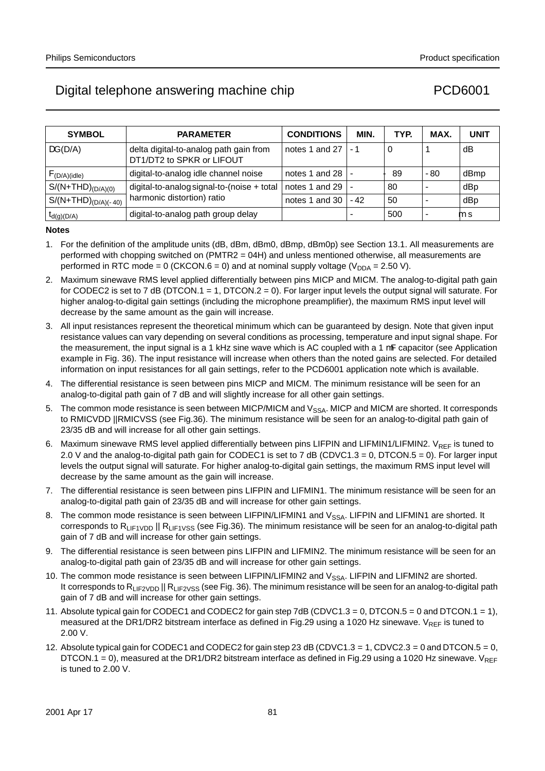| <b>SYMBOL</b>            | <b>PARAMETER</b>                                                    | <b>CONDITIONS</b>    | MIN.  | TYP.  | MAX.  | <b>UNIT</b> |
|--------------------------|---------------------------------------------------------------------|----------------------|-------|-------|-------|-------------|
| $\Delta G(D/A)$          | delta digital-to-analog path gain from<br>DT1/DT2 to SPKR or LIFOUT | notes 1 and 27 $ -1$ |       | 0     |       | dB          |
| $F_{(D/A)(idle)}$        | digital-to-analog idle channel noise                                | notes 1 and 28 $ -$  |       | $-89$ | $-80$ | dBmp        |
| $S/(N+THD)_{(D/A)(0)}$   | digital-to-analog signal-to-(noise + total                          | notes 1 and 29       |       | 80    |       | dBp         |
| $S/(N+THD)_{(D/A)(-40)}$ | harmonic distortion) ratio                                          | notes 1 and 30       | $-42$ | 50    |       | dBp         |
| $t_{d(g)(D/A)}$          | digital-to-analog path group delay                                  |                      |       | 500   |       | μs          |

- 1. For the definition of the amplitude units (dB, dBm, dBm0, dBmp, dBm0p) see Section 13.1. All measurements are performed with chopping switched on (PMTR2 = 04H) and unless mentioned otherwise, all measurements are performed in RTC mode = 0 (CKCON.6 = 0) and at nominal supply voltage ( $V_{DDA}$  = 2.50 V).
- 2. Maximum sinewave RMS level applied differentially between pins MICP and MICM. The analog-to-digital path gain for CODEC2 is set to 7 dB (DTCON.1 = 1, DTCON.2 = 0). For larger input levels the output signal will saturate. For higher analog-to-digital gain settings (including the microphone preamplifier), the maximum RMS input level will decrease by the same amount as the gain will increase.
- 3. All input resistances represent the theoretical minimum which can be guaranteed by design. Note that given input resistance values can vary depending on several conditions as processing, temperature and input signal shape. For the measurement, the input signal is a 1 kHz sine wave which is AC coupled with a 1  $\mu$ F capacitor (see Application example in Fig. 36). The input resistance will increase when others than the noted gains are selected. For detailed information on input resistances for all gain settings, refer to the PCD6001 application note which is available.
- 4. The differential resistance is seen between pins MICP and MICM. The minimum resistance will be seen for an analog-to-digital path gain of 7 dB and will slightly increase for all other gain settings.
- 5. The common mode resistance is seen between MICP/MICM and V<sub>SSA</sub>. MICP and MICM are shorted. It corresponds to RMICVDD ||RMICVSS (see Fig.36). The minimum resistance will be seen for an analog-to-digital path gain of 23/35 dB and will increase for all other gain settings.
- 6. Maximum sinewave RMS level applied differentially between pins LIFPIN and LIFMIN1/LIFMIN2. V<sub>RFF</sub> is tuned to 2.0 V and the analog-to-digital path gain for CODEC1 is set to 7 dB (CDVC1.3 = 0, DTCON.5 = 0). For larger input levels the output signal will saturate. For higher analog-to-digital gain settings, the maximum RMS input level will decrease by the same amount as the gain will increase.
- 7. The differential resistance is seen between pins LIFPIN and LIFMIN1. The minimum resistance will be seen for an analog-to-digital path gain of 23/35 dB and will increase for other gain settings.
- 8. The common mode resistance is seen between LIFPIN/LIFMIN1 and V<sub>SSA</sub>. LIFPIN and LIFMIN1 are shorted. It corresponds to  $R_{LIF1VDD}$  ||  $R_{LIF1VSS}$  (see Fig.36). The minimum resistance will be seen for an analog-to-digital path gain of 7 dB and will increase for other gain settings.
- 9. The differential resistance is seen between pins LIFPIN and LIFMIN2. The minimum resistance will be seen for an analog-to-digital path gain of 23/35 dB and will increase for other gain settings.
- 10. The common mode resistance is seen between LIFPIN/LIFMIN2 and  $V<sub>SSA</sub>$ . LIFPIN and LIFMIN2 are shorted. It corresponds to R<sub>LIF2VDD</sub> || R<sub>LIF2VSS</sub> (see Fig. 36). The minimum resistance will be seen for an analog-to-digital path gain of 7 dB and will increase for other gain settings.
- 11. Absolute typical gain for CODEC1 and CODEC2 for gain step 7dB (CDVC1.3 = 0, DTCON.5 = 0 and DTCON.1 = 1), measured at the DR1/DR2 bitstream interface as defined in Fig.29 using a 1020 Hz sinewave.  $V_{RFF}$  is tuned to 2.00 V.
- 12. Absolute typical gain for CODEC1 and CODEC2 for gain step 23 dB (CDVC1.3 = 1, CDVC2.3 = 0 and DTCON.5 = 0, DTCON.1 = 0), measured at the DR1/DR2 bitstream interface as defined in Fig.29 using a 1020 Hz sinewave.  $V_{REF}$ is tuned to 2.00 V.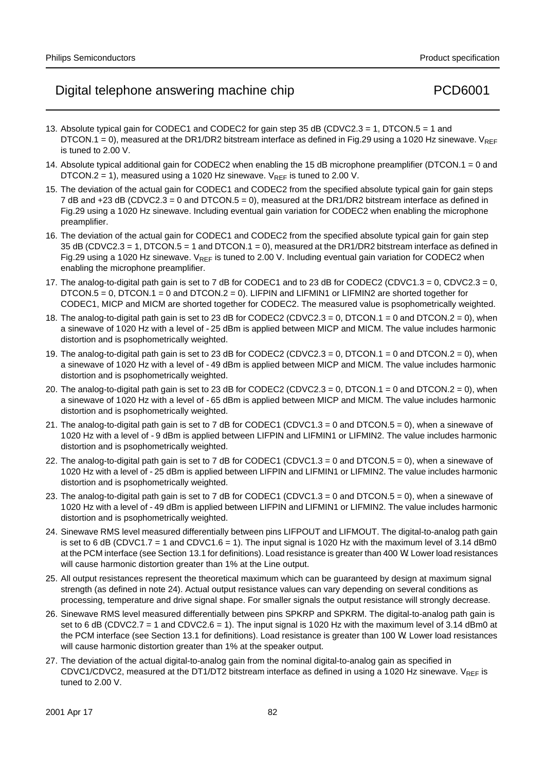- 13. Absolute typical gain for CODEC1 and CODEC2 for gain step 35 dB (CDVC2.3 = 1, DTCON.5 = 1 and DTCON.1 = 0), measured at the DR1/DR2 bitstream interface as defined in Fig.29 using a 1020 Hz sinewave.  $V_{REF}$ is tuned to 2.00 V.
- 14. Absolute typical additional gain for CODEC2 when enabling the 15 dB microphone preamplifier (DTCON.1 = 0 and DTCON.2 = 1), measured using a 1020 Hz sinewave.  $V_{REF}$  is tuned to 2.00 V.
- 15. The deviation of the actual gain for CODEC1 and CODEC2 from the specified absolute typical gain for gain steps 7 dB and +23 dB (CDVC2.3 = 0 and DTCON.5 = 0), measured at the DR1/DR2 bitstream interface as defined in Fig.29 using a 1020 Hz sinewave. Including eventual gain variation for CODEC2 when enabling the microphone preamplifier.
- 16. The deviation of the actual gain for CODEC1 and CODEC2 from the specified absolute typical gain for gain step 35 dB (CDVC2.3 = 1, DTCON.5 = 1 and DTCON.1 = 0), measured at the DR1/DR2 bitstream interface as defined in Fig.29 using a 1020 Hz sinewave.  $V_{REF}$  is tuned to 2.00 V. Including eventual gain variation for CODEC2 when enabling the microphone preamplifier.
- 17. The analog-to-digital path gain is set to 7 dB for CODEC1 and to 23 dB for CODEC2 (CDVC1.3 = 0, CDVC2.3 = 0, DTCON.5 = 0, DTCON.1 = 0 and DTCON.2 = 0). LIFPIN and LIFMIN1 or LIFMIN2 are shorted together for CODEC1, MICP and MICM are shorted together for CODEC2. The measured value is psophometrically weighted.
- 18. The analog-to-digital path gain is set to 23 dB for CODEC2 (CDVC2.3 = 0, DTCON.1 = 0 and DTCON.2 = 0), when a sinewave of 1020 Hz with a level of −25 dBm is applied between MICP and MICM. The value includes harmonic distortion and is psophometrically weighted.
- 19. The analog-to-digital path gain is set to 23 dB for CODEC2 (CDVC2.3 = 0, DTCON.1 = 0 and DTCON.2 = 0), when a sinewave of 1020 Hz with a level of −49 dBm is applied between MICP and MICM. The value includes harmonic distortion and is psophometrically weighted.
- 20. The analog-to-digital path gain is set to 23 dB for CODEC2 (CDVC2.3 = 0, DTCON.1 = 0 and DTCON.2 = 0), when a sinewave of 1020 Hz with a level of −65 dBm is applied between MICP and MICM. The value includes harmonic distortion and is psophometrically weighted.
- 21. The analog-to-digital path gain is set to 7 dB for CODEC1 (CDVC1.3 = 0 and DTCON.5 = 0), when a sinewave of 1020 Hz with a level of −9 dBm is applied between LIFPIN and LIFMIN1 or LIFMIN2. The value includes harmonic distortion and is psophometrically weighted.
- 22. The analog-to-digital path gain is set to 7 dB for CODEC1 (CDVC1.3 = 0 and DTCON.5 = 0), when a sinewave of 1020 Hz with a level of −25 dBm is applied between LIFPIN and LIFMIN1 or LIFMIN2. The value includes harmonic distortion and is psophometrically weighted.
- 23. The analog-to-digital path gain is set to 7 dB for CODEC1 (CDVC1.3 = 0 and DTCON.5 = 0), when a sinewave of 1020 Hz with a level of −49 dBm is applied between LIFPIN and LIFMIN1 or LIFMIN2. The value includes harmonic distortion and is psophometrically weighted.
- 24. Sinewave RMS level measured differentially between pins LIFPOUT and LIFMOUT. The digital-to-analog path gain is set to 6 dB (CDVC1.7 = 1 and CDVC1.6 = 1). The input signal is 1020 Hz with the maximum level of 3.14 dBm0 at the PCM interface (see Section 13.1 for definitions). Load resistance is greater than 400 Ω. Lower load resistances will cause harmonic distortion greater than 1% at the Line output.
- 25. All output resistances represent the theoretical maximum which can be guaranteed by design at maximum signal strength (as defined in note 24). Actual output resistance values can vary depending on several conditions as processing, temperature and drive signal shape. For smaller signals the output resistance will strongly decrease.
- 26. Sinewave RMS level measured differentially between pins SPKRP and SPKRM. The digital-to-analog path gain is set to 6 dB (CDVC2.7 = 1 and CDVC2.6 = 1). The input signal is 1020 Hz with the maximum level of 3.14 dBm0 at the PCM interface (see Section 13.1 for definitions). Load resistance is greater than 100 Ω. Lower load resistances will cause harmonic distortion greater than 1% at the speaker output.
- 27. The deviation of the actual digital-to-analog gain from the nominal digital-to-analog gain as specified in CDVC1/CDVC2, measured at the DT1/DT2 bitstream interface as defined in using a 1020 Hz sinewave. VREF is tuned to 2.00 V.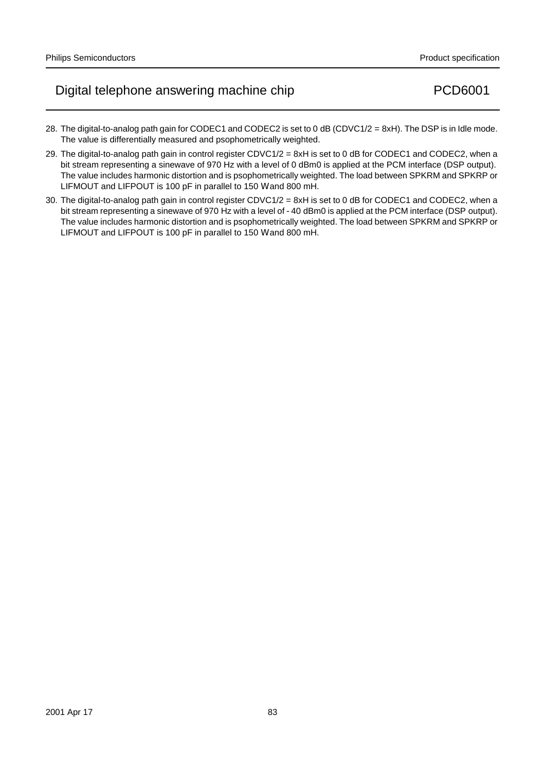- 28. The digital-to-analog path gain for CODEC1 and CODEC2 is set to 0 dB (CDVC1/2 = 8xH). The DSP is in Idle mode. The value is differentially measured and psophometrically weighted.
- 29. The digital-to-analog path gain in control register CDVC1/2 = 8xH is set to 0 dB for CODEC1 and CODEC2, when a bit stream representing a sinewave of 970 Hz with a level of 0 dBm0 is applied at the PCM interface (DSP output). The value includes harmonic distortion and is psophometrically weighted. The load between SPKRM and SPKRP or LIFMOUT and LIFPOUT is 100 pF in parallel to 150  $\Omega$  and 800 mH.
- 30. The digital-to-analog path gain in control register CDVC1/2 = 8xH is set to 0 dB for CODEC1 and CODEC2, when a bit stream representing a sinewave of 970 Hz with a level of −40 dBm0 is applied at the PCM interface (DSP output). The value includes harmonic distortion and is psophometrically weighted. The load between SPKRM and SPKRP or LIFMOUT and LIFPOUT is 100 pF in parallel to 150  $\Omega$  and 800 mH.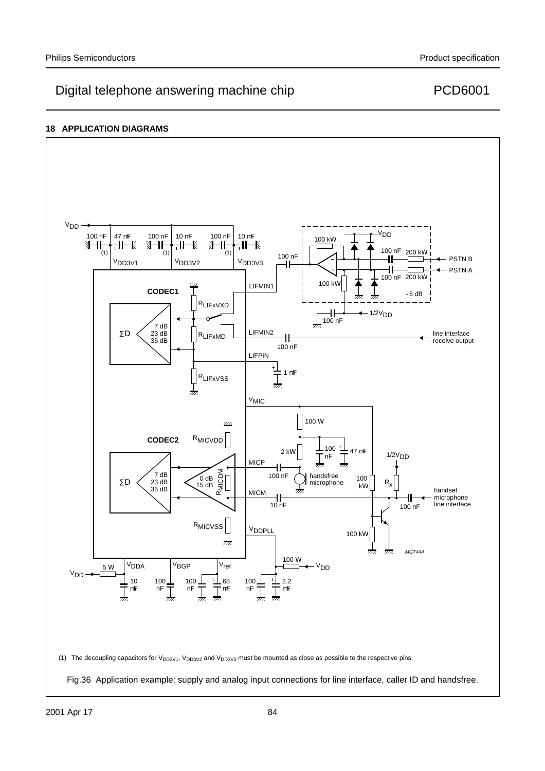### **18 APPLICATION DIAGRAMS**



Fig.36 Application example: supply and analog input connections for line interface, caller ID and handsfree.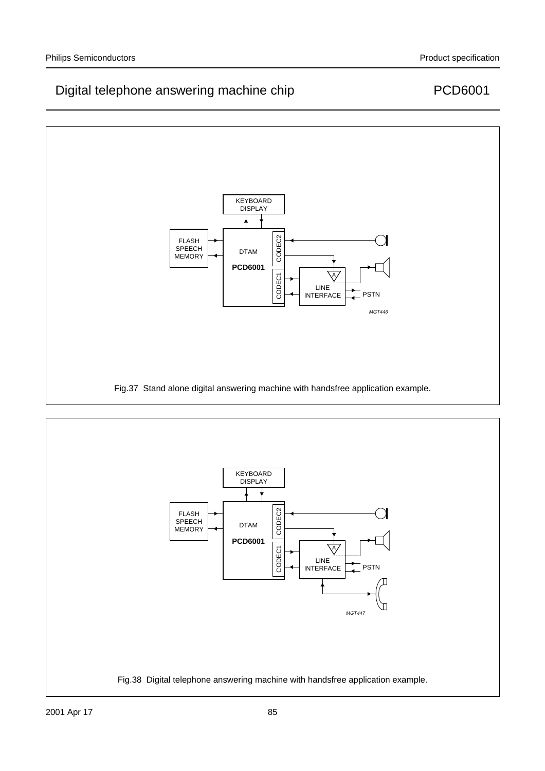

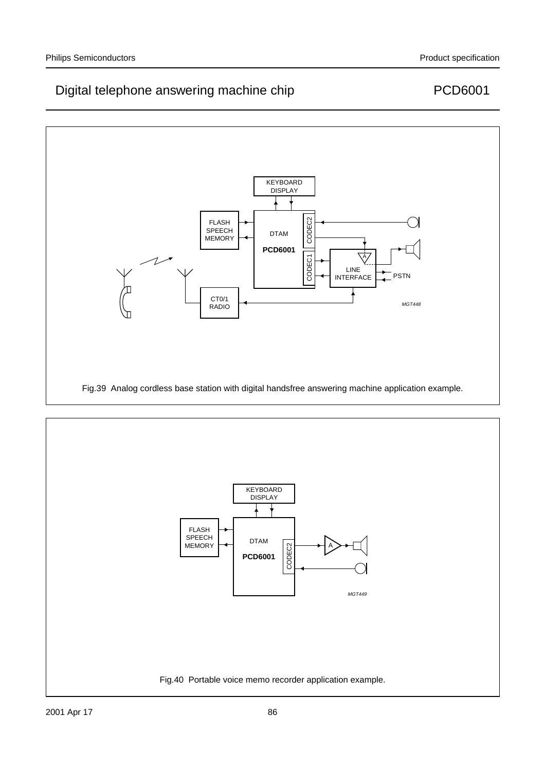

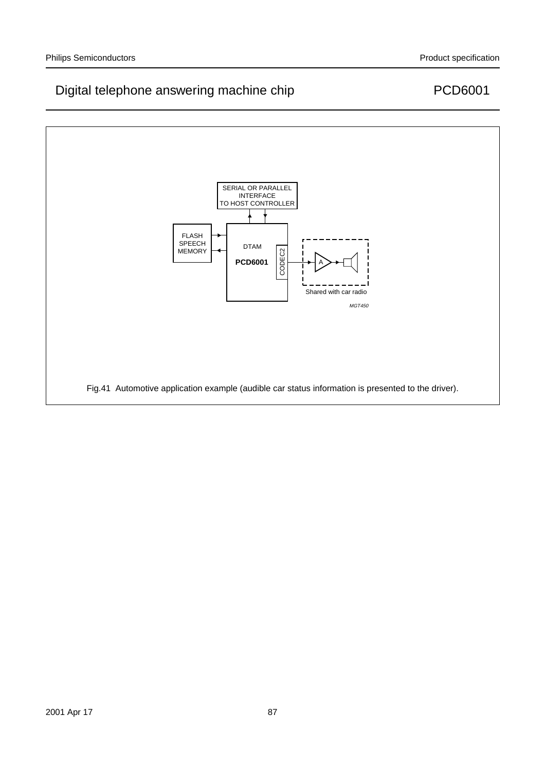# MGT450 SERIAL OR PARALLEL INTERFACE TO HOST CONTROLLER FLASH SPEECH  $SPEECH$  DTAM<br>MEMORY  $\rightarrow$ Shared with car radio **PCD6001** CODEC2 A Fig.41 Automotive application example (audible car status information is presented to the driver).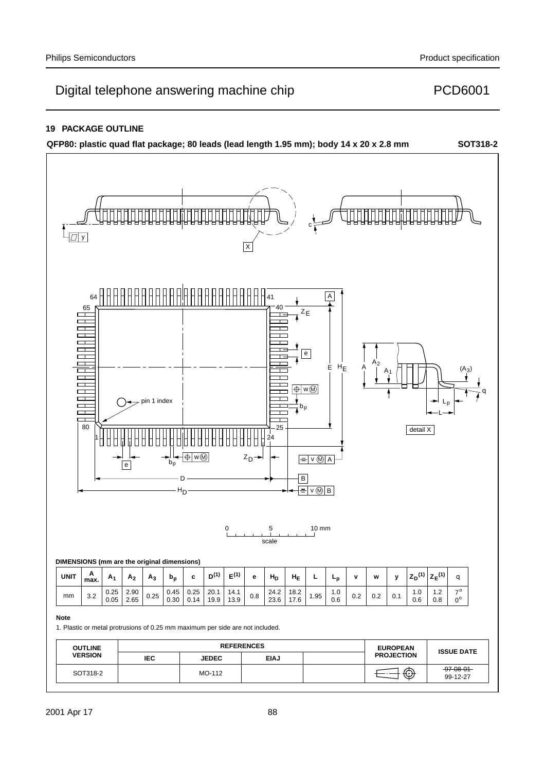### **19 PACKAGE OUTLINE**

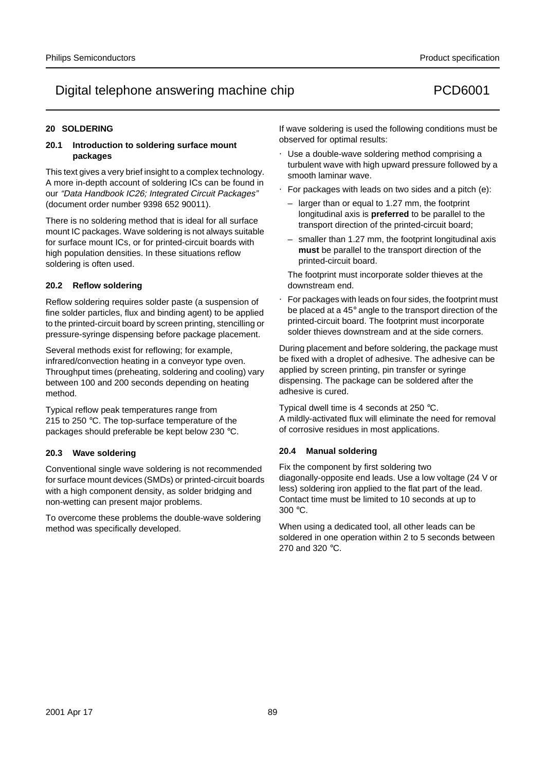### **20 SOLDERING**

### **20.1 Introduction to soldering surface mount packages**

This text gives a very brief insight to a complex technology. A more in-depth account of soldering ICs can be found in our "Data Handbook IC26; Integrated Circuit Packages" (document order number 9398 652 90011).

There is no soldering method that is ideal for all surface mount IC packages. Wave soldering is not always suitable for surface mount ICs, or for printed-circuit boards with high population densities. In these situations reflow soldering is often used.

### **20.2 Reflow soldering**

Reflow soldering requires solder paste (a suspension of fine solder particles, flux and binding agent) to be applied to the printed-circuit board by screen printing, stencilling or pressure-syringe dispensing before package placement.

Several methods exist for reflowing; for example, infrared/convection heating in a conveyor type oven. Throughput times (preheating, soldering and cooling) vary between 100 and 200 seconds depending on heating method.

Typical reflow peak temperatures range from 215 to 250 °C. The top-surface temperature of the packages should preferable be kept below 230 °C.

### **20.3 Wave soldering**

Conventional single wave soldering is not recommended for surface mount devices (SMDs) or printed-circuit boards with a high component density, as solder bridging and non-wetting can present major problems.

To overcome these problems the double-wave soldering method was specifically developed.

If wave soldering is used the following conditions must be observed for optimal results:

- Use a double-wave soldering method comprising a turbulent wave with high upward pressure followed by a smooth laminar wave.
- For packages with leads on two sides and a pitch (e):
	- larger than or equal to 1.27 mm, the footprint longitudinal axis is **preferred** to be parallel to the transport direction of the printed-circuit board;
	- smaller than 1.27 mm, the footprint longitudinal axis **must** be parallel to the transport direction of the printed-circuit board.

The footprint must incorporate solder thieves at the downstream end.

• For packages with leads on four sides, the footprint must be placed at a 45° angle to the transport direction of the printed-circuit board. The footprint must incorporate solder thieves downstream and at the side corners.

During placement and before soldering, the package must be fixed with a droplet of adhesive. The adhesive can be applied by screen printing, pin transfer or syringe dispensing. The package can be soldered after the adhesive is cured.

Typical dwell time is 4 seconds at 250 °C. A mildly-activated flux will eliminate the need for removal of corrosive residues in most applications.

### **20.4 Manual soldering**

Fix the component by first soldering two diagonally-opposite end leads. Use a low voltage (24 V or less) soldering iron applied to the flat part of the lead. Contact time must be limited to 10 seconds at up to 300 °C.

When using a dedicated tool, all other leads can be soldered in one operation within 2 to 5 seconds between 270 and 320 °C.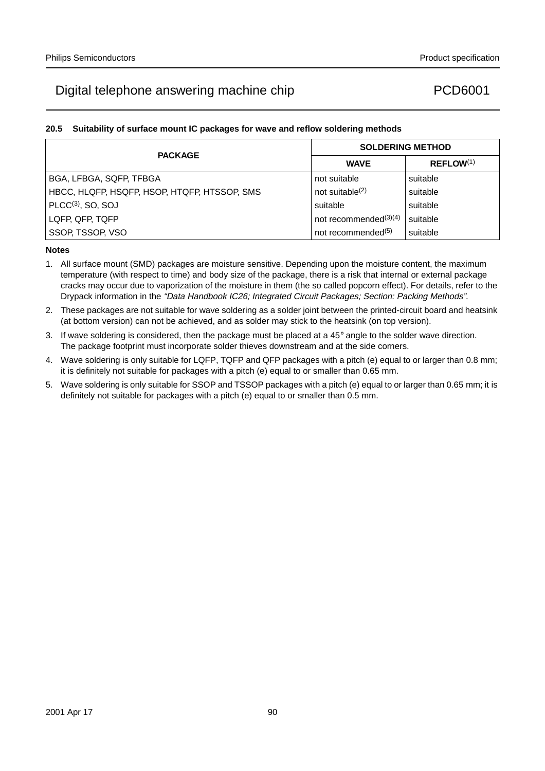### **20.5 Suitability of surface mount IC packages for wave and reflow soldering methods**

| <b>PACKAGE</b>                               | <b>SOLDERING METHOD</b>        |                       |  |
|----------------------------------------------|--------------------------------|-----------------------|--|
|                                              | <b>WAVE</b>                    | REFLOW <sup>(1)</sup> |  |
| BGA, LFBGA, SQFP, TFBGA                      | not suitable                   | suitable              |  |
| HBCC, HLQFP, HSQFP, HSOP, HTQFP, HTSSOP, SMS | not suitable $(2)$             | suitable              |  |
| $PLCC(3)$ , SO, SOJ                          | suitable                       | suitable              |  |
| LQFP, QFP, TQFP                              | not recommended $(3)(4)$       | suitable              |  |
| SSOP, TSSOP, VSO                             | not recommended <sup>(5)</sup> | suitable              |  |

- 1. All surface mount (SMD) packages are moisture sensitive. Depending upon the moisture content, the maximum temperature (with respect to time) and body size of the package, there is a risk that internal or external package cracks may occur due to vaporization of the moisture in them (the so called popcorn effect). For details, refer to the Drypack information in the "Data Handbook IC26; Integrated Circuit Packages; Section: Packing Methods".
- 2. These packages are not suitable for wave soldering as a solder joint between the printed-circuit board and heatsink (at bottom version) can not be achieved, and as solder may stick to the heatsink (on top version).
- 3. If wave soldering is considered, then the package must be placed at a  $45^\circ$  angle to the solder wave direction. The package footprint must incorporate solder thieves downstream and at the side corners.
- 4. Wave soldering is only suitable for LQFP, TQFP and QFP packages with a pitch (e) equal to or larger than 0.8 mm; it is definitely not suitable for packages with a pitch (e) equal to or smaller than 0.65 mm.
- 5. Wave soldering is only suitable for SSOP and TSSOP packages with a pitch (e) equal to or larger than 0.65 mm; it is definitely not suitable for packages with a pitch (e) equal to or smaller than 0.5 mm.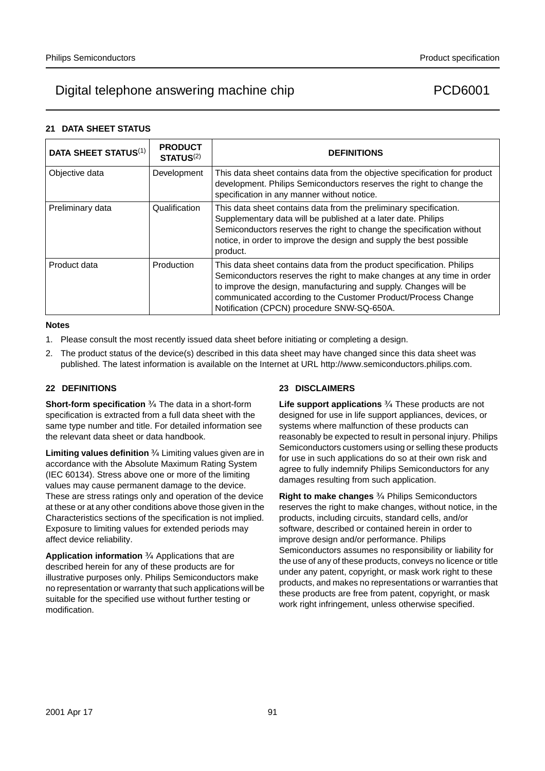### **21 DATA SHEET STATUS**

| <b>DATA SHEET STATUS(1)</b> | <b>PRODUCT</b><br>STATUS <sup>(2)</sup> | <b>DEFINITIONS</b>                                                                                                                                                                                                                                                                                                                 |
|-----------------------------|-----------------------------------------|------------------------------------------------------------------------------------------------------------------------------------------------------------------------------------------------------------------------------------------------------------------------------------------------------------------------------------|
| Objective data              | Development                             | This data sheet contains data from the objective specification for product<br>development. Philips Semiconductors reserves the right to change the<br>specification in any manner without notice.                                                                                                                                  |
| Preliminary data            | Qualification                           | This data sheet contains data from the preliminary specification.<br>Supplementary data will be published at a later date. Philips<br>Semiconductors reserves the right to change the specification without<br>notice, in order to improve the design and supply the best possible<br>product.                                     |
| Product data                | Production                              | This data sheet contains data from the product specification. Philips<br>Semiconductors reserves the right to make changes at any time in order<br>to improve the design, manufacturing and supply. Changes will be<br>communicated according to the Customer Product/Process Change<br>Notification (CPCN) procedure SNW-SQ-650A. |

### **Notes**

- 1. Please consult the most recently issued data sheet before initiating or completing a design.
- 2. The product status of the device(s) described in this data sheet may have changed since this data sheet was published. The latest information is available on the Internet at URL http://www.semiconductors.philips.com.

### **22 DEFINITIONS**

**Short-form specification** - The data in a short-form specification is extracted from a full data sheet with the same type number and title. For detailed information see the relevant data sheet or data handbook.

**Limiting values definition** Limiting values given are in accordance with the Absolute Maximum Rating System (IEC 60134). Stress above one or more of the limiting values may cause permanent damage to the device. These are stress ratings only and operation of the device at these or at any other conditions above those given in the Characteristics sections of the specification is not implied. Exposure to limiting values for extended periods may affect device reliability.

**Application information** - Applications that are described herein for any of these products are for illustrative purposes only. Philips Semiconductors make no representation or warranty that such applications will be suitable for the specified use without further testing or modification.

### **23 DISCLAIMERS**

Life support applications These products are not designed for use in life support appliances, devices, or systems where malfunction of these products can reasonably be expected to result in personal injury. Philips Semiconductors customers using or selling these products for use in such applications do so at their own risk and agree to fully indemnify Philips Semiconductors for any damages resulting from such application.

**Right to make changes** - Philips Semiconductors reserves the right to make changes, without notice, in the products, including circuits, standard cells, and/or software, described or contained herein in order to improve design and/or performance. Philips Semiconductors assumes no responsibility or liability for the use of any of these products, conveys no licence or title under any patent, copyright, or mask work right to these products, and makes no representations or warranties that these products are free from patent, copyright, or mask work right infringement, unless otherwise specified.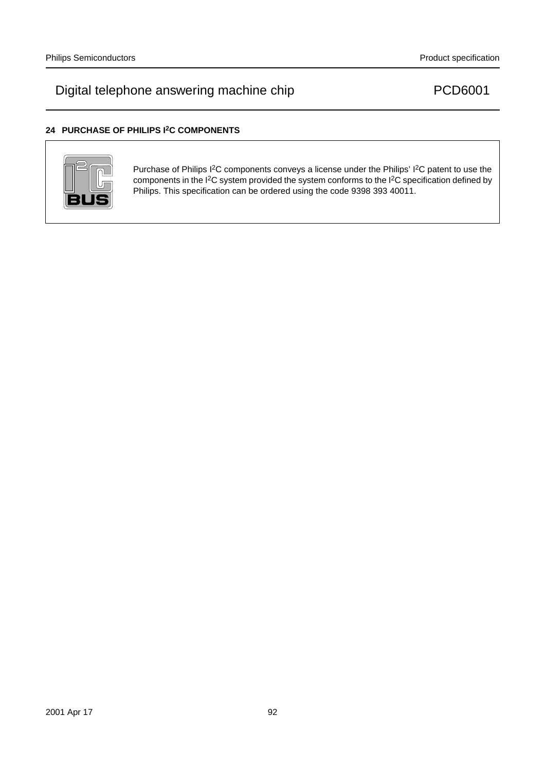### **24 PURCHASE OF PHILIPS I2C COMPONENTS**



Purchase of Philips I<sup>2</sup>C components conveys a license under the Philips' I<sup>2</sup>C patent to use the components in the I2C system provided the system conforms to the I2C specification defined by Philips. This specification can be ordered using the code 9398 393 40011.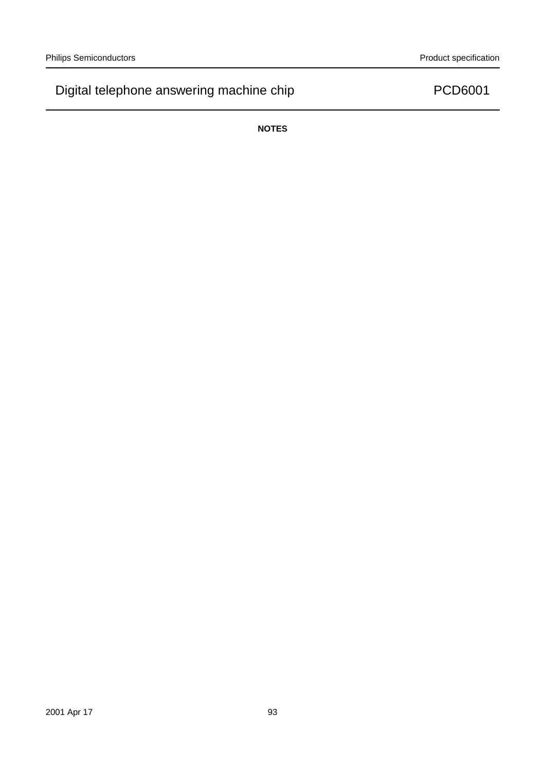**NOTES**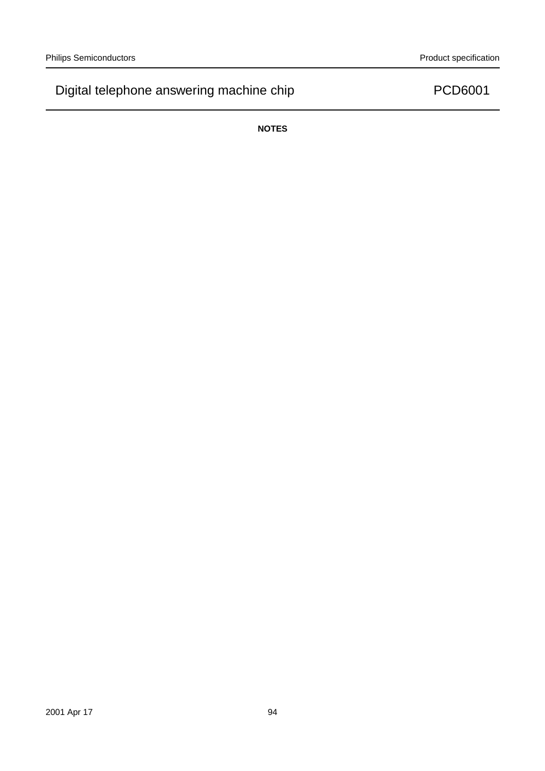**NOTES**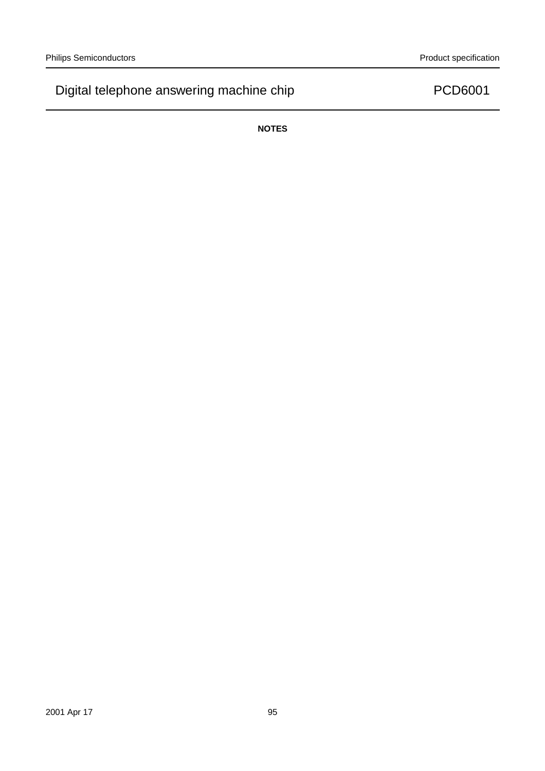**NOTES**